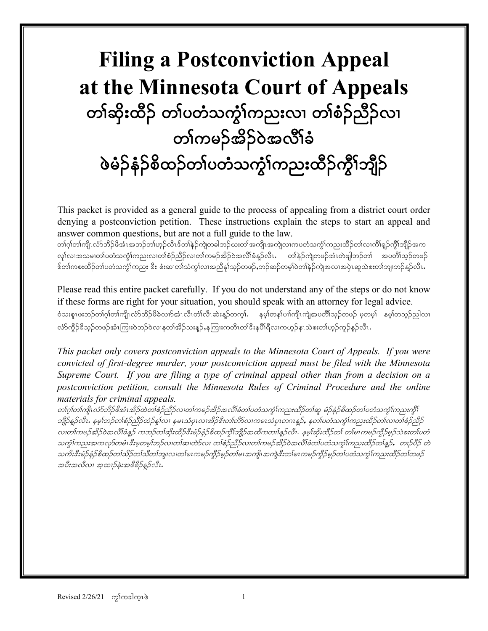# **Filing a Postconviction Appeal at the Minnesota Court of Appeals** တၢ်ဆိုးထိဉ် တၢ်ပတံသက္ခံ၊်ကညးလ၊ တၢ်စံဉ်ညီဉ်လ၊ တၢ်ကမဉ်အိဉ်ဝဲအလိၢ်ခံ ဖဲခ်ဉ်နံဉ်စိထဉ်တၤ်ပတံသက္ခၤ်ကညးထိဉ်ကွိၤ်ဘျိဉ်

This packet is provided as a general guide to the process of appealing from a district court order denying a postconviction petition. These instructions explain the steps to start an appeal and answer common questions, but are not a full guide to the law.

တၢ်ဂု႞တ၊်ကျိၤလံာ်ဘိဉ်ဖိအံၤအဘဉ်တ၊်ဟုဉ်လီၤဒ်တၢ်နဲဉ်ကျဲတခါဘဉ်ဃးတ၊်အကျိၤအကျဲလ၊ကပတံသကွံ၊်ကညးထိဉ်တ၊်လ၊ကိၢ်ရှဉ်ကွိ၊်ဘျိဉ်အက လု၊်လ၊အသမ၊တၢ်ပတံသကွံ၊်ကညးလ၊တၢ်စံဉ်ညိဉ်လ၊တ၊်ကမဉ်အိဉ်ဝဲအလိ၊်ခံနှဉ်လီၤ $\cdot$  တ၊်နဲဉ်ကျဲတဖဉ်အံၤတဲဖျါဘဉ်တ၊် အပတိ၊်သူဉ်တဖဉ် ဒ်တါကစးထိဉ်တါပတံသက္ခါကညး ဒီး စံးဆ၊တါသံကွါလ၊အညီနှါသ့ဉ်တဖဉ်ႇဘဉ်ဆဉ်တမ့ါဝဲတါနဲဉ်ကျဲအလ၊အပှဲၤဆူသဲစးတါဘျ၊ဘဉ်န္ဉာ်လီၤႉ

Please read this entire packet carefully. If you do not understand any of the steps or do not know if these forms are right for your situation, you should speak with an attorney for legal advice. ဝံသးစူၤဖးဘဉ်တက်ွါတ်ကြိုးလံာ်ဘိဉ်ဖိခဲလက်အံၤလီၤတံၤ်လီၤဆဲးနူဉ်တက္ $\mathbf{i}$ . နမ္နါတနဉ်ပၢါကျိုးကျဲအပတိါသူဉ်တဖဉ် မူတမ္နါ နမ္နါတသူဉ်ညါလ၊ လ်ာ်ကွိဉ်ဒိသ္ဉ်တဖဉ်အံၤကြ၊းဝဲဘဉ်ဝဲလ၊နတါအိဉ်သးန္ဉာ်,နကြ၊းကတိၤတါဒီးနပိါရီလ၊ကဟုဉ်နၤသဲစးတါဟုဉ်ကူဉ်နှဉ်လီၤ

*This packet only covers postconviction appeals to the Minnesota Court of Appeals. If you were convicted of first-degree murder, your postconviction appeal must be filed with the Minnesota Supreme Court. If you are filing a type of criminal appeal other than from a decision on a postconviction petition, consult the Minnesota Rules of Criminal Procedure and the online materials for criminal appeals.* 

တ1ဂူ1တ1ကျိၤလံာ်ဘိဉ်ဖိအံၤအိဉ်ထဲတ1်စဉ်ညီဉ်လ၊တ1်ကမဉ်အိဉ်အလိ1်ခံတ1်ပတံသကွံ1်ကညးထိဉ်တ1်ဆူ မံဉ်နံဉ်စိထဉ်တ1်ပတံသကွံ1်ကညးကွိ $\mathfrak f$ ဘျိဉ်နှဉ်လီး. နမ္နါဘဉ်တစ်စဉ်ညီဉ်ထံဉ်နှုလ၊ နမၤသံပုၤလ၊အိဉ်ဒီးတစ်တိSလ၊ကမၤသံပုၤတဂၤနူဉ်, နတၤ်ပတံသက္ဂၤ်ကညးထိဉ်တၤ်လ၊တစ်ဉ်ညီဉ် လ၊တါကမဉ်အိဉ်ဝဲအလိါခံနူဉ် ကဘဉ်တါဆိုးထိဉ်ဒီးမံဉ်နံဉ်စိထဉ်ကွိါဘျိုာ်အထိကတၢါနူဉ်လီၤ. နမ့ါဆိုးထိဉ်တါ တါမၤကမဉ်ကွိဉ်မှဉ်သဲစးတါပတံ သက္ခါကညးအကလှာ်တမံၤဒီးမှုတမ္]ဘဉ်လ၊တါဆ၊တဲာ်လ၊ တၢ်စံဉ်သိဉ်လ၊တ၊်ကမဉ်အိဉ်ဝဲအလိၢ်ခံတ၊်ပတံသက္ခါကညးထိဉ်တ၊်နူဉ်, တ၊ဉ်ပိဉ် တဲ သကိးအီးမံဉ်နံ့ဉ်စိထဉ်တသိဉ်တက်သိတကျာလ၊တ1်မၤကမဉ်ကွိဉ်မှဉ်တ1်မၤအကျိၤအကျဲအီးတ1်မၤကမဉ်ကွိဉ်မှဉ်တ1်ပတံသကွံ1်ကညးထိဉ်တ1်တဖဉ် အပီးအလီလ၊ အ့ထၢဉ်နဲးအဖီခိဉ်န္ဥလီး.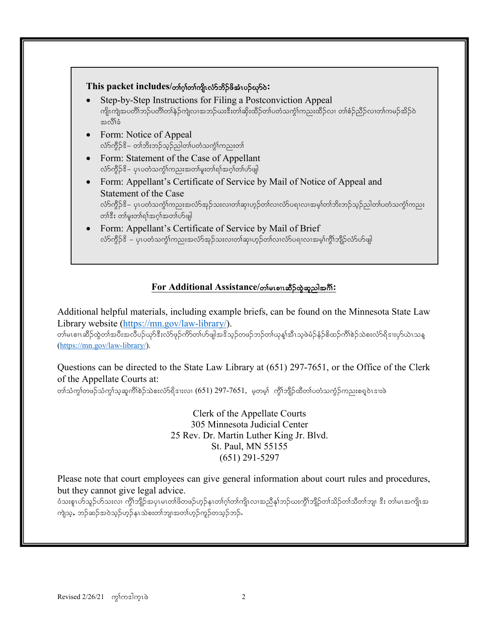

### $For Additional Assistance /$ တ စောဆိ**ြင်** အသုံးအောင်

Additional helpful materials, including example briefs, can be found on the Minnesota State Law Library website [\(https://mn.gov/law-library/\)](https://mn.gov/law-library/).

whet on ဆိုခ်ထွဲတက်အပီးအလိပဉ်ယှာ်ဒီးလ်ာဖုဉ်ကိ§တက်ပြုအဒိသ္ဥတဖဉ်ဘဉ်တကျွန်းအီးသူဖဲမံဉ်နံဉ်စိထဉ်ကိါစဉ်သဲစးလံာ်ရိဒၢႏပုာ်ယဲၤသန္ [\(https://mn.gov/law-library/\)](https://mn.gov/law-library/).

Questions can be directed to the State Law Library at (651) 297-7651, or the Office of the Clerk of the Appellate Courts at:

တါသံကွါတဖဉ်သံကွါသူဆူကိါစဲဉ်သဲစးလံာ်ရိဒၤလ၊  $(651)$  297-765 $1$ , မဲ့တမ့်) ကွိါဘျိဉ်ထိတါပတံသကွံဉ်ကညးစရူဝဲၤဒၤးဖဲ

Clerk of the Appellate Courts 305 Minnesota Judicial Center 25 Rev. Dr. Martin Luther King Jr. Blvd. St. Paul, MN 55155 (651) 291-5297

Please note that court employees can give general information about court rules and procedures, but they cannot give legal advice.

ဝံသးစူးဟ်သူဉ်ဟ်သးလ၊ ကွိၢ်ဘျိဉ်အပုၤမၤတၢ်ဖိတဖဉ်ဟုဉ်နၤတၢ်ဂ္ဂါတ၊်ကျိုးလၢအညီနှၤ်ဘဉ်ယးကွိၢ်ဘျိဉ်တ၊်သိတ်ဘျာသည်း တ၊်မၤအကျိၤအ ကျဲသူ, ဘဉ်ဆဉ်အဝဲသူဉ်ဟုဉ်နၤသဲစးတၢ်ဘျ၊အတၢ်ဟုဉ်ကုဉ်တသူဉ်ဘဉ်.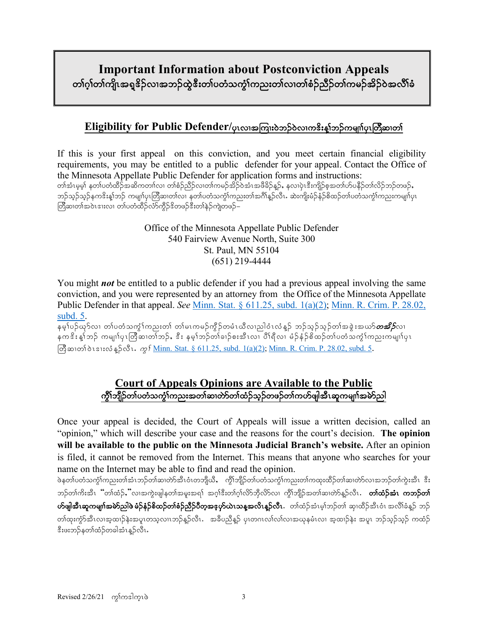# **Important Information about Postconviction Appeals** တၢ်ဂ္ဂါတ၊်ကျိၤအရှူဒိဉ်လၢအဘဉ်ထွဲဒီးတ၊်ပတံသက္ခံ၊်ကညးတ၊်လ၊တ၊်စံဉ်ညီဉ်တ၊်ကမဉ်အိဉ်ဝဲအလိ၊်ခံ

# Eligibility for Public Defender/ပုၤလ၊အကြားဝဲဘ**်**ဝဲလ၊က<sup>ွ</sup>ိးနှုံဘဉ်ကမျာ်ပုၤတြီဆ၊တါ

If this is your first appeal on this conviction, and you meet certain financial eligibility requirements, you may be entitled to a public defender for your appeal. Contact the Office of the Minnesota Appellate Public Defender for application forms and instructions: တါအံၤမ္နမ့်၊ နတၤ်ပတံထိဉ်အဆိကတၢါလ၊ တါစံဉ်ညီဉ်လ၊တါကမဉ်အိဉ်ဝဲအံၤအဖိခိဉ်နှဉ်, နလ၊ပှဲၤဒီးကျိဉ်စ့အတ၊်ဟ်ပနိဉ်တ၊်လိဉ်ဘဉ်တဖဉ်, ဘဉ်သူဉ်သုရ်ကဒိးနူ $\,$ ဘဉ် ကမျ $\,$ ျာပြီဆ၊တ $\,$ လ၊ နတ $\,$ ပတံသကွ $\,$ (ကညးတ $\,$ အင်္ဂါနဉ်လီ $\,$ ၊. ဆဲးကျိုးမံဉ်နဉ်စိထဉ်တ $\,$ ပတံသကွ $\,$ (ကညးကမျ $\,$ ၊်ပု $\,$ ၊ တြီဆ၊တၢ်အဝဲၤဒၢးလ၊ တ၊်ပတံထိဉ်လံာ်ကွိဉ်ဒိတဖဉ်ဒီးတ၊်နဉ်ကျဲတဖဉ်–

> Office of the Minnesota Appellate Public Defender 540 Fairview Avenue North, Suite 300 St. Paul, MN 55104 (651) 219-4444

You might *not* be entitled to a public defender if you had a previous appeal involving the same conviction, and you were represented by an attorney from the Office of the Minnesota Appellate Public Defender in that appeal. *See* Minn. Stat. § [611.25,](https://www.revisor.mn.gov/statutes/?id=611.25) subd. 1(a)(2); [Minn. R. Crim. P. 28.02,](https://www.revisor.mn.gov/court_rules/rule.php?type=cr&id=28#28.02)  [subd. 5.](https://www.revisor.mn.gov/court_rules/rule.php?type=cr&id=28#28.02)

နမ္န္ဂါပဉ်ယူSလ၊ တျပတ္ခံသက္စ္ဒိုကညးတုိ တျမၤကမဉ်ကွိဉ်တမံၤယီလျညါ၀ံၤလံန္ဉ် ဘဉ်သူဉ်သူဉ်တၢ်အခွဲႏႈအယာ်*တအိဉ်*လ၊ နက $\stackrel{2}{s}$ းနှ $\stackrel{1}{\circ}$ က် ကမျ $\stackrel{1}{\circ}$ ကြသေးတင်းတွင်  $\stackrel{2}{s}$ း နမ $\stackrel{1}{\circ}$ တင်တင်းသို့ တိုးလာ $\stackrel{1}{\circ}$ က်မျ $\stackrel{1}{\circ}$ က်မျ $\stackrel{1}{\circ}$  $\sqrt{m}$ zolog disi $\cos \frac{1}{2} \cos \frac{1}{2} m$ .  $\sin \frac{1}{2} m$ . Stat. § 611.25, subd. [1\(a\)\(2\);](https://www.revisor.mn.gov/statutes/?id=611.25) [Minn. R. Crim. P. 28.02, subd. 5.](https://www.revisor.mn.gov/court_rules/rule.php?type=cr&id=28#28.02)

# **Court of Appeals Opinions are Available to the Public** ကိုၤ်ဘျီဉ်တၤ်ပတံသက္ပါကညးအတၤ်ဆ၊တဲာ်တၤ်ထံဉ်သှဉ်တဖဉ်တၤ်ကဟ်ဖျါအီၤဆုကမျၤါအမဲာ်ညါ

Once your appeal is decided, the Court of Appeals will issue a written decision, called an "opinion," which will describe your case and the reasons for the court's decision. **The opinion will be available to the public on the Minnesota Judicial Branch's website.** After an opinion is filed, it cannot be removed from the Internet. This means that anyone who searches for your name on the Internet may be able to find and read the opinion.

ဖဲနတၤ်ပတံသက္ဂါကညးတါအံၤဘဉ်တါဆ၊တဲာ်အီၤဝံၤတဘျိယီ, ကွိါဘျိဉ်တၤ်ပတံသက္ဂါကညးတါကထုးထိဉ်တါဆ၊တဲာ်လ၊အဘဉ်တါကွဲးအီၤ ဒီး ဘဉ်တါကိးအီၤ "တါထံဉ်ႇ"လၢအကွဲးဖျါနတါအမူးအရ1် အဂ္ဂါဒီးတါဂုါလိ>်ဘိုလိ>်လၢ ကွီါဘျိဉ်အတါဆ၊တဲာ်နူဉ်လီၤ . **တါထံဉ်အံၤ ကဘဉ်တါ ဟ်ဖျါအီၤဆူကမျn်အမဲာ်ညါဖဲ့ မံဉ်နံဉ်စိထဉ်တၢ်စံဉ်ညီဉ်ပီတဲ့အဖ္နဟ်ယဲၤသန္နအလိၤန္ဉ်ာလီၤ.**ာတ်ထံဉ်အံၤမ့်၊ဘဉ်တာ် ဆု၊ထိဉ်အီၤဝံၤ အလိၢ်ခံန္ဉ် ဘဉ် တါထုးကွာ်အီၤလၢအ့ထၢဉ်နဲးအပူၤတသူလၢၤဘဉ်န္ဉာ်လီၤ. အခ်ီပညီန္ဉာ် ပုၤတဂၤလၤ်လၤ်လ၊အယုနမံၤလ၊ အ့ထၢဉ်နဲး အပူၤ ဘဉ်သူဉ်သူဉ် ကထံဉ် ဒီးဖးဘဉ်နတၢ်ထံဉ်တခါအံၤန္ဉာလီၤ.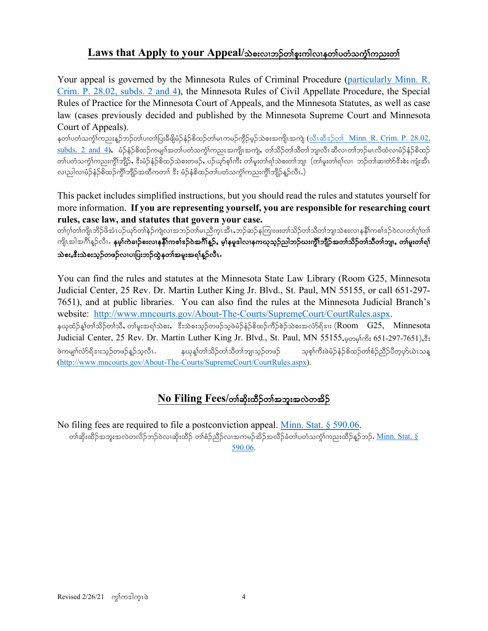# Laws that Apply to your Appeal/သဲစးလၢဘ**်တ္ပ္ကိစူးကါလၤနတ္ပ္ပါတဲ့သက္ပ္ပါတည္း**တ္ပါ

Your appeal is governed by the Minnesota Rules of Criminal Procedure [\(particularly Minn. R.](https://www.revisor.mn.gov/court_rules/cr/id/28/#28.02)  [Crim. P. 28.02, subds. 2 and 4\)](https://www.revisor.mn.gov/court_rules/cr/id/28/#28.02), the Minnesota Rules of Civil Appellate Procedure, the Special Rules of Practice for the Minnesota Court of Appeals, and the Minnesota Statutes, as well as case law (cases previously decided and published by the Minnesota Supreme Court and Minnesota Court of Appeals).

နတၤ်ပတံသက္ငံၤ်ကညးနူဉ်ဘဉ်တၤ်ပ၊တၤ်ပြးခီဖျိမံဉ်နံဉ်စိထဉ်တၤ်မၤကမဉ်ကွိဉ်မှဉ်သဲစးအကျိၤအကျဲ (<u>လီၤဆီဒဉ်တ1် Minn. R. Crim. P. 28.02,</u>  $\frac{\text{subds}}{2}$  and 4), မံဉ်နံဉ်စိထဉ်ကမျာ်အတာ်ပတံသက််ုကညးအကျို၊အကျဲ, တာသိဉ်တာ်သိတာ်ဘျာလီ၊ ဆီလၢတာ်ဘဉ်မၤလိထံလၢမံဉ်နံဉ်စိထဉ် တၢ်ပတံသက္ငံ)ကညးကွိၤ်ဘျိဉ်, ဒီးမံဉ်နံဉ်စိထဉ်သဲစးတဖဉ်, ပဉ်ယှာ်စ့၊်ကီး တ၊်မူးတ၊်ရ၊်သဲစးတ၊်ဘျ၊ (တ၊်မူးတ၊်ရ၊်လ၊ ဘဉ်တ၊်ဆ၊တာ်ဒီးစဲး ကျံးအီၤ လၢညါလၢမံဉ်နံဉ်စိထဉ်ကွိၢ်ဘျိဉ်အထိကတၢါ ဒီး မံဉ်နံစိထဉ်တ၊်ပတံသကွံၢ်ကညးကွိၢ်ဘျိဉ်နှဉ်လီၤ.)

This packet includes simplified instructions, but you should read the rules and statutes yourself for more information. **If you are representing yourself, you are responsible for researching court rules, case law, and statutes that govern your case.**

တၢ်ဂ့ၢ်တၢ်ကျိၤဘိဉ်ဖိအံၤပဉ်ယှာ်တ၊်နဲ့ဉ်ကျဲလ၊အဘဉ်တ၊်မၤညီကူးအီၤႇဘဉ်ဆဉ်နကြူးဖးတ၊်သိဉ်တ၊်သိတ၊်ဘျာသဲစးလ၊နနိ1်ကစၢ်ဒဉ်ဝဲလ၊တ၊်ဂ့၊်တ၊် ကျိၤအါအဂိၢိန္ဉ်လိၤ**. နမ္1ကဲခၢဉ်စးလၢနနိ1်ကစၤ်ဒဉ်ဝဲအဂိၢိန္ဉ်, မ္1နမူဒါလ၊နကဃုသူဉ်ညါဘဉ်ဃးကွိ1်ဘိုဉ်အတၤ်သိဉ်တၤ်သိတၤ်ဘျ၊, တၤ်မူးတၤ်ရ1်** သဲစးႇၖိဳးသဲစးသ္ဉ်ာတဖဉ်လၢပၢပြးဘဉ်ထွဲနတၢ်အမူးအရၢ်န္**ဉ်လီၤ** 

You can find the rules and statutes at the Minnesota State Law Library (Room G25, Minnesota Judicial Center, 25 Rev. Dr. Martin Luther King Jr. Blvd., St. Paul, MN 55155, or call 651-297- 7651), and at public libraries. You can also find the rules at the Minnesota Judicial Branch's website: [http://www.mncourts.gov/About-The-Courts/SupremeCourt/CourtRules.aspx.](http://www.mncourts.gov/About-The-Courts/SupremeCourt/CourtRules.aspx) နယုထံဉ်နှုတ်၊သိဉ်တ၊်သီ, တ၊်မူးအရ၊်သဲစး, းီးသဲစးသုဉ်တဖဉ်သူဖဲမံဉ်နံဉ်စိထဉ်ကီဉ်စဲဉ်သဲစးအလံာ်ရိဒးး (Room G25, Minnesota

Judicial Center, 25 Rev. Dr. Martin Luther King Jr. Blvd., St. Paul, MN 55155, popins: 651-297-7651), &: ဖဲကမျာၤ်လံာရိုဒူးသည်တဖဉ်နည်သူလီၤ. နယုနှုတ်၊သိဉ်တ၊်သီတ၊်ဘျ၊သည်တဖဉ် သူစွ၊်ကီးဖဲမံဉ်နံဉ်စိထဉ်တ၊်စံဉ်ညီဉ်ပီတူဟုယ်ၤသန္ [\(http://www.mncourts.gov/About-The-Courts/SupremeCourt/CourtRules.aspx\)](http://www.mncourts.gov/About-The-Courts/SupremeCourt/CourtRules.aspx).

# $\overline{N}$ o Filing Fees/တါဆိုးထိဉ်တါအဘူးအလဲတအိဉ်

No filing fees are required to file a postconviction appeal. [Minn. Stat. § 590.06.](https://www.revisor.mn.gov/statutes/?id=590.06) တါဆိုးထိဉ်အဘူးအလဲတလိဉ်ဘဉ်ဝဲလ၊ဆိုးထိဉ် တါစံဉ်ညီဉ်လ၊အကမဉ်အိဉ်အလိဉ်ခံတါပတံသကွံၤ်ကညးထိဉ်နှဉ်ဘဉ်. <u>Minn. Stat. §</u> [590.06.](https://www.revisor.mn.gov/statutes/?id=590.06)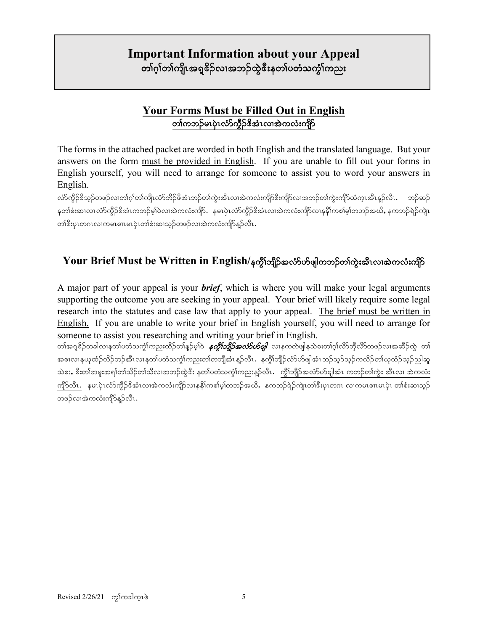# **Important Information about your Appeal** တၢ်ဂ္ဂါတ၊်ကျိၤအရှူဒိဉ်လၢအဘဉ်ထွဲဒီးနတၢ်ပတံသက္ငံ၊်ကညး

# **Your Forms Must be Filled Out in English** တၢ်ကဘဉ်မၤပုံၤလံာ်ကွီဉ် $\mathbf{\hat{s}}$ အံၤလ၊အဲကလံးကျိဉ်

The forms in the attached packet are worded in both English and the translated language. But your answers on the form must be provided in English. If you are unable to fill out your forms in English yourself, you will need to arrange for someone to assist you to word your answers in English.

လ်ာ်ကွိဉ်ဒိသူဉ်တဖဉ်လ၊တၢ်ဂုၢ်တ၊်ကျိၤလံာ်ဘိဉ်ဖိအံၤဘဉ်တ၊်ကွဲးအီၤလ၊အဲကလံးကျိဉ်ဒီးကျိဉ်လ၊အဘဉ်တ၊်ကွဲးကျိဉ်ထံကူၤအီၤနူဉ်လီၤ နတၢ်စီးဆ၊လ၊ လံာ်ကွိဉ်ဒိအံၤကဘဉ်မှါဝဲလ၊အဲကလံးကျိာ်. နမၤပုံၤလံာ်ကွိဉ်ဒိအံၤလ၊အဲကလံးကျိဉ်လ၊နနိ1်ကစါမှါတဘဉ်အယိႇ နကဘဉ်ရဲဉ်ကျဲ၊ တၢိဒီးပုၤတဂၤလၢကမၤစၢမၤပုဲၤတၢ်စံးဆၢသ္၄်တဖဉ်လၢအဲကလံးကျိာ်နဉ်လီၤ**.** 

# **Your Brief Must be Written in English/နက္ဂို်ဘျိုာ်အလံSဟ်ဖျါကဘဉ်တါကွဲးအီးလ၊အဲကလံးကျိုာ်**

A major part of your appeal is your *brief*, which is where you will make your legal arguments supporting the outcome you are seeking in your appeal. Your brief will likely require some legal research into the statutes and case law that apply to your appeal. The brief must be written in English. If you are unable to write your brief in English yourself, you will need to arrange for someone to assist you researching and writing your brief in English.

တၢ်အရူဒိဉ်တခါလၢနတၢ်ပတံသက္ဂၤ်ကညးထိဉ်တၢ်နူဉ်မ့ၢ်ဝဲ *နက္ဂ်ီးဘျီဉ်အလံ>်ပာဖျါ လ*ၢနကတဲဖျါနသဲစးတၢ်ဂ္၊်လိ၁်ဘိုလိ>်တဖဉ်လၢအဆိဉ်ထွဲ တၢ် အစၢလၢနယုထံဉ်လိဉ်ဘဉ်အီၤလၢနတၢ်ပတံသက္ဂၢ်ကညးတၢ်တဘျိအံၤန္ဥာလိၤ. နက္ဂိၢ်ဘျိဉ်လံာ်ပာဖျါအံၤဘဉ်သူဉ်ဘုတ်လိဉ်တ၊်ယုထံဉ်သူဉညါဆူ သဲစး, ဒီးတ၊်အမူးအရ၊်တ၊်သိဉ်တ၊်သိလ၊အဘဉ်ထွဲဒီး နတ၊်ပတံသက္ဂါကညးနဉ်လီၤ. ကွိၢ်ဘျိဉ်အလံာ်ဟ်ဖျါအံၤ ကဘဉ်တ၊်ကွဲး အီၤလ၊ အဲကလံး ကျိ $\beta$ လီၤ $\cdot$  နမၤပုံၤလံာ်ကွိဉ် $\mathcal C$ အံၤလၢအဲကလံးကျိ $\mathcal G$ လၢနနိ $\mathfrak f$ ကစ $\mathfrak f$ စ်ာတဉ်နှစ်သို့ နကဘဉ်ရဲဉ်ကျဲၤတ $\mathfrak f$ ီးပု၊တဂၤ လၢကမၤစၢ၊မၤပုံၤ တၢ်စီးဆၢသ္ $\mathcal G$ တဖဉ်လၢအဲကလံးကျိာ်နူဉ်လီၤ.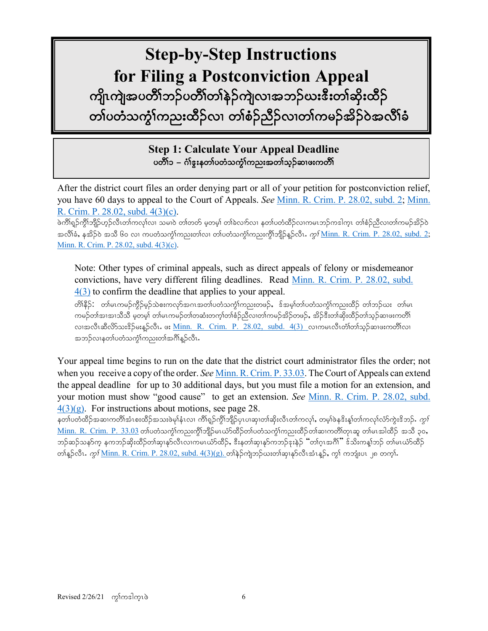# **Step-by-Step Instructions for Filing a Postconviction Appeal** ကျိုးကျွံအပတိိၢ်ဘဉ်ပတိၢ်တၢ်နဲ့ဉ်ကျဲလၢအဘဉ်ဃးဒီးတ၊်ဆိုးထိဉ် တၢ်ပတံသကွံၤ်ကညးထိဉ်လ၊ တၢ်စံဉ်ညိႆဉ်လ၊တၢ်ကမဉ်အိဉ်ဝဲအလိၢ်ခံ

**Step 1: Calculate Your Appeal Deadline** ပတိႆၢ၁ – ဂံၢ်ဴઙူးနတၢ်ပတံသက္ခံၫ်ကညးအတၢ်သ္ဥဆၢဖးကတိႆၢ

After the district court files an order denying part or all of your petition for postconviction relief, you have 60 days to appeal to the Court of Appeals. *See* [Minn. R. Crim. P. 28.02, subd. 2;](https://www.revisor.mn.gov/court_rules/cr/id/28/#28.02) [Minn.](https://www.revisor.mn.gov/court_rules/rule.php?type=cr&id=28#28.02) R. Crim. P. 28.02, subd. [4\(3\)\(c\).](https://www.revisor.mn.gov/court_rules/rule.php?type=cr&id=28#28.02)

ဖဲကိၢရှဉ်ကွိၢ်ဘျိဉ်ဟှဉ်လီၤတၢ်ကလုၤ်လ၊ သမၢဝဲ တၢ်တတ် မှတမ့၊် တၢ်ခဲလၢာ်လ၊ နတၤ်ပတံထိဉ်လ၊ကမၤဘဉ်ကဒါက္ၤ တၢ်စံဉ်ညီလ၊တၢ်ကမဉ်အိဉ်ဝဲ အလိါ်ခံ, နအိဉ်ဝဲ အသိ ၆၀ လ၊ ကပတံသကွံ $\delta$ ကညးတ $\delta$ လ၊ တ $\delta$ ပတံသကွံ $\delta$ ကညးကွိ $\delta$ ဘိုု $\delta$ နှဉ်လီၤ.  $\alpha$ ု $\delta$  <u>Minn. R. Crim. P. 28.02, subd. 2</u>; Minn. R. Crim. P. 28.02, subd. [4\(3\)\(c\).](https://www.revisor.mn.gov/court_rules/rule.php?type=cr&id=28#28.02)

Note: Other types of criminal appeals, such as direct appeals of felony or misdemeanor convictions, have very different filing deadlines. Read [Minn. R. Crim. P. 28.02, subd.](https://www.revisor.mn.gov/court_rules/rule.php?type=cr&id=28#28.02)  [4\(3\)](https://www.revisor.mn.gov/court_rules/rule.php?type=cr&id=28#28.02) to confirm the deadline that applies to your appeal.

တိ၊ိနိဉ်: တါမၤကမဉ်ကိုဉ်မှဉ်သဲစးကလှာ်အဂၤအတ၊်ပတံသက္ငါကညးတဖဉ်, ဒ်အမ္)တ၊်ပတံသက္ငါကညးထိဉ် တ၊်ဘဉ်ယႏ တ၊်မၤ ကမဉ်တါအ၊အ၊သီသိ မှတမ့ါ တါမၤကမဉ်တါတဆံးတက့ါတါစံဉ်ညီလ၊တါကမဉ်အိဉ်တဖဉ်, အိဉ်ဒီးတါဆိုးထိဉ်တါသူဉ်ဆ၊ဖးကတိါ လၢအလီၤဆီလိ $\delta$ သး $\delta$ ဉ်မးန္ $\delta$ လီၤ. ဖး <u>[Minn. R. Crim. P. 28.02, subd. 4\(3\)](https://www.revisor.mn.gov/court_rules/rule.php?type=cr&id=28#28.02)</u> လ၊ကမၤလီၤတံါတါသူဉ်ဆ၊ဖးကတိါလ၊ အဘဉ်လၢနတၢ်ပတံသက္ငါ်ကညးတၢ်အဂိၢန္ဉ်လီၤ $\centerdot$ 

Your appeal time begins to run on the date that the district court administrator files the order; not when you receive a copy of the order. *See Minn. R. Crim. P.* 33.03. The Court of Appeals can extend the appeal deadline for up to 30 additional days, but you must file a motion for an extension, and your motion must show "good cause" to get an extension. *See* Minn. R. Crim. P. [28.02, subd.](https://www.revisor.mn.gov/court_rules/rule.php?type=cr&id=28#28.02)   $4(3)(g)$ . For instructions about motions, see page 28.

နတၤ်ပတံထိဉ်အဆၢကတိၢိအံၤစးထိဉ်အသးဖဲမှၢ်နံၤလ၊ ကိၢရှဉ်ကွိၢ်ဘျိဉ်ပုၤပ၊ဆု၊တ၊်ဆိုးလီၤတ၊်ကလု၊်, တမ့္ပြဲနဒိးန္၊်တ၊်ကလု၊်လံာ်ကွဲးဒိဘဉ်. *ကွၤ်*  $\underline{\text{Minn. R. Crim. P. 33.03}}$  $\underline{\text{Minn. R. Crim. P. 33.03}}$  $\underline{\text{Minn. R. Crim. P. 33.03}}$  တ $\omega$ တံသကဲ့ $\Omega$ ကညးကို $\Omega$ ှိုမ်းယ်ာ်ထိဉ်တ $\Omega$ တံသကဲ့ $\Omega$ ကညးထိဉ်တ $\Omega$ အာ(တိုကည $\Omega$ နော တ $\Omega$ ောဆို ၃၀, ဘဉ်ဆဉ်သနာ်က္ နကဘဉ်ဆိုးထိဉ်တါဆု၊နုာ်လီၤလ၊ကမၤယံာ်ထိဉ်, ဒီးနတါဆု၊နုာ်ကဘဉ်ဒုးနဲဉ် "တါဂ္ၤအဂိၢ်" ဒ်သိးကန္၊်ဘဉ် တါမၤယံာ်ထိဉ် တၢ်န္နာ်လီၤ. ကွ<sup>႔</sup> <u>Minn. R. Crim. P. [28.02, subd. 4\(3\)\(g\).](https://www.revisor.mn.gov/court_rules/rule.php?type=cr&id=28#28.02)</u> တၢ်နဲခ်ကျဲဘဉ်ယးတ၊်ဆု၊နုာ်လီၤအံၤန္နာ်, ကွ၊် ကဘျံးပၤ ၂၈ တက္၊်.

֘֒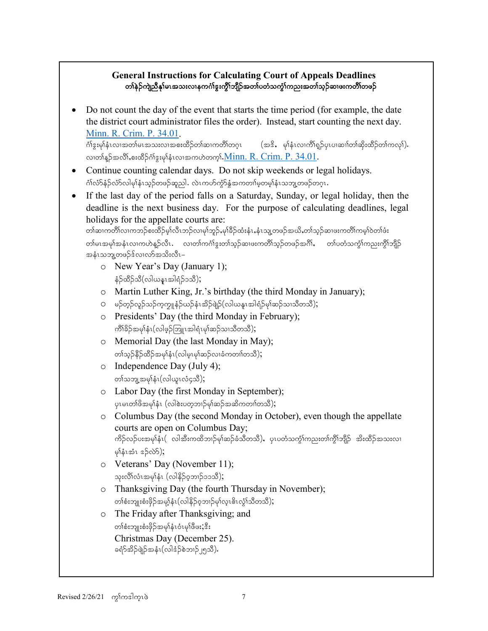### **General Instructions for Calculating Court of Appeals Deadlines** တၢ်နဲဉ်ကျဲညီနှၤ်မၤအသးလၢနကဂၢိဇ္ဇးကွိၢ်ဘျိဉ်အတၤ်ပတံသက္ခံၤ်ကညးအတၢ်သ္ဉ်ဆၢဖးကတိၢ်တဖဉ်

• Do not count the day of the event that starts the time period (for example, the date the district court administrator files the order). Instead, start counting the next day. <u>Minn. R. Crim. P. 34.01</u>.<br>ດໍາຈະຍ<sup>ິ</sup>ງနံၤလ၊အတါမၤအသးလ၊အစးထိဉ်တါဆ၊ကတိၢ်တဂ္ၤ

 $^{2}$ (အ $^{2}$ , မှါနံၤလၢကိၢရှဉ်ပုၤပၢဆၢါတါဆိုးထိဉ်တါကလု $\Omega$ ). လ၊တါန္ဥာ်အလိၤ်,စးထိဉ်ဂါဒွးမုုနုံးလ၊အကဟဲတက္မ္ပါ.<u>Minn. R. Crim. P. 34.01</u>.

- Continue counting calendar days. Do not skip weekends or legal holidays. ဂံၢလ်ာနဉ်လံာလါမှါနံၤသ္ဥတဖဉ်ဆူညါ. လဲၤကဟ်ကွာ်နွံအကတၢါမူတမူါနံၤသဘူ့တဖဉ်တဂူၤ.
- If the last day of the period falls on a Saturday, Sunday, or legal holiday, then the deadline is the next business day. For the purpose of calculating deadlines, legal holidays for the appellate courts are:

```
တါဆၢကတိါလ၊ကဘဉ်စးထိဉ်မ့၊်လိၤဘဉ်လ၊မု၊်ဘူဉ်ႇမု၊်ခိဉ်ထံးနံၤႇနံၤသျ့တဖဉ်အယိႇတ၊်သ့ဉ်ဆ၊ဖးကတိါကမ့၊်ဝဲတ၊်ဖံး
တါမၤအမှၤ်အနံၤလၢကဟဲနဉ်လီၤ လၢတၢ်ကင်္ဂါဒူးတၢ်သ္ဉ်ဆၢဖးကတိၢ်သ္ဉ်တဖဉ်အင်္ဂါ, တၢ်ပတံသကဲ့ၤ်ကညးကိုၤဘိုဉ်
အနံၤသဘျ့တဖဉ်ဒ်လၢလာ်အသိးလီၤ–
```
- o New Year's Day (January 1);  $\frac{1}{2}$ တိုက်ခြင်းမြစ်မျှ များအခြင်းခဲ့သူ များ
- o Martin Luther King, Jr.'s birthday (the third Monday in January);
- O မဉ်တုဉ်လှဉ်သဉ်ကူကျုနံဉ်ယဉ်နံၤအိဉ်ဖျဲဉ်(လါယနူၤအါရံဉ်မှၢ်ဆဉ်သၢသိတသီ);
- o Presidents' Day (the third Monday in February);  $\beta$ ကိ $\beta$ ဉ်အမှ $\alpha$ နံ $\alpha$ (လါဖွ $\beta$ ဘြူ $\alpha$ အါရံ $\alpha$ မှ $\beta$ ဆဉ်သ $\alpha$ သီ $\beta$ );
- o Memorial Day (the last Monday in May); တ)်သူဉ်နိဉ်ထိဉ်အမှ $\mathfrak{f}_\mathfrak{p}$ (လါမှ $\mathfrak{p}_\mathfrak{p}$ မြာလ)စ်ကတ $\mathfrak{p}_\mathfrak{p}$
- o Independence Day (July 4); တၢဴသဘူ့အမှၢ်နံ $1$ (လါယူ $1$ လံ၄သိ);
- o Labor Day (the first Monday in September);  $\alpha$ ပုမၤတ $\beta$ ဖိအမှါနံး  $(\alpha\beta\alpha\alpha\beta)$ းပတ္စဘၤာ်မှာဆိုအဆိကတၢါတသီ);
- o Columbus Day (the second Monday in October), even though the appellate courts are open on Columbus Day; ကိဉ်လှ်ပးအမှါနံၤ( လါအီးကထိဘၢဉ်မု၊်ဆဉ်ခံသီတသီ), ပုၤပတံသက္ငံ၊်ကညးတ၊်ကွိၢ်ဘျိဉ် အိးထိဉ်အသးလ၊  $\varphi$ န်းအံၤ $\varphi$ ာ်လဲ $\varphi$ );
- o Veterans' Day (November 11); သုးလိ်္ဂလံၤအမှါနံၤ (လါနိဉ်ဝ့ဘၢဉ်၁၁သိ);
- o Thanksgiving Day (the fourth Thursday in November); တစ်းဘျုးစံးဖိုဉ်အမှုနံး(လါနိဉ်ဝ့ဘၢဉ်မှါလူး၆ၤလွံၢ်သိတသိ);
- o The Friday after Thanksgiving; and တ)်စ $\mathcal{P}$ းတီးဖိုဉ်အမှါနံၤဝံၤမှါဖိဖ $\mathcal{P}$ း $\mathcal{P}$ း Christmas Day (December 25). ခရံာ်အိဉ်ဖျဲဉ်အနံၤ(လါဒံဉ်စဲဘၤဉ်၂၅သီ).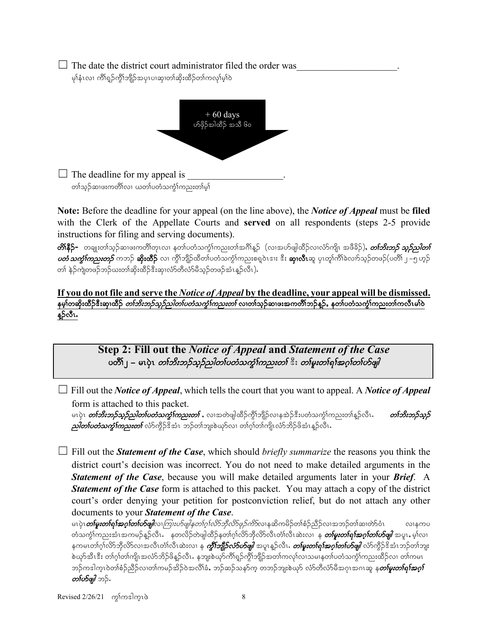| $\Box$ The date the district court administrator filed the order was |  |
|----------------------------------------------------------------------|--|
| မု)နံၤလ၊ ကိါရှဉ်ကွိၢ်ဘျိဉ်အပှၤပၢဆု၊တါဆိုးထိဉ်တၢ်ကလု၊်မ့ၢ်ဝဲ          |  |



**Note:** Before the deadline for your appeal (on the line above), the *Notice of Appeal* must be **filed** with the Clerk of the Appellate Courts and **served** on all respondents (steps 2-5 provide instructions for filing and serving documents).

**တိ၊နိဉ်–** တချုးတ၊်သ္ဉ်ဆ၊ဖးကတိ၊်တုၤလ၊ နတ၊်ပတံသကွဲ၊်ကညးတ၊်အဂိၢိန္ဉာ် (လ၊အဟ်ဖျါထိဉ်လ၊လံာ်ကျိၤ အဖိခိဉ်), *တၤ်ဘိးဘဉ် သူဉ်ညါတၤ်*  $\omega$ တံ $\omega$ က်ကြ $\omega$ းတ $\beta$  ကဘဉ် **ဆိုးထိ**ဉ် လ၊ ကွိၢ်ဘျိဉ်ထိတၢ်ပတံသက္ခံ၊်ကညးစရူဝဲၤဒၢး ဒီး **ဆု၊လီၤ**ဆူ ပုၤတု၊်ကိၢ်ခဲလၢာ်သုဉ်တဖဉ် $(\omega$ တိ၊ ၂ –၅ ဟုဉ် တ)် နဲဉ်ကျဲတဖဉ်ဘဉ်ယးတ၊်ဆိုးထိဉ်ဒီးဆု၊လံာ်တီလံာမိသ္ဉ်တဖဉ်အံၤန္ဉာလီၤ).

### **If you do not file and serve the** *Notice of Appeal* **by the deadline, your appeal will be dismissed.**  နမ့)်တဆိုးထိဉ်ဒီးဆု၊ထိဉ် *တၤ်ဘိးဘဉ်သှဉ်ညါတၤ်ပတံသကွဲၤ်ကညးတၤ်* လ၊တၢ်သုဉ်ဆ၊ဖးအကတိၤ်ဘဉ်နူဉ်, နတၤ်ပတံသကွဲၤ်ကညးတၢ်ကလီၤမါဝ နူဉ်လီၤ.

**Step 2: Fill out the** *Notice of Appeal* **and** *Statement of the Case* ပတိၤြ – မၤပုဲၤ *တၤ်ဘိးဘဉ်သူဉ်သါတၤ်ပတံသက္*ၤ်က*ညးတၤ်* ီး *တၤ်မူးတၤ်ရၤ်အဂ္ဂၤ်တၤ်ဟ်ဖျါ* 

☐ Fill out the *Notice of Appeal*, which tells the court that you want to appeal. A *Notice of Appeal* form is attached to this packet.

မၤပုဲၤ *တ်ဘိးဘှာ်သူဉ်ညါတၤ်ပတံသကွၤ်ကညးတၤ် ,* **လၢ**အတဲဖျါထိဉ်ကွိၤ်ဘျိဉ်လ၊နအဲဉ်ဒီးပတံသကွၤ်ကညးတၤ်နူဉ်လီၤ. *တြော်အာဉ်သူဉ်*  $\rho$ တ်ကားတွေကြောင်းတွင် အသည် အသည် အသုံးအတွင်းများကို တုပ်လုံးကိုကြွယ်သည်အသုံးများများ

☐ Fill out the *Statement of the Case*, which should *briefly summarize* the reasons you think the district court's decision was incorrect. You do not need to make detailed arguments in the *Statement of the Case*, because you will make detailed arguments later in your *Brief*. A *Statement of the Case* form is attached to this packet. You may attach a copy of the district court's order denying your petition for postconviction relief, but do not attach any other documents to your *Statement of the Case*.

မၤပုံၤ**တၢ်***မူးတ***၊်ရၢ်***အဂ္***ဂ်တ၊်ဟ်***ဖျါ***လ၊***ကြုးဟ်ဖျါနတၢ်ဂု၊်လိာ်ဘိုလိာ်ဖုဉ်ကိ***ာ်လ၊နဆိကမိဉ်တ၊်စံဉ်ညီဉ်လ၊အဘဉ်တ၊်ဆ၊တ်ာဝံၤ လ၊နကပ** တံသက္ဂါကညးအံၤအကမဉ်န္ဉာ်လီၤ နတလိဉ်တဲဖျါထိဉ်နတၢ်ဂ့ၢ်လိာဘိုလိာလီၤတံၢလီၤဆဲးလၢ န *တ်မူးတၢ်ရၢ်အဂ္ဂ၊်တပ်ဖျါ အပူ*ၤ, မ့္လ်ာ၊ နကမၤတၢ်ဂ္၊်လိ>်ဘိုလိ>်လၢအလီၤတံ၊လီၤဆဲးလ၊ န *ကွီၤ်ဘျီဉ်လံာ်ဟ်ဖျါ* အပူၤန္ဥာလီၤ*. တြမူးတၢ်ရၢ်အဂ္၊်တၤ်ဟ်ဖျါ လံ*ာ်ကွီဉ်ဒိအံၤဘဉ်တၢ်ဘျး စဲယှာ်အီၤဒီး တၢ်ဂ္ဂါတ၊်ကျိၤအလံာ်ဘိဉ်ဖိန္ဥ်လီၤႉ နဘူးစဲယှာ်ကီၢိရူဥ်ကွိၢ်ဘျိဉ်အတၢ်ကလု၊်လၢသမၢနတၢ်ပတံသကွံၢ်ကညးထိဉ်လၢ တ၊်ကမၤ ဘဉ်ကဒါက္ၤဝဲတၢ်စံဉ်ညီဉ်လ၊တၢ်ကမဉ်အိဉ်ဝဲအလိၢ်ခံႇ ဘဉ်ဆဉ်သနာ်က္ တဘဉ်ဘျးစဲယုာ် လံာ်တီလံာ်မီအဂုၤအဂၤဆူ နု*တၢ်မူးတၢ်ရၢ်အဂူ၊်* တ*ဂ်ဟ်ဖျါ* ဘဉ်.

 $\text{Revised } 2/26/21 \quad \text{cylon}$ ါတ္ပါတ္ပ $\delta$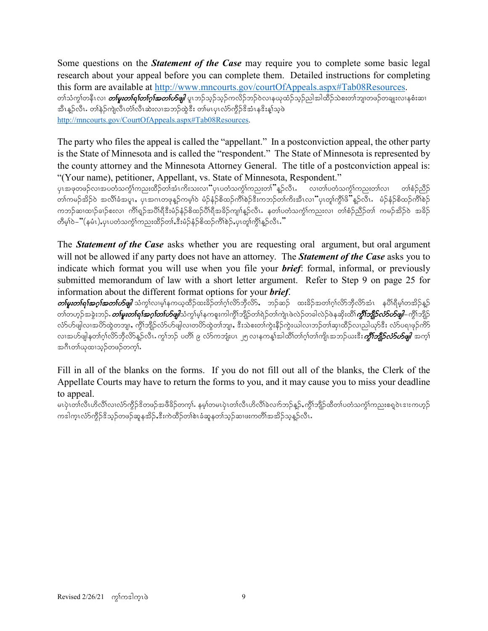Some questions on the *Statement of the Case* may require you to complete some basic legal research about your appeal before you can complete them. Detailed instructions for completing this form are available at http://www.mncourts.gov/courtOfAppeals.aspx#Tab08Resources. တါသံကွါတနီၤလ၊ *တါမူးတါရါတါဂူါအတၤ်ဟိဖျါ* ပူးဘဉ်သူဉ်ကလိဉ်ဘဉ်ဝဲလၢနယုထံဉ်သူဉ်ညါအါထိဉ်သဲစးတါဘျ၊တဖဉ်တချုးလၢနစံးဆ၊ အီၤန္ဥလီၤ. တါနဲ့ဥကျဲလီၤတံ၊လီၤဆဲးလၢအဘဉ်ထွဲဒီး တ၊်မၤပုၤလံာ်ကွိဉ်ဒိအံၤနဒိးန္1သူဖဲ [http://mncourts.gov/CourtOfAppeals.aspx#Tab08Resources.](http://mncourts.gov/CourtOfAppeals.aspx#Tab08Resources)

The party who files the appeal is called the "appellant." In a postconviction appeal, the other party is the State of Minnesota and is called the "respondent." The State of Minnesota is represented by the county attorney and the Minnesota Attorney General. The title of a postconviction appeal is: "(Your name), petitioner, Appellant, vs. State of Minnesota, Respondent."

ပုၤအဖုတဖဉ်လၢအပတံသကွံါကညးထိဉ်တါအံၤကိးသးလၢ<sup>"</sup>ပုၤပတံသကွံါကညးတ<sup>ု</sup>"န္ဉာလိၤႉ လ၊တၢ်ပတံသကွံါကညးတါလ၊ တါစံဉ်ညီဉ် <u>တါကမဉ်အိ</u>ဉ်ဝဲ အလိၢ်ခံအပူၤ, ပုၤအဂၤတဖုန္ဉာကမ္၊ါဝဲ မံဉ်နံဉ်စိထဉ်ကိၢိစဉ်ဒီးကဘဉ်တါကိုးအီၤလ၊ "ပုၤတု၊ကို၊ဖိုႛန္ဉာလီၤ ကဘဉ်ဆ၊ထ၊ဉ်ခ၊ဉ်စးလ၊ ကိၢရှဉ်အပိုးရီဒီးမံဉ်နံဉ်စိထဉ်ပိုးရီအခိဉ်ကျ၊်နူဉ်လီး နတၤ်ပတံသကွဲၤ်ကညးလ၊ တၢ်စံဉ်ညီဉ်တ၊် ကမဉ်အိဉ်ဝဲ အခိဉ် တိမ့်၊်ဝဲ– "(နမံၤ),ပုၤပတံသက္ဂၤ်ကညးထိဉ်တၢ်ႇဒီးမံဉ်နံဉ်စိထဉ်ကိၢိစဉ်,ပုၤတူ၊်ကွိၤ်န္ဉာလီၤ."

The *Statement of the Case* asks whether you are requesting oral argument, but oral argument will not be allowed if any party does not have an attorney. The *Statement of the Case* asks you to indicate which format you will use when you file your *brief*: formal, informal, or previously submitted memorandum of law with a short letter argument. Refer to Step 9 on page 25 for information about the different format options for your *brief*.

 $\emph{on}$ မူးတ $\emph{for}$ အဂ္ဂါအတ $\emph{for}$ ဖြူ သံကွ $\emph{for}$ ရာရာကမ္ဘာတိုင်းသည်တုံကိုလိ $\emph{for}$ တိုလ် $\emph{for}$  တာကိုလိ $\emph{for}$ တိုလိုအ $\emph{for}$ ာအိ $\emph{for}$ တၢ်တဟ္ဥ်အခွဲးဘဥ်**.** *တၢ်မူးတၢ်ရၢ်အဂ္ဂၢ်တပ်မျှါ***သံ**ကွါမ့ှါနကစူးကါကွိၢ်ဘျိဉ်တာကြဲျပုံလည်တခါလည်ဖဲ့နဆိုးထိ၊်*ကွိၤ်ဘျိဉ်လံ5ဟ်မျါ–* ကွိၢ်ဘျိဉ် လ်ာ်ပာ်ဖျါလ၊အဟိထွဲတဘျ၊, ကိုၤ်ဘျိဉ်လံာ်ပာ်ဖျါလ၊တဟိထွဲတ၊်ဘျ၊, ဒီးသဲစးတ၊်ကွဲးနိဉ်ကွဲးယါလ၊ဘဉ်တ၊်ဆု၊ထိဉ်လ၊ညါယှာ်ဒီး လ်ာ်ပရ၊ဖုဉ်ကိဉ် လၢအဟ်ဖျါနတၢ်ဂ္ဂါလိာ်ဘိုလိာန္ဉ်လီၤႉက္ဂါဘဉ် ပတိၢ်ဴ ၉ လံာ်ကဘျံးပၤ ၂၅ လၢနကန္1်အါထိ၊်တၢ်ဂ့ါတ၊်ကျိုးအဘဉ်ယးဒီး*ကို၊်ဘျိုဉ်လံ5ဟ်ဖျါ*းအက္ဂါ အဂီၤတၢ်ယုထၢသ္ဥ်တဖဉ်တက္ခါ.

Fill in all of the blanks on the forms. If you do not fill out all of the blanks, the Clerk of the Appellate Courts may have to return the forms to you, and it may cause you to miss your deadline to appeal.

မၤပုံၤတၢ်လီၤဟိလိၢ်လၢလံာကိုဉ်နိတဖဉ်အဖိခိဉ်တက္မ္မ်ား နမ္န၊်တမၤပုံၤတၤလီးပတ်လည်ခဲလည်နှဉ်, ကိုၤဘျိဉ်ထိတၤ်ပတဲ့သက္ခါကညးစရပဲၤဒးးကဟုဉ် ကဒါကူၤလံာ်ကွိဉ်ဒိသုဉ်တဖဉ်ဆူနအိဉ်,ဒီးကဲထိဉ်တၢ်စဲၤခံဆူနတၤ်သုဉ်ဆ၊ဖးကတိၢ်အအိဉ်သုန္ဉာလီၤ.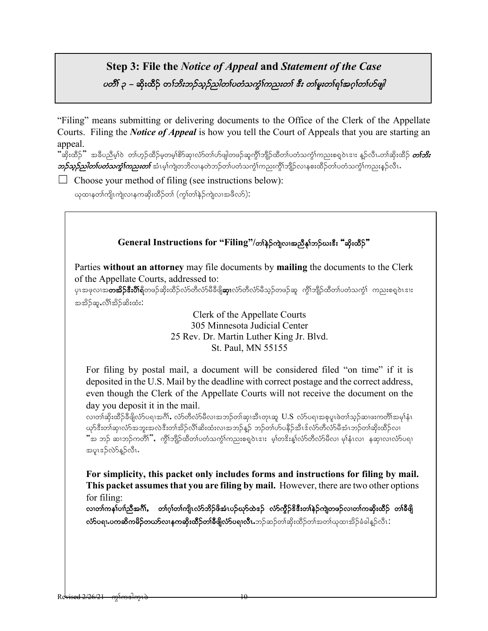# **Step 3: File the** *Notice of Appeal* **and** *Statement of the Case* vosi ၃ – ဆိုးထိဉ် တ*်ဘိးဘဉ်သူဉ်သါတၤ်ပတံသက္*င်္ဂက*ညးတၤ် ဒီး တၤ်မူးတၤ်ရၤ်အဂ္ဂါတၤ်ဟ်ဖျါ*

"Filing" means submitting or delivering documents to the Office of the Clerk of the Appellate Courts. Filing the *Notice of Appeal* is how you tell the Court of Appeals that you are starting an appeal.

ີ"ဆိုးထိဉ်" အခ်ိပညိမ့)်ဝဲ တါဟ္ဥ်ထိဉ်မှတမ့္ပါစိာဆု၊လံာတပ်တ်ဖျါတဖဉ်ဆူကွီ)ဘျိဉ်ထိတၤ်ပတံသက္ဂၤ်ကညးစရူဝဲၤဒၢး န္ဥလီၤ.တၢ်ဆိုးထိဉ် *တၤ်ဘိး*  $\rho$ ာ $\beta$ သူ $\beta$ ည $\ell$ တ်ဟော $\eta$ ာ်ကာ $\eta$ ားတာ် အံၤမ့ $\alpha$ ည်လာနတဲသနတဲသက်စာတိုကညးကို $\alpha$ ည်းကို $\beta$ လာနစးထိဉ်တ $\alpha$ ပတံသက္ငါကညးနဉ်လီၤ

 $\Box$  Choose your method of filing (see instructions below):

ယုထၢနတၢ်ကျိုးကျဲလၢနကဆိုးထိဉ်တၢ် (ကွၢ်တၢ်နဉ်ကျဲလ၊အဖီလာ်)**:** 

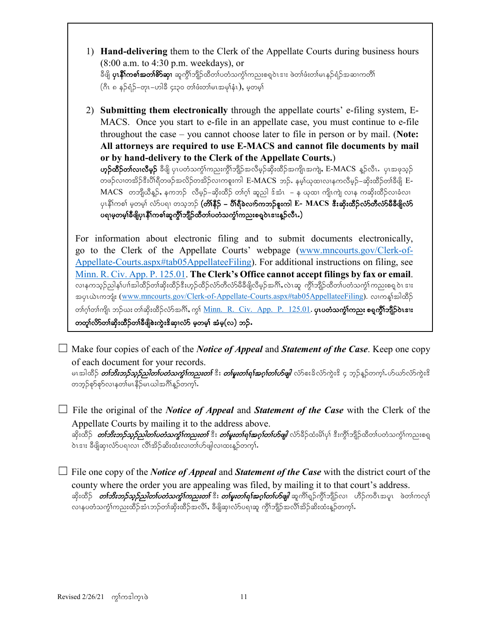- 1) **Hand-delivering** them to the Clerk of the Appellate Courts during business hours (8:00 a.m. to 4:30 p.m. weekdays), or ခီဖျိ **ပုၤနိ1်ကစါအတ1်စိာဆု၊** ဆူကွိၢ်ဘျိဉ်ထိတ1်ပတံသက္ငံ1်ကညးစရူဝဲၤဒၢး ဖဲတ1်ဖံးတ1်မၤနဉ်ရံဉ်အဆၢကတိ1်  $($ ဂီၤ ၈ နဉ်ရံဉ်–တုၤ–ဟါခီ ၄ႏ၃၀ တၢ်ဖံးတ၊်မၤအမှၢ်နံၤ), မှတမှ၊်
- 2) **Submitting them electronically** through the appellate courts' e-filing system, E-MACS. Once you start to e-file in an appellate case, you must continue to e-file throughout the case – you cannot choose later to file in person or by mail. (**Note: All attorneys are required to use E-MACS and cannot file documents by mail or by hand-delivery to the Clerk of the Appellate Courts.**) ဟ္မာ်ထိီာ်တာ်လ၊လီမှာ် ခီဖျိ ပုၤပတံသက္ငါ်ကညးကွိါဘျိဉ်အလိမ့ဉ်ဆိုးထိဉ်အကျိၤအကျဲ, E-MACS နူဉ်လီၤ. ပုၤအဖုသုဉ် တဖဉ်လ၊တအိဉ်ဒီးပိါရီတဖဉ်အလိဉ်တအိဉ်လ၊ကစူးကါ E-MACS ဘဉ်. နမ့္ပ်ယုထ၊လ၊နကလိမ့ဉ်–ဆိုးထိဉ်တ၊်ခီဖိုု E-MACS တဘျီယိန္္), နကဘဉ် လီမ့ဉ်–ဆိုးထိဉ် တၢ်ဂ့ၢ် ဆူညါ ဒ်အံၤ – န ယုထ၊ ကျိၤကျဲ လၢန ကဆိုးထိဉ်လၢခံလ၊ ပုၤနိၢ်ကစါ မှတမှါ လံာ်ပရ၊ တသ့ဘဉ် **(တိ၊နိဉ် – ပိ၊ရိခဲလက်ကဘဉ်စူးကါ E- MACS အီးဆိုးထိဉ်လံာ်တီလံာ်မီခီဖိျလံာ်** ပရၢမ္မတမ္န္ကုန္မွဳဖြဲ႔နဲ့ ကစ္ခုဆူတိုက္ခြဲညီသာပတ္၀င္ခဲ့တဲ့ က်ားစစ္ခင္ခဲ့တဲ့ က်ားစစ္ခင္ခဲ့တဲ့ မ

For information about electronic filing and to submit documents electronically, go to the Clerk of the Appellate Courts' webpage [\(www.mncourts.gov/Clerk-of-](http://www.mncourts.gov/Clerk-of-Appellate-Courts.aspx#tab05AppellateeFiling)[Appellate-Courts.aspx#tab05AppellateeFiling\)](http://www.mncourts.gov/Clerk-of-Appellate-Courts.aspx#tab05AppellateeFiling). For additional instructions on filing, see [Minn. R. Civ. App. P. 125.01.](https://www.revisor.mn.gov/court_rules/ap/subtype/rcap/id/125/#125.01) **The Clerk's Office cannot accept filings by fax or email**. လၢနကသ္ဉ်ညါန1်ပၢါအါထိဉ်တ1်ဆိုးထိဉ်ဒီးဟ္ဥာထိဉ်လံာတိလံာ်မီခီဖိုလီမှဉ်အင်္ဂါ, လဲၤဆူ ကွီၤ်ဘျိဉ်ထိတၤ်ပတံသကဲ့1်ကညးစရူ ဝဲၤ ဒၢႏ အပုၤယဲၤကဘျံး [\(www.mncourts.gov/Clerk-of-Appellate-Courts.aspx#tab05AppellateeFiling\)](http://www.mncourts.gov/Clerk-of-Appellate-Courts.aspx#tab05AppellateeFiling). လၢကန္၊်အါထိဉ် တၢ်ဂ္၊်တၢ်ကျိၤ ဘဉ်ယး တၢ်ဆိုးထိဉ်လံာ်အင်္ဂါ, ကွ၊် <u>Minn. R. Civ. App. P. 125.01</u>. **ပုၤပတံသက္ခံ၊်ကညး စရူကွိ၊်ဘျိဉ်ဝဲၤး၊း** တတူ၊်လိ>်တၢ်ဆိုးထိဉ်တၢ်ခီဖျိစဲးကွဲး<sup>ဥွ</sup>ဆု၊လံာ် မှတမှ၊် အံမှ(လ) ဘဉ်**.** 

☐ Make four copies of each of the *Notice of Appeal* and *Statement of the Case*. Keep one copy of each document for your records.

မၤအါထိဉ် *တ်ဘိးဘဉ်သုဉ်သါတ္ပ်ပတံသက္ခၤ်ကညးတြ*ီး *တစ်မူးတစ်ရစ်အဂ္ဂါတပ်တ်မျါ လံ*ာစးခိလံာ်ကဲ့းဒိ ၄ ဘုဉ်နဉ်တက္ခါ.ဟ်ယာလံာကဲ့းဒိ တဘူဉ်စှာ်စုာလၢနတၤ်မၤနိဉ်မၤယါအဂ်ိါန္ဥာ်တက္နၤ်

☐ File the original of the *Notice of Appeal* and *Statement of the Case* with the Clerk of the Appellate Courts by mailing it to the address above. ဆိုးထိဉ် *တၢ်ဘိးဘဉ်သူဉ်ညါတၤ်ပတံသက္ခံၤ်ကညးတၤ်* ဒီး *တၤ်မူးတၤ်ရၤ်အဂ္ဂၤ်တပ်ဖျါ လံ*ဉ်ခိဉ်ထံးမိၤ်ပု၊် ဒီးကွိၤ်ဘျိဉ်ထိတၤ်ပတံသက္ခံၤ်ကညးစရ dısı: ခီဖိုုဆု၊လံာ်ပရ၊လ၊ လိၢ်အိဉ်ဆိးထံးလ၊တ၊်ဟ်ဖျါလ၊ထးန္**ဉ်တက့**၊်.

☐ File one copy of the *Notice of Appeal* and *Statement of the Case* with the district court of the county where the order you are appealing was filed, by mailing it to that court's address. ဆိုးထိဉ် *တ်ဘိးဘဉ်သုဉ်သါတၤ်ပတံသကွဲ်းကညးတြ*ီး *တြမှူးတၤ်ရ<sup>ှ</sup>အဂူး်တၤ်ဟ်ဖျါ ဆူကိ*ၢ်ရှဉ်ကွိၤ်ဘျိဉ်လၢ ဟိဉ်ကဝိၤအပူၤ ဖဲတၤ်ကလုၤ် လၢနပတံသက္င်္ဂါကညးထိဉ်အားဘဉ်တ၊်ဆိုးထိဉ်အလိၢ်ႇ ခီဖျိဆု၊လံာပရၢဆူ ကွိၤဘျိဉ်အလိၢ်အိဉ်ဆိးထံးန္ဉာ်တက္၊်…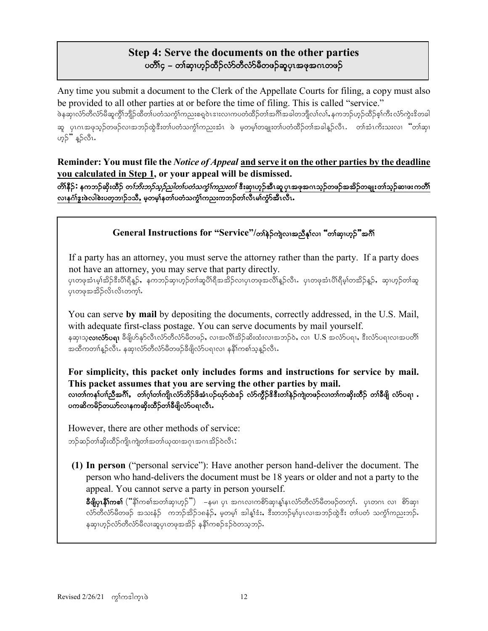# **Step 4: Serve the documents on the other parties** ပတိႆါ၄ – တါဆု၊ဟူဉ်ထိဉ်လံာတီလံာမီတဖဉ်ဆူပုၤအဖုအဂၤတဖဉ်

Any time you submit a document to the Clerk of the Appellate Courts for filing, a copy must also be provided to all other parties at or before the time of filing. This is called "service."

֖֚֚֚֬

ဖဲနဆု၊လံာ်တီလံာမိဆူကွိါဘျိဉ်ထိတါပတံသကွဲါကညးစရူဝဲၤဒၢးလ၊ကပတံထိဉ်တါအဂိါအခါတဘျိလ၊်လ၊်ႇနကဘဉ်ဟုဉ်ထိဉ်စ့၊်ကီးလံာ်ကွဲးဒိတခါ ဆူ ပုၤဂၤအဖုသူဉ်တဖဉ်လ၊အဘဉ်ထွဲဒီးတ၊်ပတံသက္ဂၤ်ကညးအံၤ ဖဲ မှတမှ၊်တချူးတ၊်ပတံထိဉ်တ၊်အခါနူဉ်လီၤ. တ၊်အံၤကိးသးလ၊ "တ၊်ဆု၊ ဟုဉ်" နူဉ်လီၤ.

**Reminder: You must file the** *Notice of Appeal* **and serve it on the other parties by the deadline you calculated in Step 1, or your appeal will be dismissed.**

တိ၊နီဉ်**:** နကဘဉ်ဆိုးထိဉ် တ*ါဘိးဘဉ်သူဉ်ညါတၤ်ပတံသက္ခံ ကြသးတၤ်* ဒီးဆု၊ဟ္ဥ်အီၤဆု ပုၤအဖုအဂၤသ္ဥ်တဖဉ်အအိဉ်တချုးတၢ်သူဉ်ဆၢဖးကတိ၊် လ၊နင်္ဂါဒူးဖဲလါစဲးပတ္စ္ကာ)ဉ်ာသီ, မွတမွှုနတ္ပါပတ္စ္ကာကွုံကညးကဘဉ်တ္ပါလီၤမ္ပါကွာ်အီၤလီၤ

# General Instructions for "Service"/တ<sup>န္</sup>ခ်က္ပြဲလျဖာ္အညီန<sup>္</sup>လ၊ "တ္)ေဆးတုိ့"အဂ်ီ

If a party has an attorney, you must serve the attorney rather than the party. If a party does not have an attorney, you may serve that party directly.

ပုၤတဖုအံၤမ့ါအိဉ်ဒီးပိါရီနူဉ်,နကဘဉ်ဆု၊ဟုဉ်တါဆူပိါရီအအိဉ်လ၊ပုၤတဖုအလိါနူဉ်လီၤ. ပုၤတဖုအံၤပိါရီမ့ါတအိဉ်နူဉ်,ဆု၊ဟုဉ်တါဆူ ပုၤတဖုအအိဉ်လိၤလိၤတက္နါ.

You can serve **by mail** by depositing the documents, correctly addressed, in the U.S. Mail, with adequate first-class postage. You can serve documents by mail yourself. နဆု၊သ္**လ၊လံ>်ပရ၊** ခီဖျိဟ်နှာ်လီၤလံာ်တီလံာ်မီတဖဉ်, လ၊အလီ၊်အိဉ်ဆိးထံးလ၊အဘဉ်ဝဲ, လ၊  $\rm\,U.S\,$ အလံာ်ပရ၊, ဒီးလံာ်ပရ၊လ၊အပတိ၊် အထိကတၢါန္ဉာလိၤ. နဆု၊လံာတီလံာမိတဖဉ်ခီဖျိလံာပရ၊လ၊ နနိ1်ကစၢ်သူန္ဉာလီၤ.

**For simplicity, this packet only includes forms and instructions for service by mail. This packet assumes that you are serving the other parties by mail.** လ၊တၢ်ကန၊်ပၢါညီအင်္ဂါ, တ၊်ဂ္ဂါတ၊်ကျိုးလံာ်ဘိဉ်ဖိအံၤပဉ်ယှာ်ထဲအဉ် လံာ်ကွီဉ်ဖိနီးတ၊်နဲဉ်ကျဲတဖဉ်လ၊တ၊်ကဆိုးထိဉ် တ၊်ခီဖိုု လံာ်ပရ၊ . ပကဆိကမိဉ်တယာ်လၢနကဆိုးထိဉ်တၢ်ခီဖျိလံာ်ပရၢလီၤ

However, there are other methods of service: ဘဉ်ဆဉ်တၢ်ဆိုးထိဉ်ကျိၤကျဲတၢ်အတ၊ံယုထၢအဂုၤအဂၤအိဉ်ဝဲလီၤ $\colon$ 

**(1) In person** ("personal service"): Have another person hand-deliver the document. The person who hand-delivers the document must be 18 years or older and not a party to the appeal. You cannot serve a party in person yourself.

 $\log$ ပြုန် $\delta$ ကစာ် $\left( \text{``} \S$ ကစ $\log$ ဘက်ဆု၊ $\varphi$ ် $\text{''} \right)$  – နမ၊ ပုၤ အဂၤလၢကစိ $\delta$ ဆု၊န္ $\delta$ နၤလႆာတီလႆာမိတဖဉ်တက္ $\delta$ . ပုၤတဂၤ လၢ စိ $\delta$ ဆု၊ လ်ာတိလ်ာမိတဖဉ် အသးနံဉ် ကဘဉ်အိဉ်၁၈နံဉ်, မှတမှ၊် အါန္၊်ဒံး, ဒီးတဘဉ်မှ၊်ပုၤလၢအဘဉ်ထွဲဒီး တ၊်ပတံ သက္ငံ၊်ကညးဘဉ်. နဆု၊ဟူဉ်လံာ်တီလံာမိလ၊ဆူပုၤတဖုအအိဉ် နနိ1်ကစဉ်ဒဉ်ဝဲတသူဘဉ်.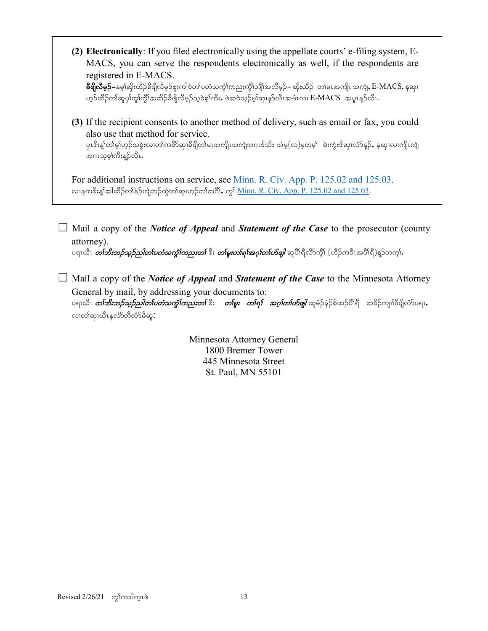**(2) Electronically**: If you filed electronically using the appellate courts' e-filing system, E-MACS, you can serve the respondents electronically as well, if the respondents are registered in E-MACS.

**ခ်ိဖြိုလီမှဉ်–**နမ့္ပ်ဆိုးထိဉ်ခ်ိဖိုလိမ့ဉ်စူးကါဝဲတၤ်ပတံသက္ဂၤ်ကညးကွိၢ်ဘျိၤ်အလိမ့ဉ်– ဆိုးထိဉ် တၤ်မၤအကျိၤ အကျဲ, E-MACS, နဆု၊ ဟ္ဥ်ာထိဥ်တ္က်ဆူပု၊်တူ၊်က္ဂိါအအိဥ်ခ်ီဖိျလိမ္ဥသ္ဝဲစ္င္ပါကီး,ဖဲ့အဝဲသ္ဥမ္နါဆု၊နုဥလီၤအမံၤလ၊ E-MACS ့အပူၤန္ဥလီၤ

**(3)** If the recipient consents to another method of delivery, such as email or fax, you could also use that method for service.

ပုၤဒိးန္၊်တ၊်မ့္ပ်ဟ္ဥအခွဲးလ၊တ၊်ကစိာဆု၊ခ်ီဖျိတ၊်မၤအကျိၤအကျဲအဂၤဒ်သိး အံမ့(လ)မ့တမ့္ပ်္ စဲးကွဲးဒိဆု၊လံာ်န္ဥ်, နဆု၊လ၊ကျိၤကျဲ အဂၤသစ္စ္ပါကီးန္5လီၤ.

For additional instructions on service, see [Minn. R. Civ. App. P. 125.02 and 125.03.](https://www.revisor.mn.gov/court_rules/ap/subtype/rcap/id/125/#125.02) လၢနကဒိးန္၊်အါထိဉ်တ၊်နဲဉ်ကျဲဘဉ်ထွဲတ၊်ဆု၊ဟ္ဥတ၊်အဂိၢဴ, ကွ၊် <u>Minn. R. Civ. App. P. 125.02 and 125.03</u>.

☐ Mail a copy of the *Notice of Appeal* and *Statement of the Case* to the prosecutor (county attorney).

ပရၢယီၤ *တ်ဘိးဘဉ်သူဉ်သါတၤ်ပတံသက္໋ါကညးတၤ် ီး တါမူးတါရၢ်အဂ္ဂါတၤ်ဟိဖျါ* **ဆူ**ပိၢရီလိာ်ကိုၤ် (ဟီဉ်ကဝီၤအပိၢရီ)နဉ်တက္ၢ်.

☐ Mail a copy of the *Notice of Appeal* and *Statement of the Case* to the Minnesota Attorney General by mail, by addressing your documents to: ပရາယီၤ *တ်ဘိးဘဉ်သှဉ်ညါတၤ်ပတံသကွံၤ်ကညးတၤ် ဒီး တၤ်မူး တၤ်ရၤ် အဂ္ဂါတၤ်ဟ်ဖျါ* **ဆူမံဉ်နံဉ်စိထဉ်ပိၢ်ရိ အဓိဉ်ကျ၊်ဓိဖျိလ်ာပရၢႇ** လ၊တၢ်ဆု၊ယိၤနလံာ်တီလံာ်မီဆူ $\colon$ 

> Minnesota Attorney General 1800 Bremer Tower 445 Minnesota Street St. Paul, MN 55101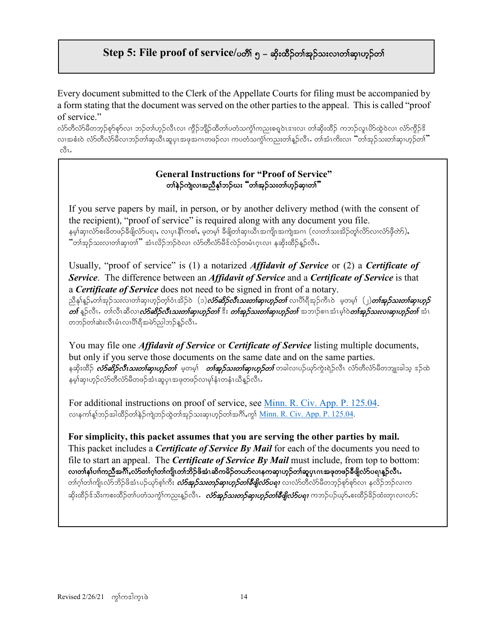# **Step 5: File proof of service/ပတိ**ု ၅ – ဆိုးထိဉ်တါအုဉ်သူလ၊တါဆု၊ဟုဉ်တါ

Every document submitted to the Clerk of the Appellate Courts for filing must be accompanied by a form stating that the document was served on the other parties to the appeal. This is called "proof of service."

လ်ာတီလ်ာမီတဘူဉ်စှာ်စုလ၊ ဘဉ်တ၊်ဟူဉ်လီၤလ၊ ကွိဉ်ဘျိဉ်ထိတ၊်ပတံသကွံ၊်ကညးစရူဝဲၤဒၢးလ၊ တ၊်ဆိုးထိဉ် ကဘဉ်လူၤပိဉ်ထွဲဝဲလ၊ လံာ်ကွိဉ်ဒိ လ၊အစံးဝဲ လံာ်တီလံာမိလ၊ဘဉ်တ၊်ဆုယီၤဆူပုၤအဖုအဂၤတဖဉ်လ၊ ကပတံသက္ဂံ၊်ကညးတ၊်နူဉ်လီၤ $\cdot$  တ၊်အံၤကိးလ၊  $\lq$ ်တ၊်အုဉ်သးတ၊်ဆု၊ဟူဉ်တ၊် $\lq$  $\overset{\circ}{\circ}$ l.

### **General Instructions for "Proof of Service"** တၢ်နဲဉ်ကျဲလၢအညီနှၤ်ဘဉ်ဃး "တၢ်အုဉ်သးတၢ်ဟုဉ်ဆု၊တ၊ိ"

If you serve papers by mail, in person, or by another delivery method (with the consent of the recipient), "proof of service" is required along with any document you file. နမ့္သဆုလံာစီးခ်ိတဖဉ်ခီဖိုလံာပရ္၊, လ၊ပုၤနီၤ်ကစၤ်, မ့တမ့္ပ် ခီဖျိတၤ်ဆု၊ယီၤအကျိၤအကျဲအဂၤ (လ၊တၤ်သႏအိဉ်တူၤ်လိာလၤလံာဖိုတာ်),  $\cdot$ တ်အှဉ်သးလ၊တ၊်ဆု၊တ၊် $\cdot$ အံၤလိဉ်ဘဉ်ဝဲလ၊ လံာ်တီလံာ်မီဒ်လဲဉ်တမံၤဂူၤလ၊ နဆိုးထိဉ်န္ဉာ်လီၤ $\cdot$ 

Usually, "proof of service" is (1) a notarized *Affidavit of Service* or (2) a *Certificate of Service*. The difference between an *Affidavit of Service* and a *Certificate of Service* is that a *Certificate of Service* does not need to be signed in front of a notary. ညီနှုန့ဉ်,တါအုဉ်သးလ၊တါဆု၊ဟုဉ်တ့ါဝံၤအိဉ်ဝဲ (၁)*လံ5ဆိဉ်လီၤသးတါဆု၊ဟုဉ်တါ* **လ၊**ပိါရီအုဉ်ကီၤဝဲ မှတမှါ (၂)*တါအုဉ်သးတါဆု၊ဟုဉ်* တ $\delta$  နှဉ်လီၤ. တါလီၤဆီလၤ*လံာဆိုဉ်လီၤသးတါဆုၤဟူဉ်တ* $\delta$  *ဒီး တါအုဉ်သးတါဆုၤဟူဉ်တၤ် အဘၤ*ဉ်စၢၤအံၤမုါဝဲ*တါအုဉ်သးလၢဆုၤဟူဉ်တၤ်* အံၤ တဘဉ်တါဆဲးလီၤမံၤလၢပိါရီအမဲာ်ညါဘဉ်န္ဉာလီၤ $\centerdot$ 

You may file one *Affidavit of Service* or *Certificate of Service* listing multiple documents, but only if you serve those documents on the same date and on the same parties. နဆိုးထိဉ် *လံာ်ဆိဉ်လီၤသးတ<sup>ု့</sup>ဆု၊ဟူဉ်တၤ် မှ*တမ့်၊ *တၤ်အုဉ်သးတၤ်ဆု၊ဟူဉ်တၤ်* တခါလ၊ပဉ်ယှာ်ကွဲးရဲဉ်လီၤ လံာ်တီလံာ်မိတဘျုးခါသ့ ဒဉ်ထဲ နမ့ါဆု၊ဟုဉ်လံာ်တီလံာမိတဖဉ်အံၤဆူပုၤအဖုတဖဉ်လ၊မုါနံၤတနံၤယိန္ဉာလီၤ.

For additional instructions on proof of service, see [Minn. R. Civ. App. P. 125.04.](https://www.revisor.mn.gov/court_rules/ap/subtype/rcap/id/125/#125.04) လ၊နက္ပါန္)ဘဉ်အါထိဉ်တျနဉ်ကျဲဘဉ်ထွဲတ၊်အုဉ်သးဆု၊ဟုဉ်တ၊်အဂိၢ်ႇက္ဂါ <u>Minn. R. Civ. App. P. 125.04</u>.

**For simplicity, this packet assumes that you are serving the other parties by mail.**  This packet includes a *Certificate of Service By Mail* for each of the documents you need to file to start an appeal. The *Certificate of Service By Mail* must include, from top to bottom: လ၊တါနှါပၢါကညီအင်္ဂါႇလံာ်တါဂ္ဂါတါကျိုးတါဘိဉ်ဖိအံၤဆိကမိဉ်တယာ်လ၊နကဆု၊ဟုဉ်တါဆူပုၤဂၤအဖုတဖဉ်ခီဖျိလံာ်ပရ၊နူဉ်လီၤ တၢ်ဂ္၊်တၢ်ကျိၤလံာ်ဘိဉ်ဖိအံၤပဉ်ယှာ်စ့၊်ကီး *လံာ်အှဉ်သးတှဉ်ဆု၊ဟူဉ်တ၊်ခီဖျိုလံာ်ပရ၊* လၢလံာတိလံာ်မီတဘုဉ်စုာ်စုာ်လၢ နလိဉ်ဘဉ်လ၊က ဆိုးထိဉ်ဒ်သိးကစးထိဉ်တ၊်ပတံသကွဲၤ်ကညးနူဉ်လီၤ**.** *လံာ်အှဉ်သးတဉ်ဆု၊ဟူဉ်တၢ်စီဖျိလံာ်ပရ၊* **ကဘဉ်**ပဉ်ယှာ်,စးထိဉ်ခိဉ်ထံးတုၤလၢလာ် $\colon$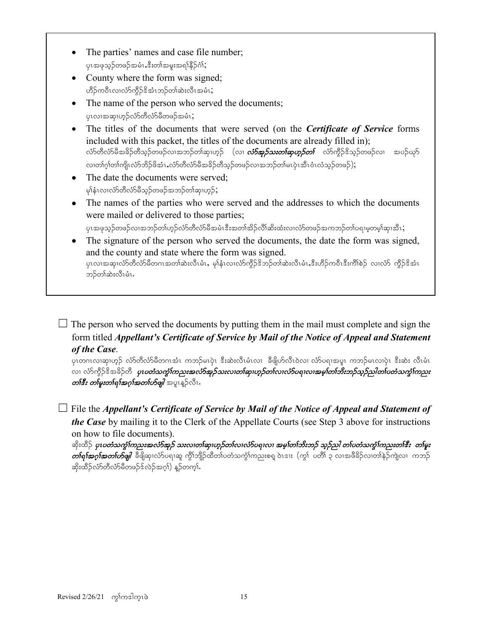- The parties' names and case file number; ပုၤအဖုသွဉ်တဖဉ်အမံၤႇဒီးတၢ်အမူးအရၢိနိဉ်ဂံၢ်;
- County where the form was signed; ဟိဉ်ကဝီၤလၢလံာ်ကွိဉ်ဒိအံၤဘဉ်တါဆဲးလီၤအမံၤ;
- The name of the person who served the documents; ပုၤလၢအဆု၊ဟ္၄်လံာ်တီလံာ်မီတဖဉ်အမံၤ;
- The titles of the documents that were served (on the *Certificate of Service* forms included with this packet, the titles of the documents are already filled in); လံာ်တီလံာ်မီအခိဉ်တီသူဉ်တဖဉ်လၢအဘဉ်တၢ်ဆု၊ဟုဉ် (လ၊ *လံာ်အှဉ်သးတ၊်ဆုဟုဉ်တ၊်* **လံ**ာ်ကွိဉ်ဒိသူဉ်တဖဉ်လ၊ အပဉ်ယုဉ် လ၊တၢ်ဂ့ၢ်တ၊်ကျိုးလံာ်ဘိဉ်ဖိအံၤႇလံာ်တီလံာမီအခိဉ်တီသုဉ်တဖဉ်လ၊အဘဉ်တ၊်မၤပုံၤအီၤဝံၤလံသုဉ်တဖဉ်);
- The date the documents were served; မှၢ်နံၤလၢလံာ်တီလံာ်မိသွဉ်တဖဉ်အဘဉ်တ၊်ဆု၊ဟုဉ်;
- The names of the parties who were served and the addresses to which the documents were mailed or delivered to those parties;

 $\gamma$ ၤအဖုသ္ဉ်တဖဉ်လၢအဘဉ်တၢ်ဟှဉ်လံာတိလံာမိအမံၤဒီးအတ၊်အိဉ်လိါဆိးထံးလၢလံာ်တဖဉ်အကဘဉ်တ၊်ပရၢမူတမ့၊်ဆု၊အီၤ $\mathbf{G}$ 

The signature of the person who served the documents, the date the form was signed, and the county and state where the form was signed. ပုၤလၢအဆု၊လံာ်တိလံာမိတဂၤအတၢ်ဆဲးလီၤမံၤ,မု၊်နံၤလၢလံာ်ကွိဉ်ဒိဘဉ်တ၊်ဆဲးလီၤမံၤႇဒီးဟိဉ်ကဝီၤဒီးကိၢ်စဉ် လၢလံာ် ကီဉ်ဒိအံၤ ဘဉ်တါဆဲးလီၤမံၤ.

 $\Box$  The person who served the documents by putting them in the mail must complete and sign the form titled *Appellant's Certificate of Service by Mail of the Notice of Appeal and Statement of the Case*.

ပုၤတဂၤလၢဆု၊ဟ္၌ လံာ်တီလံာ်မီတဂၤအံၤ ကဘဉ်မၤပုဲ၊ ဒီးဆဲးလီၤမံၤလ၊ ခီဖျိဟ်လီၤဝဲလ၊ လံာ်ပရၢအပူ၊ ကဘဉ်မၤလၢပုံ၊ ဒီးဆဲး လီၤမံၤ လ၊ လံာ်ကွီဉ်ဒိအခိဉ်တိ *ပုၤပတံသက္ခံ၊်ကညးအလံာ်အှဉ်သးလ၊တ၊်ဆု၊ဟ္ဥတ၊်လ၊လံာ်ပရ၊လ၊အမ္၊်တ၊်ဘိးဘှဉ်သူဉ်ညါတ၊်ပတံသက္ခံ၊်ကညး* တ**်း***း တမြးတဲရြအဂ္ဂါအတၤ်တိဖျါ* **အ**ူးန္ဦလီး.

☐ File the *Appellant's Certificate of Service by Mail of the Notice of Appeal and Statement of the Case* by mailing it to the Clerk of the Appellate Courts (see Step 3 above for instructions on how to file documents).

ဆိုးထိဉ် *ပုၤပတံသက္ခံໂကညးအလံာ်အူဉ် သးလၢတၤ်ဆု၊ဟူဉ်တၤ်လ၊လံာ်ပရၤလ၊ အမ္<sup>ု</sup>တၤ်ဘီးဘဉ် သူဉ်ညါ တၤ်ပတံသက္ခံໂကညးတၤ်ီးး တၤ်မူး*  $\emph{obj}$ စားကြီးမှာ $\emph{obj}$  အပြုသုံးလိုပ်ရာဆူ ကွိၤ်ဘျိဉ်ထိတ်ပတံသကွဲၤ်ကညးစရ ဝဲၤဒၢး  $\emph{(}$ ကွ $\emph{f}$ း ပတိ $\emph{f}$  ၃ လၢအဖိခိဉ်လ၊တ $\emph{f}$ နဉ်ကျဲလ၊ ကဘဉ် ဆိုးထိဉ်လံာတီလံာမိတဖဉ်နဲ့လဲဉ်အဂ္ဂါ) နဉ်တက္ငါ.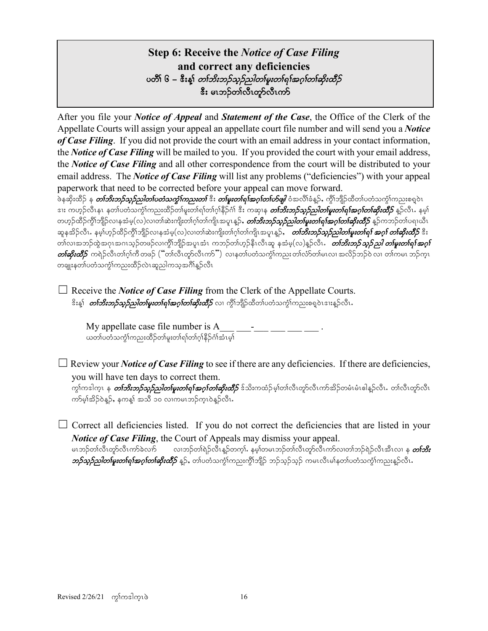# **Step 6: Receive the** *Notice of Case Filing* **and correct any deficiencies** voh ၆ – &ိးန့္ပ် *တၤ်ဘိးဘဉ်သူဉ်ညါတၤ်မူးတၤ်ရၤ်အဂ္ဂၤ်တၤ်ဆိုးထိဉ်* <u>ီး မၤဘဉ်တ၊်လီၤတု</u>ာ်လီၤကာ

After you file your *Notice of Appeal* and *Statement of the Case*, the Office of the Clerk of the Appellate Courts will assign your appeal an appellate court file number and will send you a *Notice of Case Filing*. If you did not provide the court with an email address in your contact information, the *Notice of Case Filing* will be mailed to you. If you provided the court with your email address, the *Notice of Case Filing* and all other correspondence from the court will be distributed to your email address. The *Notice of Case Filing* will list any problems ("deficiencies") with your appeal paperwork that need to be corrected before your appeal can move forward.

ဖဲနဆိုးထိဉ် န *တ်ဘိးဘဉ်သူဉ်ညါတၤ်ပတံသက္င္ပါကညးတါ်* ဒီး *တါမူးတါရ)်အဂ္ဂါတါဟ်ဖျါ* **ဝံ**အလို၊်ခံနဉ်, ကို၊်ဘိုုဉ်ထိတၤ်ပတံသက္ငံ)ကညးစရူဝဲၤ ဒၢး ကဟ္ဥ်လီၤနၤ နတၤ်ပတံသကွဲၤ်ကညးထိဉ်တါမူးတါရၢ်တါဂူါနိဉ်ဂံ၊် ဒီး ကဆုၤန *တၢ်ဘိးဘဉ်သူဉ်သါတါမူးတါရၢ်အဂူ၊်တ၊်ဆိုးထိဉ်* နူဉ်လီၤ**.** နမ္ဒါ တဟ္ဥ်ထိဥ်ကွိၤ်ဘျိဥ်လၤနအံမှ(လ)လ၊တ၊်ဆဲးကျိးတ၊်ဂွါတ၊်ကျိၤအပူၤန္ဥန်, *တ၊်ဘိးဘူဥ်သ္ဥည္)တ၊်မူးတ၊်ရ၊်အဂ္ဂါတ၊်ဆိုးထိဉ် န*ဥ်ကဘဥ်တ၊်ပရၢယီၤ ဆူနအိဉ်လီၤ. နမ့္ပ်ဟ္ဥ်ထိဉ်ကွိၤ်ဘျိဉ်လၤနအံမ့(လ)လ၊တၤ်ဆဲးကျိုးတၤ်ဂု႞တၤ်ကျိၤအပူၤန္ဥ်ႇ *တြားဘည်သူဉ်ညါတၤ်မူးတၤ်ရ<sup>န်</sup> အဂ္ဂ၊် တၤ်ဆိုးထိဉ်* **ဒီး** တၢ်လ၊အဘဉ်ထွဲအဂုၤအဂၤသ္ဉ်တဖဉ်လ၊ကွိၢ်ဘျိဉ်အပူၤအံၤ ကဘဉ်တ၊်ဟူဉ်နီၤလီၤဆူ နအံမှ(လ)နူဉ်လီၤ*. တ်ဘိးဘဉ်သူဉ်ညါ တ၊်မူးတ၊်ရ၊်အဂ္*  $\mathit{obj}$ ဆို $\acute{s}$  ကရဲဉ်လီၤတၢ်ဂ့ါကိ တဖဉ်  $(\H\acute{~}$ တ၊်လီၤတုာ်လီၤက $S$ ဲ) လၢနတ၊်ပတံသကွံါကညး တ၊်လံာ်တ၊်မၤလ၊ အလိဉ်ဘဉ်ဝဲ လ၊ တ၊်ကမၤ ဘဉ်ကူၤ တချုးနတၤ်ပတံသက္င်္ဂါကညးထိဉ်လဲၤဆူညါကသူအဂိါန္ဉာလီၤ

 $\Box$  Receive the *Notice of Case Filing* from the Clerk of the Appellate Courts. ိးန့<sup>်</sup> *တ်ဘီးဘဉ်သုဉ်သါတစြ<i>း***တစ်ရှ***်းဆဂ်တစ်ဆိုးထိဉ်* လ၊ ကွိ\်ဘျိဉ်ထိတ\်ပတံသက္ခဲ\ကညးစရူဝဲၤဒၢးန္ဉ်လီၤ

My appellate case file number is  $\overline{A}$ ယတ်ယတံ့သက်လားထိဉ်တါမူးတါရါတါဂူါနိဉ်ဂါအံၤမှါ

 $\Box$  Review your *Notice of Case Filing* to see if there are any deficiencies. If there are deficiencies, you will have ten days to correct them.

ကွါကဒါက္ၤ န *တၢ်ဘိးဘဉ်သူဉ်ညါတ၊်မူးတ၊်ရၢ်<i>အဂ္***ဂ်တ၊်ဆိုးထိဉ်** န်သိးကထံဉ်မ့၊်တ၊်လီၤတုာ်လီၤကာ်အိဉ်တမံၤမံၤဓါန္ဉ်လီၤ**.** တ၊်လီၤတုာ်လီၤ ကာ်မှ၊်အိဉ်ဝဲန္ဉာ်, နကန့္ အသီ ၁၀ လၢကမၤဘဉ်က္ၤဝဲန္ဉာလီၤ.

 $\Box$  Correct all deficiencies listed. If you do not correct the deficiencies that are listed in your *Notice of Case Filing*, the Court of Appeals may dismiss your appeal. မၤဘဉ်တါလီၤတွာ်လီၤကာ်ခဲလ<sup>ှ</sup>ာ လ၊ဘဉ်တါရဲဉ်လီၤန္နာ်တက္င္ပါ. နမ္)တမၤဘဉ်တါလီၤတွာ်လီၤကာ်လ၊တၢ်ဘှဉ်ရဲဉ်လီၤအီၤလ၊ န *တ၊်ဘိး*  $\rho$ တ်သွဉ်သါတ $\epsilon$ မူးတ $\delta$ ရ $i$ အဂ္ဂါတ $i$ ဆိုးထိီ $\beta$  နူဉ်, တ $i$ ပတံသက္ဂဲ $i$ ကညးကွိ $i$ ဘုံဦ) ဘဉ်သွဉ်သွဉ် ကမၤလီၤမါနတ $i$ ပတံသကွဲ $i$ ကညးနူဉ်လီၤ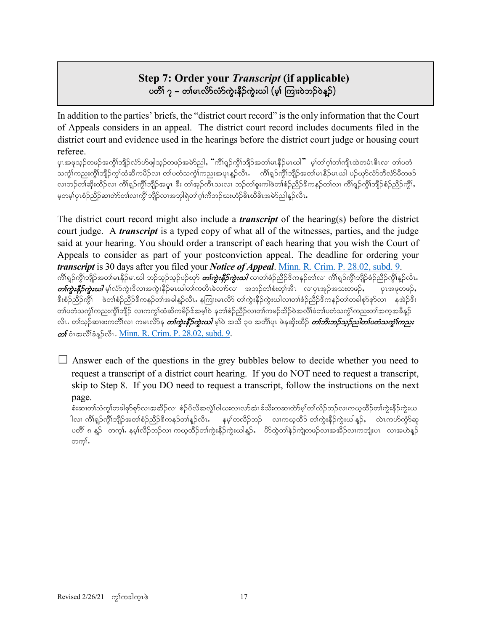# **Step 7: Order your** *Transcript* **(if applicable)** ပတိၱ် ၇ – တ၊်မၤလိ>်လံာ်ကွဲးနီဉ်ကွဲးယါ (မ့္၊်ကြၢး၀ဲဘဉ်၀ဲန္<sup>ဌ</sup>)

In addition to the parties' briefs, the "district court record" is the only information that the Court of Appeals considers in an appeal. The district court record includes documents filed in the district court and evidence used in the hearings before the district court judge or housing court referee.

ပုၤအဖုသ္ဉ်တဖဉ်အကွိ\ဘျိဉ်လံာ်ဟ်ဖျါသ့ဉ်တဖဉ်အမဲာ်ညါ,"ကိ\ရှဉ်ကွိ\ဘျိဉ်အတ\မၤနီဉ်မၤယါ" မ့\တ\ဂ္\တ\ကျိၤထဲတမံၤဓိၤလ၊ တ\ပတံ သက္ဂ်ၤ်ကညးကွိၤ်ဘျိဉ်ကွၤ်ထံဆိကမိဉ်လ၊ တၤ်ပတံသကွဲၤ်ကညးအပူၤန္ဥလီၤ. ကိၤ်ရှဉ်ကွိၤ်ဘျိဉ်အတၤ်မၤနိဉ်မၤယါ ပဉ်ယှာ်လံာတီလံာမိတဖဉ် လ၊ဘဉ်တါဆိုးထိဉ်လ၊ ကိၢရှုဉ်ကွိၤ်ဘျိဉ်အပူၤ ဒီး တါအုဉ်ကီၤသးလ၊ ဘဉ်တါစူးကါဖဲတါစံဉ်ညီဉ်ဒိကနဉ်တါလ၊ ကိၢရှဉ်ကွိၤ်ဘျိဉ်စံဉ်ညီဉ်ကွိၤ် မှတမ္•ါပုၤစံဉ်ညီဉ်ဆ၊တဲာ်တ၊်လ၊ကွိၢ်ဘျိဉ်လ၊အဘုါရဲတ၊်ဂ္ဂါကီဘဉ်ယးဟံဉ်ဓိၤယီဓိၤအမဲာ်ညါန္ဉ်လီၤ

The district court record might also include a *transcript* of the hearing(s) before the district court judge. A *transcript* is a typed copy of what all of the witnesses, parties, and the judge said at your hearing. You should order a transcript of each hearing that you wish the Court of Appeals to consider as part of your postconviction appeal. The deadline for ordering your *transcript* is 30 days after you filed your *Notice of Appeal*. [Minn. R. Crim. P. 28.02, subd. 9.](https://www.revisor.mn.gov/court_rules/rule.php?type=cr&id=28#28.02) ကိၢရျာ်ကွိၤဘျိာအတ၊်မၤနိဉ်မၤယါ ဘဉ်သုဉ်သုဉ်ပဉ်ယှာ *တကွဲးနီဉ်ကွဲးဃါ* **လ၊တ၊်စံဉ်**ညီဉ်ဒိကနဉ်တ၊်လ၊ ကိၢရျာ်ကွိၤဘုိဦာကွိၤန္ဉာလီၤ  $\emph{on}$ က္မွဴးနီးဉိက္မွဴးဃ $l$  မ့္ပ်လာက္မႈဒိလ၊အက္မွဴးနိဉ်မၤယါတၤ်ကတိၤခဲလက်လ၊ အဘဉ်တၤ်စံးတ္ၤ်အီၤ လ၊ပုၤအုဉ်အသးတဖဉ်, ပုၤအဖုတဖဉ်, နီးစံဉ်ညီဉ်ကွီ၊ ဖဲတၢ်စံဉ်ညီဉ်ဒိကနဉ်တ၊်အခါနှဉ်လီၤ.နကြားမၤလိ၁် တ၊်ကွဲးနီဉ်ကွဲးယါလ၊တၢ်စံဉ်ညီဉ်ဒိကနဉ်တ၊်တခါစုာ်စုာလ၊ နအဲဉ်ဒိး တၢ်ပတံသကွံၤ်ကညးကွိၤ်ဘျိဉ် လၢကကွၤ်ထံဆိကမိဉ်ဒ်အမှၤ်ဝဲ နတၢ်စံဉ်ညိဉ်လ၊တၢ်ကမဉ်အိဉ်ဝဲအလိၤ်ခံတ၊်ပတံသကွံၤ်ကညးတၤ်အက္ခအခီနူဉ် လိၤႉ တၢ်သွဉ်ဆၤဖးကတိၤ်လ၊ ကမၤလိ>်န္ *တၢ်ကွဲးနီဉ်ကွဲးဃါ* မ့္ပ်ာ အသီ ၃၀ အတိၤ်ပူ၊ ဖဲနဆိုးထိဉ် *တၤ်ဘိးဘဉ်သူဉ်သါတၤ်ပတံသက္ခၤ်ကညး*  $\omega$ f อำเวอ ซึ่งอ่อ Sออิน. [Minn. R. Crim. P. 28.02, subd. 9.](https://www.revisor.mn.gov/court_rules/rule.php?type=cr&id=28#28.02)

 $\Box$  Answer each of the questions in the grey bubbles below to decide whether you need to request a transcript of a district court hearing. If you do NOT need to request a transcript, skip to Step 8. If you DO need to request a transcript, follow the instructions on the next page.

စီးဆ၊တါသံကုါတခါစုာ်စုလ၊အအိဉ်လ၊ စံဉ်ပိလိအလှုံးဝါယးလ၊လာ်အံၤဒ်သိးကဆ၊တဲာ်မှ၊်တ၊်လိဉ်ဘဉ်လ၊ကယ္ဝထိဉ်တ၊်ကွဲးနိုဉ်ကွဲးယ ါလ၊ ကိၢရှဉ်ကွိၢ်ဘျိဉ်အတၢ်စံဉ်ညီဉ်ဒိကနဉ်တၢ်နူဉ်လိၤ $\cdot$  နမ့္ပါတလိဉ်ဘဉ် လ၊ကယ္ဝထိဉ် တ၊်ကွဲးနီဉ်ကွဲးယါနူဉ် $\cdot$  လဲၤကဟ်ကွဲာ်ဆူ ပတိါ ၈ နဉ် တက္)် နမ္နါလိဉ်ဘဉ်လ၊ ကယ္နထိဉ်တါကွဲးနိဉ်ကွဲးယါန္ဉာ်, ဟိထွဲတါနဉ်ကျဲတဖဉ်လ၊အအိဉ်လ၊ကဘုုံးပၤ လ၊အဟဲနဉ် တက္}်.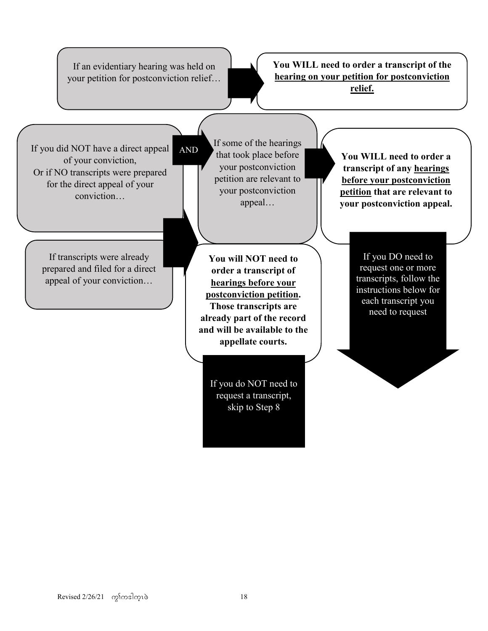If an evidentiary hearing was held on your petition for postconviction relief…

AND

**You WILL need to order a transcript of the hearing on your petition for postconviction relief.**

If you did NOT have a direct appeal of your conviction, Or if NO transcripts were prepared for the direct appeal of your conviction…

If some of the hearings that took place before your postconviction petition are relevant to your postconviction appeal…

If transcripts were already prepared and filed for a direct appeal of your conviction…

**You will NOT need to order a transcript of hearings before your postconviction petition. Those transcripts are already part of the record and will be available to the appellate courts.** 

> If you do NOT need to request a transcript, skip to Step 8

**You WILL need to order a transcript of any hearings before your postconviction petition that are relevant to your postconviction appeal.**

> If you DO need to request one or more transcripts, follow the instructions below for each transcript you need to request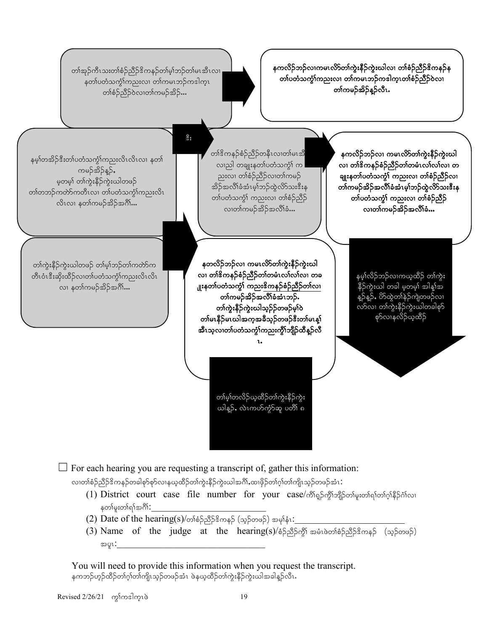

 $\Box$  For each hearing you are requesting a transcript of, gather this information:

လ၊တၢ်စံဉ်ညီဉ်ဒိကနဉ်တခါစုာ်စုာ်လ၊နယ္နထိဉ်တ၊်ကွဲးနိဉ်ကွဲးယါအဂ်ိၢႇထ၊ဖိုဉ်တ၊်ဂ့၊်တ၊်ကျိၤသ္ဉ်တဖဉ်အံၤ $\colon$ 

- (1) District court case file number for your case/တိုကျွှိသျှိုသျှိုသော်ရက်တ်လုံနိုဉ်င်္ဂလ၊ နတ\မူးတ\်ရ\်အဂိ\:
- $(2)$  Date of the hearing(s)/တၢ်စံဉ်ညီဉ်ဒိကနဉ် (သူဉ်တဖဉ်) အမှုနံး $:$
- (3) Name of the judge at the hearing(s)/ $\delta$ S  $\beta$ S  $\delta$  a  $\delta$  and  $\delta$ S ( $\delta$ S  $\delta$  ( $\delta$ S  $\delta$ ) tylR:\_\_\_\_\_\_\_\_\_\_\_\_\_\_\_\_\_\_\_\_\_\_\_\_\_\_\_\_\_\_\_

You will need to provide this information when you request the transcript. နကဘဉ်ဟ့ဉ်ထိဉ်တၢ်ဂုၢ်တၢ်ကျိၤသ့ဉ်တဖဉ်အံၤ ဖဲနယ္နထိဉ်တ၊်ကွဲးနိဉ်ကွဲးဃါအခါနူဉ်လီၤ $\boldsymbol{\cdot}$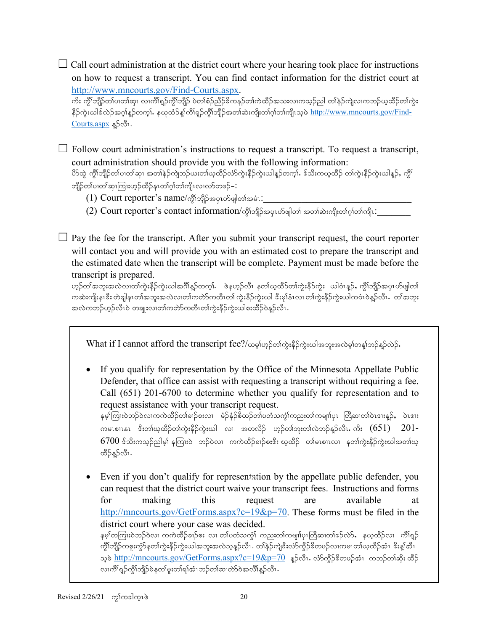$\Box$  Call court administration at the district court where your hearing took place for instructions on how to request a transcript. You can find contact information for the district court at [http://www.mncourts.gov/Find-Courts.aspx.](http://www.mncourts.gov/Find-Courts.aspx)

ကိႏ ကွိၤ်ဘျိဉ်တၤ်ပ၊တၤ်ဆု၊ လ၊ကိၤ်ရှဉ်ကွိၤ်ဘျိဉ် ဖဲတၤ်စံဉ်ညိဉ်ဒိကနဉ်တၤ်ကဲထိဉ်အသးလ၊ကသ္ဉ်ည] တၤ်နဉ်ကျဲလ၊ကဘဉ်ယုထိဉ်တၤ်ကွဲး နိဉ်ကွဲးယါဒ်လဲဉ်အဂ္ဂါန္ဥတက္င္ပါ. နယုထံဉ်န္[ကိၢိရ္ဥက္ဂိၤ်ဘျိဉ်အတၤ်ဆဲးကျိုးတၤဂုုဴတၤ်ကျိၤသ္ဖဲ [http://www.mncourts.gov/Find-](http://www.mncourts.gov/Find-Courts.aspx) $\frac{\text{Courts.aspx}}{\text{D}}$  $\frac{\text{Courts.aspx}}{\text{D}}$  $\frac{\text{Courts.aspx}}{\text{D}}$ န္)လီး.

 $\Box$  Follow court administration's instructions to request a transcript. To request a transcript, court administration should provide you with the following information:

ပိ႒်ထွဲ ကွိၢ်ဘျိဉ်တ၊်ပ၊တ၊်ဆု၊ အတ၊်နဲဉ်ကျဲဘဉ်ယးတ၊်ယုထိဉ်လံာ်ကွဲးနိဉ်ကွဲးယါနူဉ်တက့ၤ်. ဒ်သိးကယ္**ထိဉ် တ၊်ကွဲးနိဉ်ကွဲးယါနူ**ဉ်, ကွိ၊် ဘျိဉ်တၢ်ပၢတၢ်ဆု၊ကြားဟ့ဉ်ထိဉ်နၤတၢ်ဂ့ၢ်တ၊်ကျိၤလၢလာ်တဖဉ်– $\colon$ 

- (1) Court reporter's name/ကို $\frac{1}{2}$ အိုပြီးအပူးဟ်ဖျါတါအမံု $\colon$
- (2) Court reporter's contact information/oปัญหาย่อยเอร์ตุมอร์ ออกอะเจริเอร์เอร์เอร์เอร์

 $\Box$  Pay the fee for the transcript. After you submit your transcript request, the court reporter will contact you and will provide you with an estimated cost to prepare the transcript and the estimated date when the transcript will be complete. Payment must be made before the transcript is prepared.

ဟ္မာ်တ္က်အဘူးအလဲလ္ကတ္က်က္မွဴးနိုဉ်က္မွဴးယါအဂ်ိုန္ဥတက္မ္က်န္တန္ ဖုတ္ညလိုင္ပံေနတ္ပါတ္ပါက္မွဴးနိုဉ္ငံကုံး ယါ၀ံၤန္ဥန္ ကိုုဘျဉ္အအပူၤဟိုဖျတ္ပြ ကဆဲးကျိုးနၤဒီး တဲဖျါနၤတၢ်အဘူးအလဲလ၊တၢ်ကတ်ာကတိၤတ၊် ကွဲးနိဉ်ကွဲးယါ ဒီးမု၊်နံၤလ၊ တ၊်ကွဲးနိဉ်ကွဲးယါကဝံၤဝဲန္ဉာလိၤႉတ၊်အဘူး အလဲကဘဉ်ဟ့ဉ်လီၤ၀ဲ တချုးလ၊တၢ်ကတ်ာကတိၤတၢ်ကွဲးနိဉ်ကွဲးယါစးထိဉ်ဝဲန္ဉာလီၤ

What if I cannot afford the transcript fee?/ယမ္Sဟ္မာတ်ကွဲးနိဉ်ကွဲးဃါအဘူးအလဲမ့္ပါတန္ ဘာဉ်န္ဝဲလဲဉ်.

• If you qualify for representation by the Office of the Minnesota Appellate Public Defender, that office can assist with requesting a transcript without requiring a fee. Call (651) 201-6700 to determine whether you qualify for representation and to request assistance with your transcript request.

နမ့)်ကြားဝဲဘဉ်ဝဲလၢကကဲထိဉ်တါခၢဉ်စးလ၊ မံဉ်နံဉ်စိထဉ်တါပတံသကွံၤ်ကညးတၤ်ကမျၤာ်ပုၤ တြိဆ၊တၢ်ဝဲၤဒၢးန္ဉ်, ဝဲၤဒၢး ကမၤစၢၤနၤ နီးတါယ္ထိတိုတါကွဲးနီဉ်ကွဲးယါ လ၊ အတလိဉ် ဟ္ဥတါဘူးတါလဲဘဉ်န္ဥာလီၤ.ကိႏ  $(651)$  201- $6700$  န်သီးကသုဉ်ညါမှ) နကြၢးဝဲ ဘဉ်ဝဲလ၊ ကကဲထိဉ်ချဉ်စးနီး ယူထိဉ် တါမၤစၢၤလ၊ နတၢ်ကွဲးနိဉ်ကွဲးယါအတၢ်ယူ ထိဉ်နဉ်လီၤ.

• Even if you don't qualify for representation by the appellate public defender, you wecan request that the district court waive your transcript fees. Instructions and forms for making this request are available at [http://mncourts.gov/GetForms.aspx?c=19&p=70.](http://mncourts.gov/GetForms.aspx?c=19&p=70) These forms must be filed in the district court where your case was decided. နမ့**်္ာ**ကြားဝဲဘဉ်ဝဲလ၊ ကကဲထိဉ်ခၢဉ်စး လ၊ တ<sup>ု</sup>ပတံသက္ဂ်္ဂါ ကညးတ၊်ကမျာၤ်ပုၤတြီဆ၊တၢ်ဒဉ်လဲ>်, နယ္နထိဉ်လ၊ ကိၢ်ရှ္ဉ် ကွိၢ်ဘျိဉ်ကစူးကွဲာ်နတၢ်ကွဲးနိဉ်ကွဲးယါအဘူးအလဲသ့န္ဉာလိၤႉ တါနဲဉ်ကျဲဒီးလံာ်ကွိဉ်ဒိတဖဉ်လၢကမၤတၢ်ယ္ထိဝိုအံၤ ဒိးန္၊်အိၤ သူဖဲ  $\frac{\text{http://mncounts.gov/GetForms.aspx?c=19&p=70}}{\text{a}}$  နူဉ်လီၤ. လ်ာ်ကွိဉ်ဒိတဖဉ်အံၤာကဘု်တါဆိုး ထိဉ် လၢကိၢရှဉ်ကွိၢ်ဘျိဉ်ဖဲနတ၊်မူးတ၊်ရ၊်အံၤဘဉ်တ၊်ဆ၊တဲာ်ဝဲအလိ၊်နဉ်လီၤ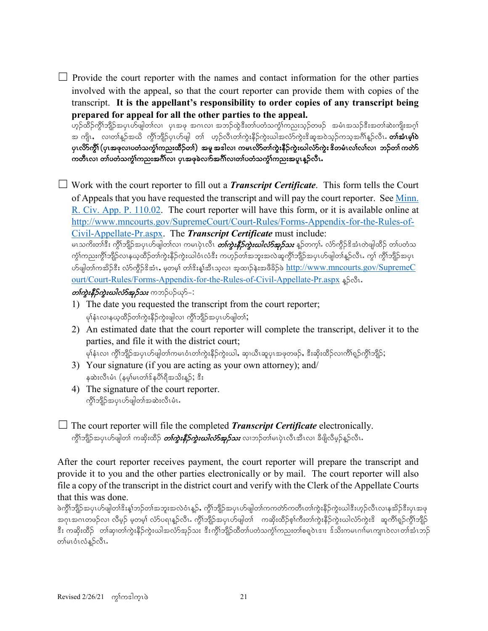$\Box$  Provide the court reporter with the names and contact information for the other parties involved with the appeal, so that the court reporter can provide them with copies of the transcript. **It is the appellant's responsibility to order copies of any transcript being prepared for appeal for all the other parties to the appeal.**

ဟူဉ်ထိဉ်ကွိၢ်ဘျိဉ်အပုၤဟ်ဖျါတၢ်လ၊ ပုၤအဖု အဂၤလ၊ အဘဉ်ထွဲဒီးတၢ်ပတံသက္ခံ၊်ကညးသုဉ်တဖဉ် အမံၤအသဉ်ဒီးအတၢ်ဆဲးကျိးအဂ္ဂါ အ ကျိုး လျတ္ပါနဉ်အယို ကိုုသျှိုဉ်ပုံယွဖျါ တုု ဟွဉ်လီးတျကူးနိုဉ်ကူးယါအလုံာကူးဒို့ဆူအဝဲသွဉ်ကသူအင်္ဂျီနဉ်လီး**. တျဆုံးမျှဝဲ** ပုၤလိ>်က္ဂ်ီ၊ (ပုၤအဖုလၢပတံသက္ဂံၤ်ကည္းထိဉ်တၤ်) ့အမူ အဒါလၢ ကမၤလိ>်တၤ်ကွဲးနိဉ်ကဲ့းဃါလံာ်ကဲ့း ဒိတမံၤလၤ်လၤ်လ၊ ဘဉ်တၤ်ကတာ ကတီၤလ၊ တၢ်ပတံသကွံၤ်ကညးအင်္ဂါလ၊ ပုၤအဖုခဲလက်အင်္ဂါလ၊တာ်ပတံသကွံၤ်ကညးအပူၤန္ဥလီၤ

☐ Work with the court reporter to fill out a *Transcript Certificate*. This form tells the Court of Appeals that you have requested the transcript and will pay the court reporter. See Minn. [R. Civ. App. P. 110.02.](https://www.revisor.mn.gov/court_rules/ap/subtype/rcap/id/110/#110.02) The court reporter will have this form, or it is available online at [http://www.mncourts.gov/SupremeCourt/Court-Rules/Forms-Appendix-for-the-Rules-of-](http://www.mncourts.gov/SupremeCourt/Court-Rules/Forms-Appendix-for-the-Rules-of-Civil-Appellate-Pr.aspx)[Civil-Appellate-Pr.aspx.](http://www.mncourts.gov/SupremeCourt/Court-Rules/Forms-Appendix-for-the-Rules-of-Civil-Appellate-Pr.aspx) The *Transcript Certificate* must include:

မၤသကိႏတ<sup>ြင္သြ</sup>ီး ကွိၢ်ဘျိဉ်အပုၤဟ်ဖျါတၤ်လၤ ကမၤပုဲၤလီၤ *တၤ်ကွဲးနီဉ်ကွဲးယါလံာ်အုဉ်သး* နူဉ်တက္i်. လံာ်ကွိဉ်ဒိအံၤတဲဖျါထိဉ် တၤ်ပတံသ ကွံ\်ကညးကွိ\ဘျိဉ်လၢနယ္ဝတိဉ်တၤ်ကွဲးနိဉ်ကွဲးယါဝံၤလံဒီး ကဟုဉ်တၤ်အဘူးအလဲဆူကွိ\ဘျိဉ်အပုၤဟ်ဖျါတၤ်နူဉ်လီၤ. ကွ\ ကွိ\ဘျိဉ်အပုၤ ဟ်ဖျါတ၊်ကအိဉ်ဒီး လံာ်ကိုဉ်ဒိအံၤႇ မှတမှ၊် တ၊်ဒီးနှ၊်အီးသူလ၊ အူထ၊ဉ်နဲးအဖီခိဉ်ဖဲ [http://www.mncourts.gov/SupremeC](http://www.mncourts.gov/SupremeCourt/Court-Rules/Forms-Appendix-for-the-Rules-of-Civil-Appellate-Pr.aspx) [ourt/Court-Rules/Forms-Appendix-for-the-Rules-of-Civil-Appellate-Pr.aspx](http://www.mncourts.gov/SupremeCourt/Court-Rules/Forms-Appendix-for-the-Rules-of-Civil-Appellate-Pr.aspx) \$5.81.

**တက္မႈနိဴဉ်ကူးဃါလံာ်အုဉ်သး** ကဘဉ်ပဉ်ယုဉ်–:

- 1) The date you requested the transcript from the court reporter; မှၢ်နှံၤလၢနယ့ထိဉ်တကွဲႏနိုဉ်ကွဲးဖျါလ၊ ကွိၢ်ဘျိဉ်အပုၤဟ်ဖျါတၢ်;
- 2) An estimated date that the court reporter will complete the transcript, deliver it to the parties, and file it with the district court;

```
မှ)နံးလ၊ ကွိ)်ဘျိဉ်အပုၤဟ်ဖျါတ၊်ကမၤဝံၤတ၊်ကွဲးနိဉ်ကွဲးယါႇ ဆု၊ယီၤဆူပုၤအဖုတဖဉ်ႇ ဒီးဆိုးထိဉ်လ၊ကိၢ်ရှဉ်ကွိၢ်ဘျိဉ်;
```
- 3) Your signature (if you are acting as your own attorney); and/ နဆဲးလီၤမံၤ (နမ့္ပ်မၤတၢ်ဒ်နပိၢရီအသိးန္}; ဒီး
- 4) The signature of the court reporter. ကွိ\်ဘူဉိအပုၤဟ်ဖျါတၤ်အဆဲးလီၤမံၤ.
- $\Box$  The court reporter will file the completed *Transcript Certificate* electronically. ကွိၢ်ဘျိဉ်အပုၤဟ်ဖျါတ၊် ကဆိုးထိဉ် *တၢ်ကွဲးနိုဉ်ကွဲးယါလံာ်အှဉ်သး* **လၢဘ**ဉ်တ၊်မၤပုံၤလီၤအီၤလ၊ ခီဖျိလီမှဉ်နူဉ်လီၤ**.**

After the court reporter receives payment, the court reporter will prepare the transcript and provide it to you and the other parties electronically or by mail. The court reporter will also file a copy of the transcript in the district court and verify with the Clerk of the Appellate Courts that this was done.

ဖဲကွိၢ်ဘျိဉ်အပုၤဟ်ဖျါတၢ်ဒိးန္၊်ဘဉ်တၢ်အဘူးအလဲဝံၤန္ဉဉ်, ကွိၢ်ဘျိဉ်အပုၤဟ်ဖျါတ၊်ကကတ်ာကတီၤတၢ်ကွဲးနိဉ်ကွဲးယါဒီးဟုဉ်လီၤလၢနအိဉ်ဒီးပုၤအဖု အဂုၤအဂၤတဖဉ်လၢ လိမ္နဉ် မှတမှ၊် လံာ်ပရၢနူဉ်လီၤ. ကွိၢ်ဘျိဉ်အပုၤဟ်ဖျါတ၊် ကဆိုးထိဉ်စု၊်ကီးတ၊်ကွဲးနိဉ်ကွဲးယါလံာ်ကွဲးဒိ ဆူကိၢ်ရှဉ်ကွိၢ်ဘျိဉ် ဒီး ကဆိုးထိဉ် ့တါဆု၊တါကွဲးနိဉ်ကွဲးယါအလံာ်အှဉ်သး ဒီးကွိၢ်ဘျိဉ်ထိတ၊်ပတံသကွံၢ်ကညးတါစရူဝဲၤဒၢး ဒ်သိးကမၤဂၢါမၤကျၤၤဝဲလၢတါအံၤဘဉ် တါမၤဝံၤလံန္9လီၤ.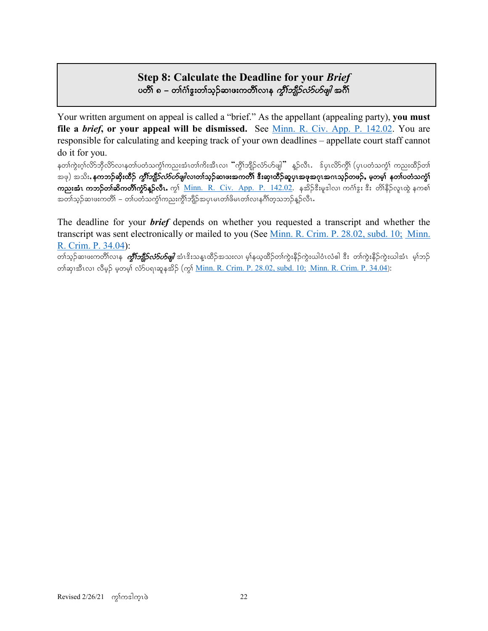# **Step 8: Calculate the Deadline for your** *Brief* ပတိ်၊ ၈ – တၢ်ဂံ၊်ဒူးတၢ်သွဉ်ဆ၊ဖးကတိၢ်လ၊န *ကိုၤ်ဘျိဉ်လံဉ်ဟိဖျါ* အင်္ဂါ

Your written argument on appeal is called a "brief." As the appellant (appealing party), **you must file a** *brief***, or your appeal will be dismissed.** See [Minn. R. Civ. App. P. 142.02.](https://www.revisor.mn.gov/court_rules/ap/subtype/rcap/id/142/#142.02) You are responsible for calculating and keeping track of your own deadlines – appellate court staff cannot do it for you.

နတၢ်ကွဲးဂ္၊်လိာ်ဘိုလိာ်လၢနတ၊်ပတံသက္ဂၢ်ကညးအံၤတ၊်ကိႏအီၤလ၊ "ကွိၢ်ဘျိဉ်လံာ်ပာဖျါ" နှဉ်လီၤ. ဒ်ပုၤလိာကွိ႞ (ပုၤပတံသက္ဂၤ် ကညးထိဉ်တ၊် အဖု) အသိး, နကဘဉ်ဆိုးထိဉ် *ကွိၢ်ဘျိုာ်လံာ်ဟ်ဖျါ*လ၊တၢ်သူဉ်ဆ၊ဖးအကတိၢ် ဒီးဆု၊ထိဉ်ဆူပု၊အဖုအဂုၤအဂၤသုဉ်တဖဉ်, မှတမှ၊် နတ၊်ပတံသကွံ၊် ကညးအံၤ ကဘဉ်တါဆိကတိါ်ကွဲာ်နူဉ်လီၤ. ကွ $\delta$  <u>Minn. R. Civ. App. P. 142.02</u>. နအိဉ်ဒီးမူဒါလ၊ ကင်္ဂါဒွး ဒီး တိါနိုဉ်လူၤထွဲ နကစါ အတၢ်သုဉ်ဆ၊ဖးကတိါ – တ၊်ပတံသကွဲၢ်ကညးကွိၢ်ဘျိဉ်အပုၤမၤတၢ်ဖိမၤတၢ်လ၊နဂိၢ်တ္စသဘဉ်နူဉ်လီၤ

The deadline for your *brief* depends on whether you requested a transcript and whether the transcript was sent electronically or mailed to you (See [Minn. R. Crim. P. 28.02, subd. 10;](https://www.revisor.mn.gov/court_rules/cr/id/28/#28.02) [Minn.](https://www.revisor.mn.gov/court_rules/cr/id/34/#34.04)  [R. Crim. P. 34.04\)](https://www.revisor.mn.gov/court_rules/cr/id/34/#34.04):

တၢ်သွဉ်ဆ၊ဖးကတိၢ်လၢနု *ကွိၤ်ဘျိဉ်လံ>်ပာဖျါ*အံၤဒိးသန္ၤထိဉ်အသးလ၊ မွှန်ယူထိဉ်တၢ်ကွဲးနိဉ်ကွဲးယါဝံၤလံဓါ ဒီး တၢ်ကွဲးနိဉ်ကွဲးယါအံၤ မွှာဘဉ် တါဆု၊အီၤလ၊ လီမှဉ် မ့တမ့ါ် လံာ်ပရၢဆူနအိဉ် (ကွ1် <u>[Minn. R. Crim. P. 28.02, subd. 10;](https://www.revisor.mn.gov/court_rules/cr/id/28/#28.02) [Minn. R. Crim. P. 34.04](https://www.revisor.mn.gov/court_rules/cr/id/34/#34.04)</u>):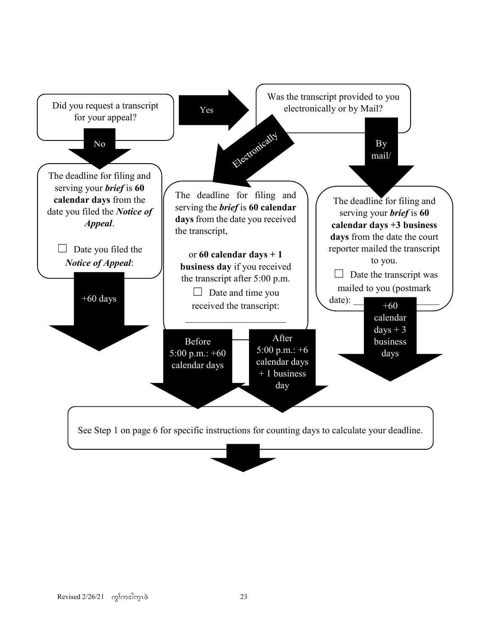![](_page_22_Figure_0.jpeg)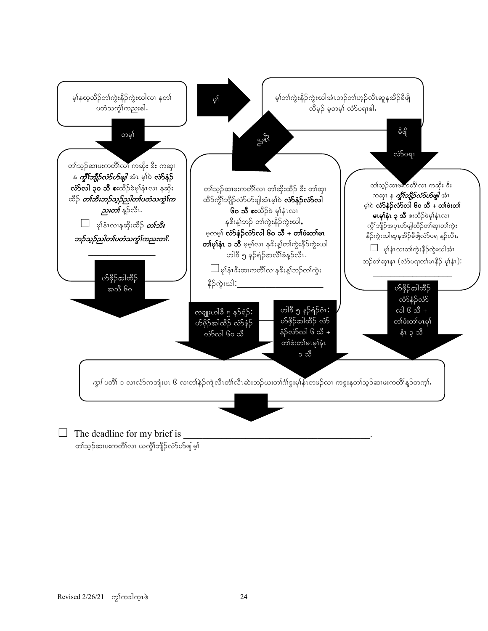![](_page_23_Figure_0.jpeg)

တၢ်သ့ဉ်ဆၢဖးကတိၢ်လၢ ယက္ဂိ<sup>ု</sup>ဘျိဉ်လံာ်ဟ်ဖျါမ့<sup>န်</sup>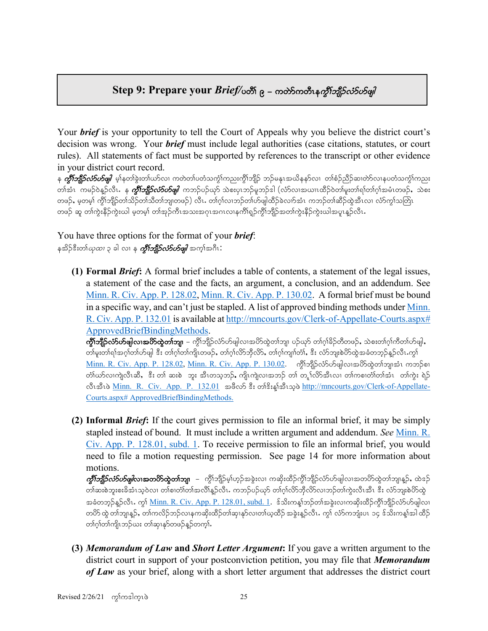# $Step 9$ : Prepare your *Brief/*ပတိၤ် ၉ – ကတ်ာကတီၤန*က္ဂ်ီးဘျိုဉ်လံ5ပ§ဖျါ*

Your *brief* is your opportunity to tell the Court of Appeals why you believe the district court's decision was wrong. Your *brief* must include legal authorities (case citations, statutes, or court rules). All statements of fact must be supported by references to the transcript or other evidence in your district court record.

န *ကွိၢ်ဘျိုာ်လံာ်ဟ်ဖျါ မ့*ါ်နတါ်ခွဲးတါယာ်လ၊ ကတဲတါပတံသကွိၢ်ကညးကွိါဘျိဉ် ဘဉ်မနုၤအယိနနာ်လ၊ တါစံဉ်ညီဉ်ဆ၊တဲာ်လ၊နပတံသကွိၢ်ကညး တါအံၤ ကမဉ်ဝဲန္ဥာလီၤ. န *ကွီးဘျိဉ်လံ5ဟ်ဖျါ က*ဘဉ်ပဉ်ယှာ် သဲစးပုၤဘဉ်မူဘဉ်ဒါ (လံာ်လၢအယၢၤထိဉ်ဝဲတါမူးတါရါတါဂုါအမံၤတဖဉ်, သဲစး တဖဉ်, မ့တမ့်၊ ကွိၢ်ဘျိဉ်တ၊်သိဉ်တ၊်သိတ၊်ဘျ၊တဖဉ်) လီၤ. တ၊်ဂ့၊်လ၊ဘဉ်တ၊်ဟ်ဖျါထိဉ်ခဲလ၊ာ်အံၤ ကဘဉ်တ၊်ဆိဉ်ထွဲအီၤလ၊ လံာ်ကွ၊်သတြၤ တဖဉ် ဆူ တါကွဲးနိဉ်ကွဲးယါ မှတမ့)် တါအှဉ်ကီၤအသးအဂုၤအဂၤလၢနကိၢ်ရှဉ်ကွိၢ်ဘျိဉ်အတၢ်ကွဲးနိဉ်ကွဲးယါအပူၤန္ဉာလီၤ

### You have three options for the format of your *brief*: နအိဉ်ဒီးတ၊်*ယုထ၊* ၃ ခါ လ၊ န *ကွိၤ်ဘျိဉ်လံာ်ဟ်ဖျါ အက္*၊်အဂီၤ $\colon$

**(1) Formal** *Brief***:** A formal brief includes a table of contents, a statement of the legal issues, a statement of the case and the facts, an argument, a conclusion, and an addendum. See [Minn. R. Civ. App. P. 128.02,](https://www.revisor.mn.gov/court_rules/ap/subtype/rcap/id/128/#128.02) [Minn. R. Civ. App. P. 130.02.](https://www.revisor.mn.gov/court_rules/ap/subtype/rcap/id/130/#130.02) A formal brief must be bound in a specific way, and can't just be stapled. A list of approved binding methods under Minn. [R. Civ. App. P. 132.01](https://www.revisor.mn.gov/court_rules/ap/subtype/rcap/id/132/#132.01) is available at http://mncourts.gov/Clerk-of-Appellate-Courts.aspx# [ApprovedBriefBindingMethods.](http://mncourts.gov/Clerk-of-Appellate-Courts.aspx#%20ApprovedBriefBindingMethods)

 $\partial \! \! \partial \!\! \partial$ ) ကြီးသိုးတိုးများအတိုက်သည်။ အသိုးသိုးသိုးတဲ့ပါတယ်အလိုက်သျာ ပည်သို တက်ခြိည်တီတဖဉ်, သံစးတက်က်တိတ်ဟ်ဖျါ တ၊်မူးတ၊်ရၢ်အဂ္ဂါတ၊်ဟ်ဖျါ ဒီး တ၊်ဂု၊်တ၊်ကျိၤတဖဉ်, တ၊်ဂု၊်လိ>်ဘိုလိ>်, တ၊်ဂု၊်ကျ၊၊်တဲ၊်, ဒီး လံာ်ဘူးစဲဟိထွဲအခံတဘုဉ်နူဉ်လီၤ.ကွ၊် [Minn. R. Civ. App. P. 128.02,](https://www.revisor.mn.gov/court_rules/ap/subtype/rcap/id/128/#128.02) <u>Minn. R. Civ. App. P. 130.02</u>. ကွိ<sup>ု</sup>ဘျိဉ်လံ>်ဟ်ဖျါလ၊အပိ>်ထွဲတၢ်ဘျ၊အံၤ ကဘဉ်စ၊ တ်ၢိဃာ်လၢကျဲလီၤဆီ, းီး တ1် ဆးစဲ ဘူး အီၤတသ္စ္ဘာာ်…ကျိုးကျဲလ၊အဘဉ် တ1် တူ့ ၊်လိာ်အီၤလ၊ တ1်ကစ၊တံၢ်တၢ်အံၤ တၢ်ကွဲး ရဲဉ လီးအီးဖဲ [Minn. R. Civ. App. P. 132.01](https://www.revisor.mn.gov/court_rules/ap/subtype/rcap/id/132/#132.01) အဖိလာ် နီး တၢိနိးနှုံအီးသူဖဲ [http://mncourts.gov/Clerk-of-Appellate-](http://mncourts.gov/Clerk-of-Appellate-Courts.aspx#%20ApprovedBriefBindingMethods)[Courts.aspx# ApprovedBriefBindingMethods.](http://mncourts.gov/Clerk-of-Appellate-Courts.aspx#%20ApprovedBriefBindingMethods)

**(2) Informal** *Brief***:** If the court gives permission to file an informal brief, it may be simply stapled instead of bound. It must include a written argument and addendum. *See* [Minn. R.](https://www.revisor.mn.gov/court_rules/ap/subtype/rcap/id/128/#128.01)  [Civ. App. P. 128.01, subd. 1.](https://www.revisor.mn.gov/court_rules/ap/subtype/rcap/id/128/#128.01) To receive permission to file an informal brief, you would need to file a motion requesting permission. See page 14 for more information about motions.

*ကွိဳ)ဘျိုာ်လံာပာဖျါ***လၢအတပိာထွဲတၢ်ဘျ**၊ – ကွိၢ်ဘျိဉ်မ့္ပ်ဟ္ဥအခွဲးလ၊ ကဆိုးထိဉ်ကွိၢ်ဘျိဉ်လံာ်ပာဖျါလ၊အတပိာ်ထွဲတၢ်ဘျ၊နူဉ်, ထဲဒဉ် တါဆးစဲဘူးစးခိအံၤသ့ဝဲလ၊ တါစ၊တံါတါအလိါန္βလီၤႉ ကဘဉ်ပဉ်ယုာ် တါဂူါလိ $5$ ဘိုလိ $5$ လ၊ဘဉ်တါကွဲးလီၤအီၤ ဒီး လံာ်ဘူးစဲဟိုလွဲ အခံတဘုဉ်နဉ်လီၤ. ကွ\ <u>Minn. R. Civ. App. P. 128.01, subd. 1</u>.  $\hat{s}$ သိးကန္)တဉ်တါအခွဲးလ၊ကဆိုးထိဉ်ကွိၢ်ဘျိဉ်လံာ်ဟ်ဖျါလ၊ တပိာ်ထွဲ တါဘျ၊နူဉ်**,** တါကလိဉ်ဘဉ်လ၊နကဆိုးထိဉ်တါဆု၊နုာ်လ၊တါယ္စထိဉ် အခွဲးနူဉ်လီၤ*. ကွ*၊် လံာ်ကဘျံးပၤ ၁၄ ဒ်သိးကန္၊်အါ ထိဉ် တၢ်ဂ္၊်တ၊်ကျိၤဘဉ်ယး တ၊်ဆု၊နှာ်တဖဉ်န္ဉာ်တက္န၊်.

**(3)** *Memorandum of Law* **and** *Short Letter Argument***:** If you gave a written argument to the district court in support of your postconviction petition, you may file that *Memorandum of Law* as your brief, along with a short letter argument that addresses the district court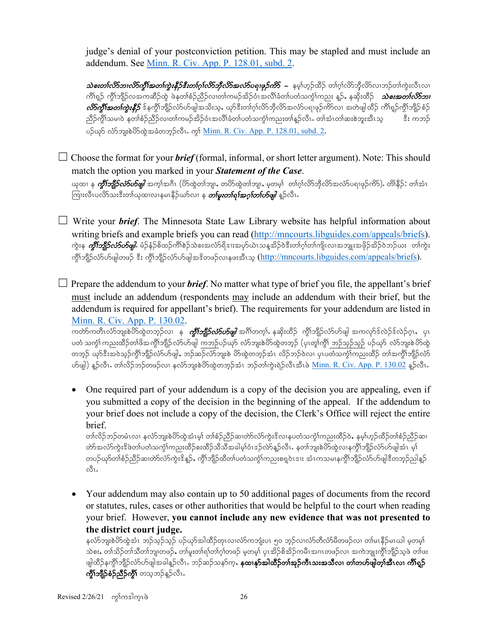judge's denial of your postconviction petition. This may be stapled and must include an addendum. See [Minn. R. Civ. App. P. 128.01, subd. 2.](https://www.revisor.mn.gov/court_rules/ap/subtype/rcap/id/128/#128.01)

 $\partial$ စးတ $i$ လိ $\partial$ ဘၢလိ $\partial$ ကိုးအတ $i$ ကုံးနီ $\beta$ နီးတ $i$ ဂ္ $i$ လိ $\partial$ ဘိုလိ $\partial$ အလ $\partial$ စျေဖှ $\partial$ ကိ $S$  – နမ္န္ $i$ ဟ္ဥထိဉ် တ $i$ ဂ္ဂါလိ $\partial$ သဘည်တ $i$ ကုံးလီၤလၤ ကိၢ်ရှဉ် ကွိၢ်ဘျိဉ်လအကဆိဉ်ထွဲ ဖဲနတၢ်စံဉ်ညိဉ်လ၊တ၊်ကမဉ်အိဉ်ဝံၤအလိၢ်ခံတ၊်ပတံသကွၢ်ကညး နူဉ်, နဆိုးထိဉ် *သဲစးအတၤ်လိာဘ၊*  $\partial\Im$ ကိုးအတ $\hat\eta$ းနီ $\hat\beta$  ဒ်နက္ဂိါဘျိဉ်လံ $5$ ဟ်ဖျါအသိးသ့, ယှာ်ဒီးတၢ်ဂ္ဂါလိ $5$ ဘိုလိ $5$ အလံ $5$ ပရၢဖှဉ်ကိSလ၊ အတဲဖျါထိဉ် ကိါရှဉ်ကွိါဘျိဉ်စံဉ် ညီဉ်ကွိၤ်သမၢဝဲ နတၢ်စံဉ်ညီဉ်လ၊တၢ်ကမဉ်အိဉ်ဝံၤအလိၤ်ခံတၤ်ပတံသကွဲၤ်ကညးတၤ်နှဉ်လီၤႉ တ၊်အံၤတၤ်ဆးစဲဘူးအီၤသ့ န ပဉ်ယှာ် လံာ်ဘူးစဲဟိထွဲအခံတဘုဉ်လီၤ. ကွ<sup>ု</sup> <u>Minn. R. Civ. App. P. 128.01, subd. 2</u>.

 $\Box$  Choose the format for your *brief* (formal, informal, or short letter argument). Note: This should match the option you marked in your *Statement of the Case*. ယုထ၊ န *ကွီးဘျီဉ်လံာ်ဟ်ဖျါ* အက္ခ္အရာဂါ (ပိဉ်ထွဲတာ်ဘျ၊, တပိဉ်ထွဲတာ်ဘျ၊, မှတမှ)် တာဂွာ်လိဘိုလိဉ်အလံဉပရၢဖုဉ်ကိဉ်), တိ၊နိဉ် $\colon$  တာ်အံၤ

ကြးလီၤပလိ>်သးဒီးတၢ်ယုထၢလၢနမၤနိဉ်ယာ်လၢ န *တ်မူးတၢ်ရၢ်အဂ္ဂ်တ်ပာဖျါ န*ဉ်လီၤ**.** 

☐ Write your *brief*. The Minnesota State Law Library website has helpful information about writing briefs and example briefs you can read [\(http://mncourts.libguides.com/appeals/briefs\)](http://mncourts.libguides.com/appeals/briefs). ကွဲးန *ကွိ1်ဘို့ဉ်လံ5ဟ်ဖျါ.* **မံ**ဉ်နံဉ်စိထဉ်ကိ<sup>ု</sup>စဉ်သဲစးအလံာ်ရိဒၤးအပှာ်ယဲၤသန္**အိဉ်ဝဲဒီးတၢ်ဂ္**ဂါကျီၤလၢအဘျုးအဖိုဉ်အိဉ်ဝဲဘဉ်ယး တၢ်ကွဲး ကိုၤ်ဘျိဉ်လံာ်ပာ်ဖျါတဖဉ် ဒီး ကိုၤ်ဘျိဉ်လံာ်ပာ်ဖျါအဒိတဖဉ်လၢနဖးအီၤသ္ [\(http://mncourts.libguides.com/appeals/briefs\)](http://mncourts.libguides.com/appeals/briefs).

 $\Box$  Prepare the addendum to your *brief*. No matter what type of brief you file, the appellant's brief must include an addendum (respondents may include an addendum with their brief, but the addendum is required for appellant's brief). The requirements for your addendum are listed in [Minn. R. Civ. App. P. 130.02.](https://www.revisor.mn.gov/court_rules/ap/subtype/rcap/id/130/#130.02)

ကတ်ာကတိၤလံာဘူးစဲဟိထွဲတဘူဉ်လ၊ န *ကွိၢ်ဘျိုာ်လံာဟ်ဖျါ* အင်္ဂါတက္i်. နဆိုးထိဉ် ကွိၢ်ဘျိုာ်လံာ်ဟ်ဖျါ အကလှာ်ဒ်လဲဉ်ဒ်လဲဉ်ဂူး, ပုၤ ပတံ သက္ခံ၊် ကညးထိဉ်တ၊်ဖိအကို၊်ဘျိဉ် လံဉ်ဟ်ဖျါ ကဘဉ်ပဉ်ယှာ် လံဉ်ဘူးစဲပိဉ်ထဲတဘွဉ် (ပုၤတ္စ္ပါက္ငို ဘဉ်သွဉ်သွဉ် ပဉ်ယှာ လံဉ်ဘူးစဲပိဉ်ထွဲ တဘုဉ် ယှာ်ဒီးအဝဲသုဉ်ကွိၢ်ဘျိဉ်လံာ်ဟ်ဖျါႇ ဘဉ်ဆဉ်လံာ်ဘျးစဲ ဟိတွဲတဘုဉ်အံၤ လိဉ်ဘဉ်ဝဲလ၊ ပုၤပတံသကွံၢ်ကညးထိဉ် တၢ်အကွိၢ်ဘျိဉ်လံာ် ဟ်ဖျါ) နူဉ်လီး. တၢ်လိဉ်ဘဉ်တဖဉ်လ၊ နင်္လာဘူးစဲဟိထွဲတဘုဉ်အံၤ ဘဉ်တၢ်ကွဲးရဲဉ်လီၤအီၤဖဲ <u>[Minn. R. Civ. App. P. 130.02](https://www.revisor.mn.gov/court_rules/ap/subtype/rcap/id/130/#130.02)</u> နူဉ်လီး.

• One required part of your addendum is a copy of the decision you are appealing, even if you submitted a copy of the decision in the beginning of the appeal. If the addendum to your brief does not include a copy of the decision, the Clerk's Office will reject the entire brief.

တၢ်လိဉ်ဘဉ်တမံၤလၢ နင်္လာဘျးစဲပိာ်ထွဲအံၤမ့္ပ် တၢ်စံဉ်ညီဉ်ဆ၊တဲာလံာ်ကွဲးဒိလ၊နပတံသက္ငံ)ကညးထိဉ်ဝဲ,နမ့္ပ်ဟ္ဉ်ထိဉ်တၢ်စံဉ်ညီဉ်ဆ၊ တ်ာအလံာ်ကွဲးဒိဖဲတ၊်ပတံသကွဲၤ်ကညးထိဉ်စးထိဉ်သိသိအခါမှၤ်ဝံၤဒဉ်လဲာနဉ်လီၤ. နတၤ်ဘျးစဲဟိသွ်လၢနကွိၤ်ဘျိဉ်လံာဟ်ဖျါအံၤ မှၤ တပဉ်ယှာ်တၢ်စံဉ်ညီဉ်ဆ၊တဲာ်လံာ်ကွဲးဒိန္ဥ်, ကွိၤ်ဘျိဉ်ထိတၤ်ပတံသက္ငံၤ်ကညးစရူဝဲၤဒးး အံၤကသမၢနက္ဂိၤ်ဘျိဉ်လံာ်ပာဖျါဒီတဘူဉ်ညါနူဉ်  $\mathring{\mathcal{O}}$ l.

• Your addendum may also contain up to 50 additional pages of documents from the record or statutes, rules, cases or other authorities that would be helpful to the court when reading your brief. However, **you cannot include any new evidence that was not presented to the district court judge.**

နင်္လာဘူးစဲဟိထွဲအံၤ ဘဉ်သွဉ်သွဉ် ပဉ်ယှာအါထိဉ်တုၤလၤလံာ်ကဘူးပၤ ၅၀ ဘွဉ်လၤလံာ်တီလံာ်မီတဖဉ်လၢ တ၊်မၤနိဉ်မၤယါ မှတမ့)် သဲစး, တါသိဉ်တါသီတါဘျ၊တဖဉ်, တါမူးတါရါတါဂုါတဖဉ် မဲ့တမ္နါ ပုၤအိဉ်စိအိဉ်ကမီၤအဂၤတဖဉ်လ၊ အကဲဘျုးကွိါဘိုုဉ်သဲ့ဖဲ တါဖး ဖျါထိဉ်နကွိၤ်ဘျိဉ်လံာ်ပာဖျါအခါန္ဥလိၤႉ ဘဉ်ဆဉ်သနာ်က္န**, နထၢနှာ်အါထိဉ်တၢ်အှဉ်ကီၤသးအသီလ၊ တၢ်တဟ်ဖျါတ္၊်အီၤလ၊ ကိၢရှဉ် ကွိၤ်ဘျိဉ်စံဉ်ညီဉ်ကွိၤ်** တသ့ဘဉ်န္ဉာ်လီၤ.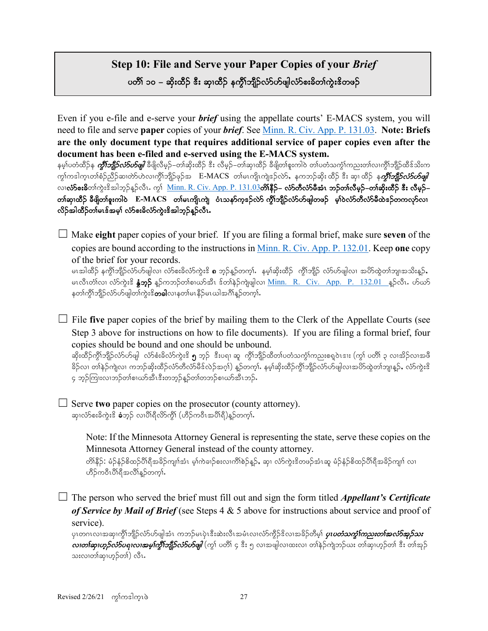# **Step 10: File and Serve your Paper Copies of your** *Brief* ပတိၢ် ၁၀ – ဆိုးထီဉ် <sup>နွ</sup>ံး ဆု၊ထီဉ် နက္ဂိၢ်ဘျိဉ်လံာ်ပာဖျါလံာ်စးခိတၢ်ကွဲးဒိတဖဉ်

Even if you e-file and e-serve your *brief* using the appellate courts' E-MACS system, you will need to file and serve **paper** copies of your *brief*. See [Minn. R. Civ. App. P. 131.03.](https://www.revisor.mn.gov/court_rules/ap/subtype/rcap/id/131/#131.03) **Note: Briefs are the only document type that requires additional service of paper copies even after the document has been e-filed and e-served using the E-MACS system.** 

နမ့္ပ်ပတံထိဉ်န *ကွိၤ်ဘူိည်လ်ာပြေုါ* ခရိုလိမ့ဉ်–တါဆိုးထိဉ် ဒီး လိမ့ဉ်–တါဆု၊ထိဉ် ခီဖျိတါစူးကါဝဲ တ၊်ပတံသက္ငံ)ကညးတ၊်လ၊ကွိၢ်ဘူိဉထိဒ်သိးက ကွါကဒါကူၤတါစံဉ်ညီဉ်ဆ၊တဲာ်ဟဲလ၊ကွိါဘျိဉ်ဖှဉ်အ E-MACS တါမၤကျိၤကျဲဒဉ်လဲ>်, နကဘဉ်ဆိုးထိဉ် ဒီး ဆု၊ ထိဉ် န*ကွိါဘျိဉ်လံ>်ပာဖျါ* လ၊လံာစဴးခ်ိတ္က်ကွဲးဒိအါဘုဉ်န္ဥလိၤ. ကွ<sup>ေ</sup><u>[Minn. R. Civ. App. P. 131.03](https://www.revisor.mn.gov/court_rules/ap/subtype/rcap/id/131/#131.03)</u>တိ၊နိ**ဠိ– လံာတီလံာမီအံၤ ဘဉ်တ၊်လီမှဉ်–တ၊်ဆိုးထိဉ် ဒီး လီမှဉ်–** တၢ်ဆု၊ထိဉ် ခီဖျိတၢ်စူးကါဝဲ E-MACS တၢ်မၤကျိၤကျဲ ဝံၤသနာ်က္**ဒ**ဉ်လဲာ် ကွီၢ်ဘျိဉ်လံာ်ပာ်ဖျါတဖဉ် မ့ၢ်ဝဲလံာ်တီလံာ်မီထဲဒဉ်တကလှာ်လၤ လိဉ်အါထီဉ်တ၊်မၤဒ်အမှ၊် လံာ်စးခိလံာ်ကွဲးဒိအါဘူဉ်နူဉ်လီၤ.

☐ Make **eight** paper copies of your brief. If you are filing a formal brief, make sure **seven** of the copies are bound according to the instructions in [Minn. R. Civ. App. P. 132.01.](https://www.revisor.mn.gov/court_rules/ap/subtype/rcap/id/132/#132.01) Keep **one** copy of the brief for your records.

မၤအါထိဉ် နက္မိၫဘျိဉ်လံာ်ဟ်ဖျါလ၊ လံာစးခိလံာ်ကွဲးဒိ **၈** ဘ့ဉ်နှဉ်တက့ၤ်. နမ့္ဆြားထိဉ် ကွိၤဘျိဉ် လံာ်ဟ်ဖျါလ၊ အဟိထွဲတၤ်ဘျ၊အသိးန္ဉ်**,** မၤလီၤတံၤလ၊ လံာ်ကွဲးဒိ နွံ့**ဘူဉ်** နဉ်ကဘဉ်တ္ပါစၢယာ်အီၤ ဒ်တ္ပါနဉ်ကျဲဖျါလ၊ <u>[Minn. R. Civ. App. P. 132.01](https://www.revisor.mn.gov/court_rules/ap/subtype/rcap/id/131/#131.03) န</u>ှဉ်လီၤ. ဟ်ယာ် နတၢ်ကွိၢ်ဘျိဉ်လံာ်ပာ်ဖျါတၢ်ကွဲးဒိ**တခါ**လၢနတၢ်မၤနိဉ်မၤယါအဂိၢ်န္ဉ်တက္i်.

☐ File **five** paper copies of the brief by mailing them to the Clerk of the Appellate Courts (see Step 3 above for instructions on how to file documents). If you are filing a formal brief, four copies should be bound and one should be unbound.

ဆိုးထိဉ်ကွိၢ်ဘျိဉ်လံာ်ဟ်ဖျါ လံာ်စံးခိလံာ်ကွဲးဒိ ၅ ဘူဉ် ဒီးပရၢ ဆူ ကွိၢ်ဘျိဉ်ထိတၤ်ပတံသက္ခံၤ်ကညးစရူဝဲၤဒၢႏ (ကွၤ် ပတိၢ် ၃ လၢအိဉ်လၢအဖိ ခိဉ်လ၊ တါနဉ်ကျဲလ၊ ကဘဉ်ဆိုးထိဉ်လံာတိလံာမိဒ်လဲဉ်အဂ္ဂါ) နှဉ်တက္ငါး နမ့္ဆုဆိုးထိဉ်ကွိၤ်ဘျိဉ်လံာပာမျါလ၊အပိာ်ထွဲတၤ်ဘျ၊နူဉ်, လံာ်ကွဲးဒိ ၄ ဘူဉ်ကြုးလၢဘဉ်တၢ်စၢဃာ်အီၤဒီးတဘူဉ်နူဉ်တၢ်တဘဉ်စ၊ဃာ်အီၤဘဉ် $\boldsymbol{\cdot}$ 

☐ Serve **two** paper copies on the prosecutor (county attorney). ဆု၊လံာ်စးခ်ကွဲးဒိ **ခံ**ဘူဉ် လၢပိါရီလိာ်ကွီါ (ဟိဉ်ကဝီၤအပိါရီ)နူဉ်တက္**ါ.** 

> Note: If the Minnesota Attorney General is representing the state, serve these copies on the Minnesota Attorney General instead of the county attorney.

တိ၊နိ5်: မံဉ်နံဉ်စိထဉ်ပိ၊ရီအခိဉ်ကျπ်အံၤ မှ၊်ကဲခၢဉ်စးလ၊ကိၢ်စဉ်နှဉ်, ဆု၊ လံာ်ကွဲးဒိတဖဉ်အံၤဆူ မံဉ်နံဉ်စိထဉ်ပိ၊ရီအခိဉ်ကျπ် လ၊ ဟိဉ်ကဝီၤပိါရီအလိါန္ဉ်တက္i်.

☐ The person who served the brief must fill out and sign the form titled *Appellant's Certificate of Service by Mail of Brief* (see Steps 4 & 5 above for instructions about service and proof of service).

ပုၤတဂၤလၢအဆု၊ကွိၢ်ဘျိဉ်လံာ်ဟ်ဖျါအံၤ ကဘဉ်မၤပုံၤဒီးဆဲးလီၤအမံၤလ၊လံာ်ကွိဉ်ဒိလ၊အခိဉ်တိမ့္ပ် *ပုၤ<i>ပတံသကွာ်ကြည္းတၤ်အလံာ်အုဉ်သး*  $\omega$ တာ်ဆု၊ဟူ $\beta$ လံ $\beta$ ပဈ $\omega$ ၊အမှု၊်ကွိါ်ဘျို $\beta$ လံ $\delta$ ပ $\beta$ ဖျါ $\,$ (ကွ $\,$ ၊ ပတိ $\,$ ် ဒိုး ၅ လ $\,$ အျပ $\,$ လားလ $\,$ ၊ တိုးဆု $\beta$ သးလၢတၢ်ဆု၊ဟ့ဉ်တၢ်) လီၤ.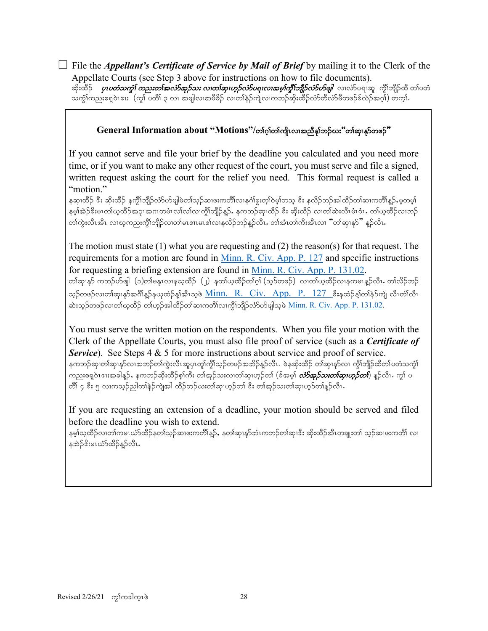$\Box$  File the *Appellant's Certificate of Service by Mail of Brief* by mailing it to the Clerk of the Appellate Courts (see Step 3 above for instructions on how to file documents).

ဆိုးထိဉ် *ပုၤပတံသကွါ ကညးတါအလံာ်အှဉ်သး လၢတါဆု၊ဟုဉ်လံာ်ပရၢလၢအမူ၊်ကွီ၊်ဘျီဉ်လံာ်ဟ်ဖျါ* **လ၊လံာ်ပရ၊ဆူ ကွိ<sup>ု</sup>ဘျိဉ်ထိ တ၊်ပတံ** သက္ခံ)ကညးစရူဝဲၤဒၢႏ် (ကု ပတိ) ၃ လ၊ အဖျါလ၊အဖီခိဉ် လ၊တ္န်နှဲဉ်ကျဲလ၊ကဘဉ်ဆိုးထိဉ်လံာတီလံာမိတဖဉ်နဲ့လည်အဂ္ဂါ) တက္ခါ.

### **General Information about "Motions"/တ၊ဂ္)တ၊ကျိုလ၊အညီနှ၊်ဘဉ်ဃး"တ၊်ဆု၊နှာ်တဖဉ်"**

If you cannot serve and file your brief by the deadline you calculated and you need more time, or if you want to make any other request of the court, you must serve and file a signed, written request asking the court for the relief you need. This formal request is called a "motion."

နဆု၊ထိဉ် ဒီး ဆိုးထိဉ် နက္ဂိါဘျိဉ်လံာ်ဟ်ဖျါဖဲတါသွဉ်ဆ၊ဖႏကတိ၊လ၊နင်္ဂါဒူးတ္)ဝဲမ္)တသွ ဒီး နလိဉ်ဘဉ်အါထိဉ်တါဆ၊ကတိ၊နဉ်,မှတမှ၊ နမ့္ပ်က္ဆဲဉ်ဒီးမၤတ္ပ္ပ်ယ္မွတ္ရွိသည္။အပညာမ်ားလုပ္လားလုပ္ရွည္နည္နည္း နက္သည္အသုတ္အသုတ္အသုတ္အသုတ္အသုတ္အသုတ္အသုတ္အသ တါကွဲးလီၤအီၤ လ၊ယ့ကညးကွိါဘျိဉ်လ၊တါမၤစၢၤမၤစါလ၊နလိဉ်ဘဉ်န္ဉာ်လီၤ**.** တါအံၤတါကိႈးအီၤလ၊ <sup>"</sup>တါဆု၊နှာ်" န္<sub></sub>ဉ်လီၤ**.** 

The motion must state (1) what you are requesting and (2) the reason(s) for that request. The requirements for a motion are found in [Minn. R. Civ. App. P. 127](https://www.revisor.mn.gov/court_rules/ap/subtype/rcap/id/127/) and specific instructions for requesting a briefing extension are found in [Minn. R. Civ. App. P. 131.02.](https://www.revisor.mn.gov/court_rules/ap/subtype/rcap/id/131/#131.02) တါဆု၊နှာ် ကဘဉ်ဟ်ဖျါ (၁)တါမနုၤလၢနယ္နထိဉ် (၂) နတါယ္နထိဉ်တၢ်ဂ္၊် (သူဉ်တဖဉ်) လ၊တါယ္နထိဉ်လၢနကမၤန္ဥာလီၤႉ တၢဴလိဉ်ဘဉ် သွဉ်တဖဉ်လ၊တါဆု၊နှာ်အင်္ဂါန္ဥနယုထံဉ်နှုံအီးသူဖဲ [Minn. R. Civ. App. P. 127](https://www.revisor.mn.gov/court_rules/ap/subtype/rcap/id/127/) နီးနထံဉ်နှုံတါနဉ်ကျဲ လီးတံ၊လီး ဆဲးသုဉ်တဖဉ်လ၊တါယ္နထိဉ် တါဟ္နဉ်အါထိဉ်တါဆ၊ကတိါလ၊ကွိါဘျိဉ်လံာ်ဟ်ဖျါသ္၀ဲ <u>Minn. R. Civ. App. P. 131.02</u>.

You must serve the written motion on the respondents. When you file your motion with the Clerk of the Appellate Courts, you must also file proof of service (such as a *Certificate of Service*). See Steps 4 & 5 for more instructions about service and proof of service. နကဘဉ်ဆု၊တါဆု၊နှာ်လ၊အဘဉ်တါကွဲးလီၤဆူပု၊တူါကွိၢ်သူဉ်တဖဉ်အအိဉ်နူဉ်လီၤ. ဖဲနဆိုးထိဉ် တါဆု၊နှာ်လ၊ ကွိါဘျိဉ်ထိတါပတံသကွါ ကညးစရူဝဲၤဒၢးအခါနူဉ်ႇ နကဘဉ်ဆိုးထိဉ်စ့ၢ်ကီး တၢ်အုဉ်သးလ၊တ၊်ဆု၊ဟုဉ်တ၊် (ဒ်အမ္**၊်** *လံာ်အုဉ်သးတ၊်ဆု၊ဟုဉ်တ၊***)** နှဉ်လီၤ*.* ကွ၊် ပ တိ)် ၄ ဒီး ၅ လ၊ကသ္ဥ်ည္ပါတ၊်နဲ့ဥ်ကျဲအါ ထိဥ်ဘဥ်ယးတ၊်ဆု၊ဟ္ဥ်တ၊် ဒီး တ၊်အူဥ်သးတ၊်ဆု၊ဟ္ဥ်တ၊်နူဥ်လီၤ

If you are requesting an extension of a deadline, your motion should be served and filed before the deadline you wish to extend.

နမ့္ပ်ယ္နထိဉ်လ၊တ္ပ်ကမၤယံာထိဉ်နတ္ပ္သည္ဥဆ၊ဖႏကတိ၊န္ဥ်, နတ္ပ္ဆဆု၊နာအီးကဘဉ်တ္ပ္ပဆု၊ဒ္မီး ဆိုးထိဉ်အီၤတချုးတ္ပ် သူဉ်ဆ၊ဖႏကတိ၊ လ၊ နအဲဉ်ဒိးမၤယံာ်ထိဉ်နဉ်လီၤ.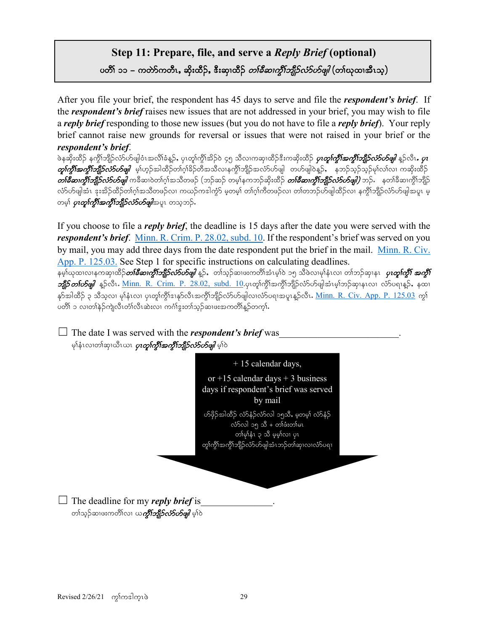# **Step 11: Prepare, file, and serve a** *Reply Brief* **(optional)** ပတိၢ် ၁၁ – ကတ်ာ်ကတီၤႇ ဆိုးထိဉ်ႇ ဒီးဆု၊ထိဉ် *တၢ်ခီဆၢကွိၢ်ဘျိဉ်လံာ်ဟ်ဖျါ* (တ၊်ယုထ၊အီၤသ့)

After you file your brief, the respondent has 45 days to serve and file the *respondent's brief*. If the *respondent's brief* raises new issues that are not addressed in your brief, you may wish to file a *reply brief* responding to those new issues (but you do not have to file a *reply brief*). Your reply brief cannot raise new grounds for reversal or issues that were not raised in your brief or the *respondent's brief*.

ဖဲနဆိုးထိဉ် နက္ဂိၢဘျိဉ်လ်ာဟ်ဖျါဝံၤအလိၢ်ခံနဉ်, ပုၤတု၊်က္ဂိၢအိဉ်ဝဲ ၄၅ သိလၢကဆု၊ထိဉ်ဒီးကဆိုးထိဉ် *ပုၤတု၊်က္ဂိါအကွီးဘျိဉ်လံ5ဟ်ဖျါ* နဉ်လီၤ*. ပုၤ*  $\phi$ ကို $\eta$ ်တိုကျိည်ကိုင်းတို့မျိုး မှုကျွာအါထိဉ်တက်ခြိုင်တို့အသိလ၊နကိုကျိဉ်အလံာ်ဟ်ဖျါ တဟ်ဖျါဝဲနဉ်, နုဘဉ်သွဉ်မှုက်လက ကဆိုးထိဉ်  $\emph{orb}$ နီဆ၊ကွိါ်ဘျိုာ်လာ်ဟ်ဖျါ ကခိဆ၊ဝဲတ၊်ဂ္ဂါအသိတဖဉ် (ဘဉ်ဆဉ် တမ့်)နကဘဉ်ဆိုးထိဉ် *တၤ်နီဆ၊ကွိါ်ဘျိုဉ်လာ်ပမျို)* ဘဉ်. နတၢ်ခီဆ၊ကွိၢ်ဘျိဉ် လ်ာ်ပေါ့အုံး နူးအိဉ်ထိဉ်တျပုံအသိတဖဉ်လ၊ ကယဉ်ကဒါကွဲာ် မှတမှု၊် တျပုံကိုတဖဉ်လ၊ တျတဘဉ်ဟ်ဖျါထိဉ်လ၊ နကွိၢ်ဘျိဉ်လာပြုအပူး မှ တမ္နါ *ပုၤတ္စ္ပါက္ဂ်ိါအက္ဂ်ိါဘျီဉ်လံာ်ဟိဖျါ*အပူၤ တသ္စဘဉ်.

If you choose to file a *reply brief*, the deadline is 15 days after the date you were served with the *respondent's brief*. [Minn. R. Crim. P. 28.02, subd.](https://www.revisor.mn.gov/court_rules/cr/id/28/#28.02) 10. If the respondent's brief was served on you by mail, you may add three days from the date respondent put the brief in the mail. [Minn. R. Civ.](https://www.revisor.mn.gov/court_rules/ap/subtype/rcap/id/125/)  [App. P. 125.03.](https://www.revisor.mn.gov/court_rules/ap/subtype/rcap/id/125/) See Step 1 for specific instructions on calculating deadlines.

နမ္န္က်ယ္မထၤလၤနကဆု၊ထိဉ်*တ်ခ်ိဆၢက္စီးဘျီဉ်လံ>်ပာဖျဲ* န္႕်ာ့ တၫသ္ဥဆၤဖႏကတိၤ်အုံးမွျပဲ ၁၅ သိဖလၤမု၊နံၤလ၊ တၢဘဥ်ဆု၊နၤ*့ပျတ္ရကြွီး အကျို*  $\mathscr{A}$ ြာတ $\mathscr{A}$ တိုင်း  $\mathscr{A}$ ု ( $\mathscr{A}$ ). R. Crim. P. 28.02,  $\text{subd. }10.$ ပု၊တူ $\text{h}$ က္ဂိုအက္ဂိုဘျီဉ်လံ $\text{c}$ ပ်ဖျါအံၤမ္ $\text{t}$ ဘုရားလ၊ လံ $\text{t}$ ပေျန္ဉ်, နထ၊ နှာ်အါထိဉ် ၃ သိသ္**လ၊ မု**)နံၤလ၊ ပုၤတု၊်ကွိ႞ဒၢနုာ်လီၤအကွိၢ်ဘျိဉ်လံာ်ပာ်ဖျါလ၊လံာ်ပရၢအပူၤန္ဉာလီၤ**.** <u>[Minn. R. Civ. App. P. 125.03](https://www.revisor.mn.gov/court_rules/ap/subtype/rcap/id/125/)</u> ကွ§် ပတိါ ၁ လ၊တါနဲဉ်ကျဲလီၤတႆ၊လိၤဆဲးလ၊ ကင်္ဂါဒွးတါသုဉ်ဆ၊ဖးအကတိါန္<sup></sup>ဉ်တက္**ါ.** 

 $\Box$  The date I was served with the *respondent's brief* was မှါနံၤလၢတါဆု၊ဃီၤယၤ *ပုၤတူ၊်ကွီးအကွီ၊်ဘျိဉ်လံဉ်ဟိဖျါ မှ*ါဝဲ

![](_page_28_Figure_6.jpeg)

 $\Box$  The deadline for my *reply brief* is တၢ်သ္ဉ်ဆၤဖးကတိၢ်လၤ ယ*ကိုၤ်ဘျီဉ်လံာ်ဟ်ဖျါ မ့*ၢ်ဝဲ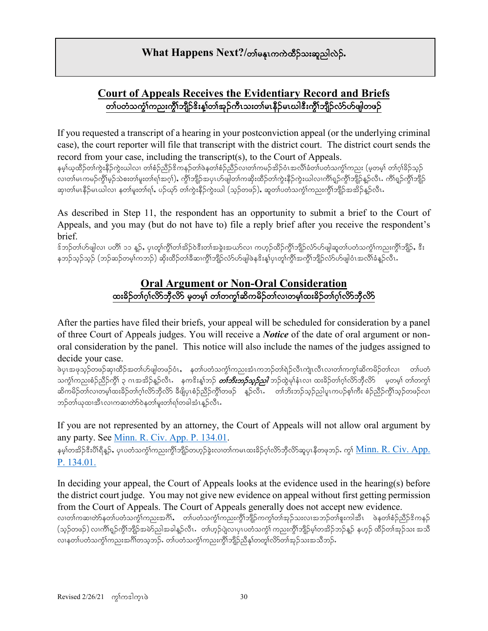# **What Happens Next?/**တစ်နေကေကဲထိဉ်သးဆူညါလဲဉ်.

# **Court of Appeals Receives the Evidentiary Record and Briefs** တၢ်ပတံသကဲ့၊်ကညးကို၊်ဘျီဉ်ဒိးနှုတ်၊အုဉ်ကီၤသးတ၊်မၤနိီဉ်မၤယါဒီးကို၊်ဘျီဉ်လံာ်ဟ်ဖျါတဖဉ်

If you requested a transcript of a hearing in your postconviction appeal (or the underlying criminal case), the court reporter will file that transcript with the district court. The district court sends the record from your case, including the transcript(s), to the Court of Appeals.

နမ့္ပ်ယ္စထိဉ်တ္က်က္မွဴးနိဉ်ကွဲးယါလ၊ တၢ်စံဉ်ညီဉ်ဒိကနဉ်တျ်စဲနတၢ်စံဉ်ညီဉ်လ၊တမဉ်အိဉ်ဝံၤအလိၢ်ခံတ၊်ပတံသက္ခံ၊်ကညး (မူတမူ၊် တ၊်ဂူ)ခိဉ်သူဉ် လ၊တါမၤကမဉ်ကွိၢ်မှဉ်သဲစးတ၊်မူးတ၊်ရ၊်အဂ္ဂါ), ကွိၢ်ဘျိဉ်အပုၤဟ်ဖျါတ၊်ကဆိုးထိဉ်တ၊်ကွဲးနိဉ်ကွဲးယါလ၊ကိၢရှဉ်ကွိၢ်ဘျိဉ်နှဉ်လီၤ. ကိၢရှဉ်ကွိၢ်ဘျိဉ် ဆု၊တါမၤနီဉ်မၤယါလ၊ နတၢ်မူးတၢ်ရၢ်, ပဉ်ယှာ် တၢ်ကွဲးနီဉ်ကွဲးယါ (သူဉ်တဖဉ်), ဆူတၢ်ပတံသက္ခံၤ်ကညးကွိၤ်ဘျိဉ်အအိဉ်နူဉ်လီၤ

As described in Step 11, the respondent has an opportunity to submit a brief to the Court of Appeals, and you may (but do not have to) file a reply brief after you receive the respondent's brief.

 $\delta$ ဘဉ်တ၊်ဟ်ဖျါလ၊ ပတိ၊် ၁၁ နဉ်, ပုၤတု၊်ကို၊်တ၊်အိဉ်ဝဲဒီးတ၊်အခွဲးအယာ်လ၊ ကဟ္ဥ်ထိဉ်ကို၊်ဘျိဉ်လံာ်ဟ်ဖျါဆူတ၊်ပတံသကုံ၊်ကညးကို၊်ဘျိဉ်, ဒီး နဘဉ်သွဉ်သွဉ် (ဘဉ်ဆဉ်တမ့ $\mathsf{[} n$ ဘဉ်) ဆိုးထိဉ်တ $\mathsf{[} s$ ဆီးကို $\mathsf{[} n$ ညီယ်တွေဖြစ်န $\mathsf{[} s$ ုံးနှံ့ကိုကို $\mathsf{[} n$ ည်လိုးတွဲဖြင်းအလိ $\mathsf{[} s$ နူဉ်လီ $\mathsf{[} \cdot \mathsf{[} \cdot \mathsf{[} \cdot \mathsf{[} \cdot \mathsf{[} \cdot \mathsf{[} \cdot \mathsf{[} \cdot \mathsf{[} \cdot \mathsf{[} \cdot \mathsf{$ 

### **Oral Argument or Non-Oral Consideration**  $\alpha$ :ခိဉ်တက်လိုက်သီလို မတမ) တင်္ကာကျဆိုကမိဉ်တင်္ကလာမာ်ထးခိဉ်တက်လိုဘီလိုက

After the parties have filed their briefs, your appeal will be scheduled for consideration by a panel of three Court of Appeals judges. You will receive a *Notice* of the date of oral argument or nonoral consideration by the panel. This notice will also include the names of the judges assigned to decide your case.

ဖဲပုၤအဖုသ္ဥ်တဖဉ်ဆု၊ထိဉ်အတၢ်ဟ်ဖျါတဖဉ်ဝံၤ, နတၤ်ပတံသက္ငၢ်ကညးအံၤကဘဉ်တၢ်ရဲဉ်လီၤကျဲ၊လီၤလ၊တၢ်ကကွၢ်ဆိကမိဉ်တ၊်လ၊ တ၊်ပတံ သင်္ကုကညးစံဉ်ညီဉ်ကွိ၊် ၃ ဂၤအအိဉ်နဉ်လီၤ. နက<sup>္ခ</sup>ိုးနှုတ်ဉ် *တ်ဘီးဘဉ်သှဉ်သါ* ဘဉ်ထွဲမှုနံၤလ၊ ထးခိဉ်တၢ်ဂ္ဂါလိ၁်ဘိုလိ၁် မှတမှ၊် တ၊်တကွ<sup>ု</sup> ဆိကမိဉ်တါလ၊တမ့ါထးခိဉ်တါဂုါလိ5်ဘိုလိ5် ခီဖျိပု၊စံဉ်ညီဉ်ကွိၢ်တဖဉ် နဉ်လီၤ. တါဘိးဘဉ်သူဉ်ညါပူၤကပဉ်စ့ါကီး စံဉ်ညီဉ်ကွိၢ်သူဉ်တဖဉ်လ၊ ဘဉ်တါယုထၢအီၤလၢကဆၢတဲာ်ဝဲနတၢ်မူးတၢ်ရၢ်တခါအံၤန္ဉာလီၤ

If you are not represented by an attorney, the Court of Appeals will not allow oral argument by any party. See [Minn. R. Civ. App. P. 134.01.](https://www.revisor.mn.gov/court_rules/ap/subtype/rcap/id/134/)

နမ္)တအိဉ်နီးပိုးရီနဉ်, ပုၤပတံသက္ပါကညးကို)ဘျိဉ်တဟ္ဥခဲ့းလ၊တ၊်ကမၤထးခိဉ်ဂ္ဂါလိာဘိုလိာဆူပုၤနီတဖုဘဉ်. ကု} Minn.  $\rm R$ . Civ. App. [P. 134.01.](https://www.revisor.mn.gov/court_rules/ap/subtype/rcap/id/134/)

In deciding your appeal, the Court of Appeals looks at the evidence used in the hearing(s) before the district court judge. You may not give new evidence on appeal without first getting permission from the Court of Appeals. The Court of Appeals generally does not accept new evidence.

လၢတ်ကဆ၊တဲာ်နတၤ်ပတံသက္ခံ၊်ကညးအင်္ဂါ, တၤ်ပတံသက္ခံ၊်ကညးကွိၢ်ဘျိဉ်ကကွ၊်တ၊်အှဉ်သးလ၊အဘဉ်တ၊်စူးကါအိၤ ဖဲနတၢ်စံဉ်ညီဉ်ဒိကနဉ် (သ္ဉ်တဖဉ်) လၢကိၢရှ္ဝ်ကိုၤဘျိဉ်အမဲာ်ညါအခါန္ဥလီၤ တေါဟ္ဥပျဲလ၊ပုၤပတံသက္ငံ၊ ကညးကွိၤ်ဘျိဉ်မ္၊်တအိဉ်ဘဉ်န္ဥ နဟူဉ် ထိဉ်တၤ်အုဉ်သး အသိ လၢနတၢ်ပတံသက္င်္ဂါကညးအင်္ဂါတသူဘဉ်. တၢ်ပတံသက္င်္ဂါကညးကွိုဘျိဉ်ညီနှၤ်တတူ၊်လိာ်တ၊်အုဉ်သးအသီဘဉ်.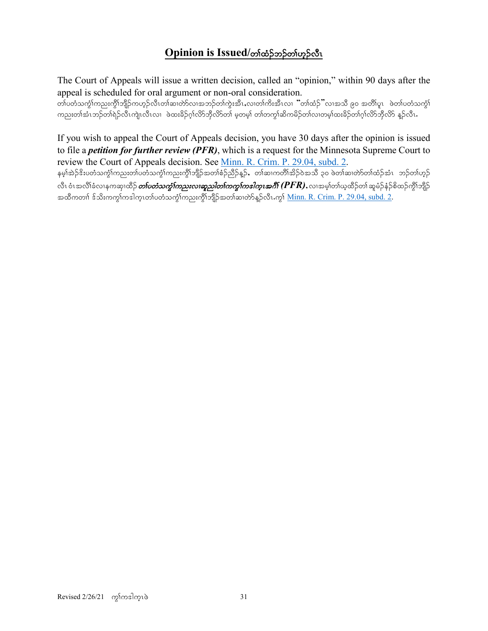# **Opinion is Issued/တါတံ့**ဉ်တိုဟ္ဥလီၤ

The Court of Appeals will issue a written decision, called an "opinion," within 90 days after the appeal is scheduled for oral argument or non-oral consideration.

www.conjucky.com/webSupport/www.com/webSupport/witch/theory/witch/theory/tomas/tension/view/to/webs/<br>The distribution of the formula of the world of the distribution of the distribution of the state of the state ကညးတါအံၤဘဉ်တါရဲဉ်လီၤကျဲၤလီၤလၢ ဖဲထးခိဉ်ဂ္ဂါလိာ်ဘိုလိာ်တါ မှတမူ) တါတကွါဆိကမိဉ်တါလ၊တမူ၊်ထးခိဉ်တ၊်ဂ္ဂါလိာဘိုလိာ နူဉ်လီၤ

If you wish to appeal the Court of Appeals decision, you have 30 days after the opinion is issued to file a *petition for further review (PFR)*, which is a request for the Minnesota Supreme Court to review the Court of Appeals decision. See [Minn. R. Crim. P. 29.04, subd. 2.](https://www.revisor.mn.gov/court_rules/cr/id/29/#29.04) erh>tJ.'d;ywHouGH>un;w>ywHouGH>un;uGD>bsD.tw>pH.nD.M.< w>qXuwD>td.0JtoDA30AzJw>qXwJmw>xH.tHR b.w>[h.

လီၤ ဝံၤအလိၢ်ခံလၢနကဆု၊ထိဉ်*တၤ်ပတံသကွာ်ကညးလၢဆူညါတၤ်ကကွၤ်ကပါက္ၤအဂိၢ် (* $PFR$ *), လၢအမ္န၊်တၢ်ယ္မထိဉ်တၢ် ဆူမံဉ်နံဉ်စိထဉ်ကွိၢ်ဘိုဉ်* အထိကတၢါ ဒ်သိးကကွါကဒါက္၊တါပတံသကွဲါကညးကွိါဘျိဉ်အတါဆ၊တဲာ်နူဉ်လီၤ.ကွါ <u>Minn. R. Crim. P. 29.04, subd. 2</u>.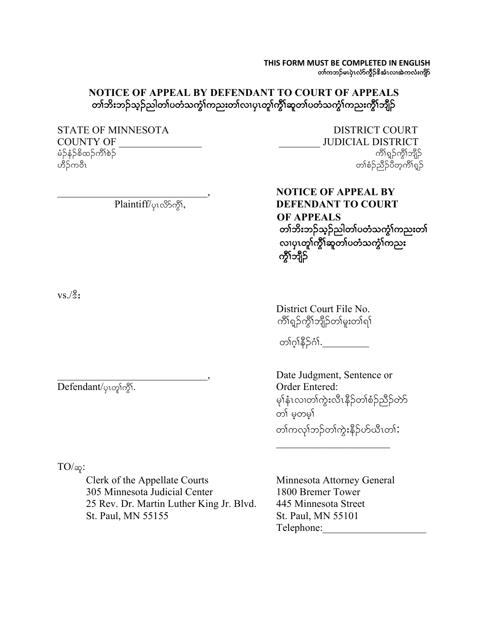**THIS FORM MUST BE COMPLETED IN ENGLISH** တၢ်ကဘဉ်မၤပုဲၤလံာ်ကွိဉ်&အံၤလ၊အဲကလံးကျိာ်

## **NOTICE OF APPEAL BY DEFENDANT TO COURT OF APPEALS** တၢ်ဘိးဘဉ်သူဉ်ညါတၢ်ပတံသကွံၤ်ကညးတၢ်လၢပှၤတူၢ်ကွိၢ်ဆူတၢ်ပတံသကွံၤ်ကညးကွိၤ်ဘျိဉ်

COUNTY OF \_\_\_\_\_\_\_\_\_\_\_\_\_\_\_\_ \_\_\_\_\_\_\_\_ JUDICIAL DISTRICT မံဉ်နံဉ်စိထဉ်ကိ $\delta$ စ် $\beta$ 

STATE OF MINNESOTA DISTRICT COURT ဟိဉ်ကဝီၤ $\,$ တာပြီး w $\,$ ကားများကားများကားများကားများကားများကားများကားများကားများကားများကားများကြသည် ကြိုးကြွေး

> **NOTICE OF APPEAL BY**<br>Plaintiff/<sub> $\varphi$ 10850\$1, **DEFENDANT TO COURT**</sub> **DEFENDANT TO COURT OF APPEALS** တၢ်ဘိးဘဉ်သ့ဉ်ညါတၢ်ပတံသကွံၢ်ကညးတၢ်<br>လၢပှၤတူၢ်ကွိၢ်ဆူတၢ်ပတံသကွံၢ်ကညး ကွိၤ်ဘျိဉ်

 $\mathrm{vs.}/\mathrm{sc}$ :

Defendant/ $\varphi$ 10 $\gamma$ δ $\gamma$ δ,

 $TO/\infty$ :

Clerk of the Appellate Courts Minnesota Attorney General 305 Minnesota Judicial Center 1800 Bremer Tower 25 Rev. Dr. Martin Luther King Jr. Blvd. 445 Minnesota Street St. Paul, MN 55155 St. Paul, MN 55101

 District Court File No. ကိၢရှဉ်ကိုၤဘိုဘိုတ္ကမူးတါရှါ

တၢ်ဂ္နနိ် ၃ဂံ<u>ဂ်. \_\_\_\_\_\_\_\_\_\_\_</u>

Date Judgment, Sentence or မှ<mark>ု</mark>နံၤလၢတၢ်ကွဲးလိၤနိဉ်တၢ်စံဉ်ညိဉ်တ<mark>ာ်</mark> တ<sup>ှ</sup> မတမ<sup>ှ</sup> တၢ်ကလုၢ်ဘဉ်တၢ်ကွဲးနိဉ်ဟ်ယီၤတၢ်**:** 

Telephone: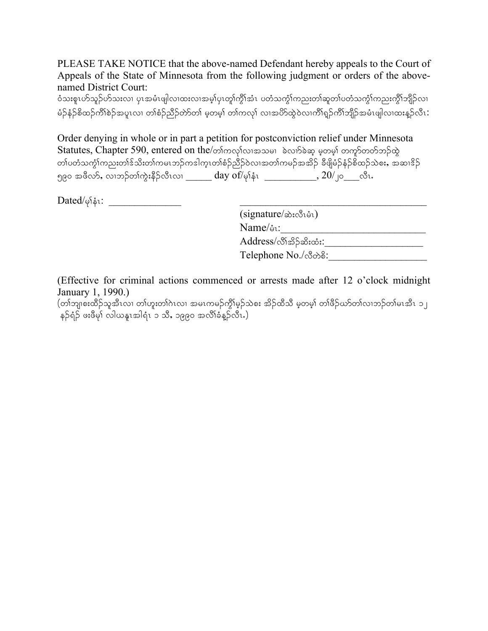PLEASE TAKE NOTICE that the above-named Defendant hereby appeals to the Court of Appeals of the State of Minnesota from the following judgment or orders of the abovenamed District Court:

ဝံသးစူၤဟ်သူဉ်ဟ်သးလၢ ပုၤအမံၤဖျါလ၊ထးလ၊အမ့္ပ်ပုၤတူ၊်က္ဂိုအံၤ ပတံသက္ဂံ၊်ကညးတ၊်ဆူတ၊်ပတံသက္ဂံ၊်ကညးကွိ၊်ဘျိဉ်လ၊ <u>မံ</u>ဉ်နံဉ်စိထဉ်ကိၢိစဉ်အပူၤလ၊ တၢ်စံဉ်ညီဉ်တာ်တာ် မ့တမ့)် တၢကလုၤ် လ၊အပိာ်ထွဲဝဲလ၊ကိၢရှဉ်ကိၢ်ဘျိဉ်အမံၤဖျါလ၊ထးနှဉ်လီၤ:

Order denying in whole or in part a petition for postconviction relief under Minnesota Statutes, Chapter 590, entered on the/တာကလုပ်လေးအသမ၊ ခဲလက်ခဲဆ့ မဲ့တမ္န၊ တက်ုတတ်ဘဉ်ထွဲ <u>တၢ်ပတံသကွံၢ်ကညးတၢ်ဒ်သိးတ၊်ကမၤဘဉ်ကဒါက္ၤတၢ်စံဉ်ညီဉ်ဝဲလၢအတ၊်ကမဉ်အအိဉ် ခီဖျိမံဉ်နံဉ်စိထဉ်သဲစး, အဆၢဒိဉ်</u> ၅၉၀ အဖိလာ်, လၢဘဉ်တၢ်ကွဲးနိဉ်လိၤလ၊ \_\_\_\_\_\_ day of/မုနံ $\sim$  \_\_\_\_\_\_\_\_\_\_, 20/၂၀\_\_\_လီၤ.

Dated/rk>eHR: \_\_\_\_\_\_\_\_\_\_\_\_\_\_ \_\_\_\_\_\_\_\_\_\_\_\_\_\_\_\_\_\_\_\_\_\_\_\_\_\_\_\_\_\_\_\_\_\_\_\_

| (signature/ဆဲးလီးမံၤ)     |  |
|---------------------------|--|
| Name/๋ง:                  |  |
| Address/လိၢိအိ်််ာဆီးထံး: |  |
| Telephone No./ලීගමි:      |  |
|                           |  |

(Effective for criminal actions commenced or arrests made after 12 o'clock midnight January 1, 1990.)

 $\alpha$ (တါဘျ $\alpha$ းထိဉ်သူအီၤလ၊ တါဟူးတါဂဲၤလ၊ အမၤကမဉ်ကွိၢ်မှဉ်သဲစး အိဉ်ထီသီ မှတမ့ါ တါဖိဉ်ယာ်တါလ၊ဘဉ်တါမၤအီၤ ၁၂ နဉ်ရံဉ် ဖးဖီမှ၊် လါယနူၤအါရံၤ ၁ သိ, ၁၉၉၀ အလိၢ်ခံနဉ်လိၤ.)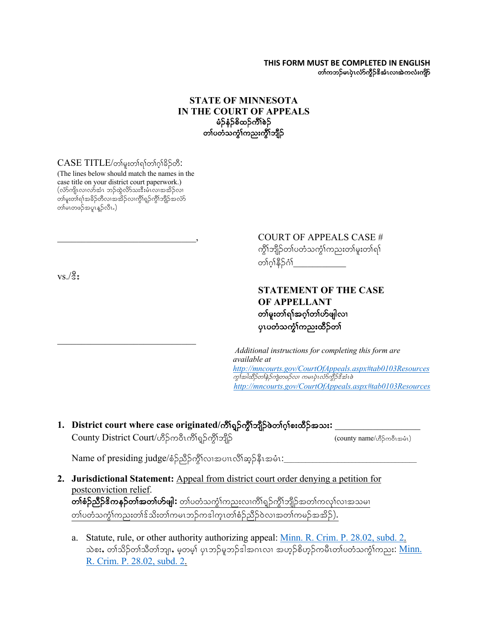#### **THIS FORM MUST BE COMPLETED IN ENGLISH** တၢ်ကဘဉ်မၤပုံၤလံာ်ကွိဉ်&အံၤလ၊အဲကလံးကျိဉ်

### **STATE OF MINNESOTA IN THE COURT OF APPEALS** မံဉ်နံဉ်စိထဉ်ကိၢိစဉ် တၤ်ပတံသက္ခါကညးကွိၤဘျိဉ်

### $CASE\ TITLE/$ တ်မူးတါရာ်တါဂ္ဂါခိဉ်တီ:

(The lines below should match the names in the case title on your district court paperwork.)  $(\hat{\omega}$ ာ်ကျိၤလ $\hat{\omega}$ အားရာကြီးထိုလားအီးမီး $\hat{\omega}$ ကားအိ $\hat{\rho}$ လ်၊ တ၊်မူးတ၊်ရ၊်အခိဉ်တီလ၊အအိဉ်လ၊ကွိၢ်ရှဉ်ကွိ၊်ဘျိဉ်အလံာ် တါမၤတဖဉ်အပူးနူဉ်လီး.)

 $\mathcal{L}_\text{max}$  , where  $\mathcal{L}_\text{max}$  and  $\mathcal{L}_\text{max}$ 

 $vs./\text{\textdegree}$ :

# COURT OF APPEALS CASE # ကွိ\ဘျိဉ်တ\ပတံသကွဲ\ကညးတ\မူးတ\ရ\ တ1်ဂ္ဂါနီဉ်ဂံ၊

## **STATEMENT OF THE CASE OF APPELLANT** တနမူးတှရာ်အဂ္ဂါတစ်ဖျါလ၊ ပုၤပတံသက္ခံၫ်ကညးထိဉ်တၤ်

*Additional instructions for completing this form are available at http://mncourts.gov/CourtOfAppeals.aspx#tab0103Resources* ကွโအါထိဉ်တနဲ့ဉ်ကျဲတဖဉ်လ၊ ကမၤပုံၤလႆာ်ကွိဉ်နိအံၤဖဲ *http://mncourts.gov/CourtOfAppeals.aspx#tab0103Resources*

1. District court where case originated/ကိ<sup>ု</sup>ရှဉ်ကွိၢ်ဘျိုာ်ဖဲတၢ်ဂ့ၢ်စးထိဉ်အသး: \_

 $County District Court/ \mathcal{S}$ ဉ်ကဝိၤကိါရှဉ်ကို႞ဘျိဉ် $\mathcal{S}$ ကျိည်

Name of presiding judge/စံဉ်ညီဉ်ကွိၤ်လ၊အပၢလိၢ်ဆ္ဉ်နီၤအမံၤ:

**2. Jurisdictional Statement:** Appeal from district court order denying a petition for postconviction relief.  $\overline{\textbf{obj}}$ ဉ် $\overline{\textbf{obj}}$ အော်တာ်အတာ် $\textbf{obj}$ း တာ်ပတံသက္ခံ $\text{obj}$ သားလ $\text{obj}$ ရာ်တွိ $\text{obj}$ ာအတာ်ကလု $\text{obj}$ အသမ $\text{obj}$ 

တၢ်ပတံသကွဲ်ကညးတ၊်ဒ်သိးတၢ်ကမၤဘဉ်ကဒါက္ၤတၢ်စံဉ်ညီဉ်ဝဲလၢအတၢ်ကမဉ်အအိဉ်).

a. Statute, rule, or other authority authorizing appeal: Minn. R. Crim. P. 28.02, subd. 2. သဲစး, တၢ်သိဉ်တၢ်သိတၢ်ဘျ၊, မ့တမ့၊် ပုၤဘဉ်မူဘဉ်ဒါအဂၤလ၊ အဟုဉ်စိဟုဉ်ကမီၤတၢ်ပတံသကွံၤ်ကညး: <u>Minn.</u> R. Crim. P. 28.02, subd. 2.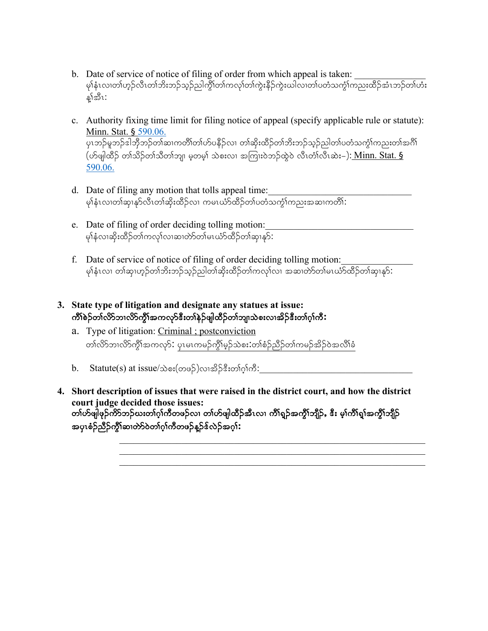- b. Date of service of notice of filing of order from which appeal is taken: မု)နံၤလ၊တါဟုဉ်လီၤတါဘိးဘဉ်သ့ဉ်ညါကွိ်ါတါကလု၊်တါကွဲးနိဉ်ကွဲးယါလ၊တါပတံသကွံါကညးထိဉ်အံၤဘဉ်တါဟံး န္)်အီး:
- c. Authority fixing time limit for filing notice of appeal (specify applicable rule or statute): Minn. Stat. § 590.06. ပုၤဘဉ်မူဘဉ်ဒါဘိုဘဉ်တါဆၢကတိိါတါဟ်ပနိဉ်လ၊ တါဆိုးထိဉ်တါဘိးဘဉ်သုဉ်ညါတါပတံသကွံ<sup>ရ</sup>ကညးတါအင်္ဂါ (ymzsgxD.Aw>od.w>oDw>bsXArhwrh>AoJp;vXAt-uX;0Jb.xGJ0JAvDRwH>vDRqJ;=): Minn. Stat. § 590.06.
- d. Date of filing any motion that tolls appeal time: ry>မူ များလည်သည်။ ကမ္ဘာလီး များလည်း<br>မျန်းလ၊တါဆု၊နု၁်လီးတါဆိုးထိဉ်လ၊ ကမၤယံာ်ထိဉ်တါပတံသက္ခါကညးအဆ၊ကတိါ:
- e. Date of filing of order deciding tolling motion: မှါနံလ၊ဆိုးထိဉ်တါကလု၊်လ၊ဆ၊တဲာ်တါမၤယံာ်ထိဉ်တါဆု၊နှာ် $\colon$
- f. Date of service of notice of filing of order deciding tolling motion: မု)နံးလ၊ တါဆု၊ဟ့ဉ်တါဘိးဘဉ်သုဉ်ညါတါဆိုးထိဉ်တါကလု $\widehat{\text{low}}$  အဆ $\widehat{\text{ob}}$ တါမ $\widehat{\text{high}}$ ာထိဉ်တါဆု၊န $\widehat{\text{high}}$
- **3. State type of litigation and designate any statues at issue:** ကိ<sup>န်</sup>စဉ်တ၊်လိာဘ၊လိာ်ကွီၤ်အကလှာ်ဒီးတ၊်နဉ်ဖျါထီဉ်တ၊်ဘျ၊သဲစးလ၊အိဉ်ဒီးတ၊်ဂ့၊်ကီ $\colon$ 
	- a. Type of litigation: Criminal ; postconviction တၢ်လိာဘၢလိ>်ကွိၤ်အကလု>်: ပုၤမၤကမဉ်ကွိၤ်မှဉ်သဲစး:တၢ်စံဉ်ညီဉ်တၢ်ကမဉ်အိဉ်ဝဲအလိၤ်ခံ
	- $\rm b. \quad Stature(s) \ at \ issue/\&\o\pi(\infty\circ\beta)$ လ၊အိဉ်ဒီးတၢ်ဂ္ $\rm h\sigma\text{:} \quad$
- **4. Short description of issues that were raised in the district court, and how the district court judge decided those issues:** တၢဴဟ်ဖျ်ဖှဉ်ကိ $S$ ဘဉ်ဃးတၢ်ဂ္ဂၢ်ကီတဖဉ်လ၊ တၢဴဟ်ဖျါထီဉ်အီၤလ၊ ကိၢရူဉ်အကွိၢ်ဘျီဉ်, ဒီး မှ၊်ကိၢရု၊်အကွိၢ်ဘျီဉ် အပုၤစံဉ်ညီဉ်ကွိ<sup>ု</sup>ဆၢတဲာ်ဝဲတၢ်ဂ္<sup>ု</sup>ကီတဖဉ်နူဉ်ဒ်လဲဉ်အဂ္ဂါ**:**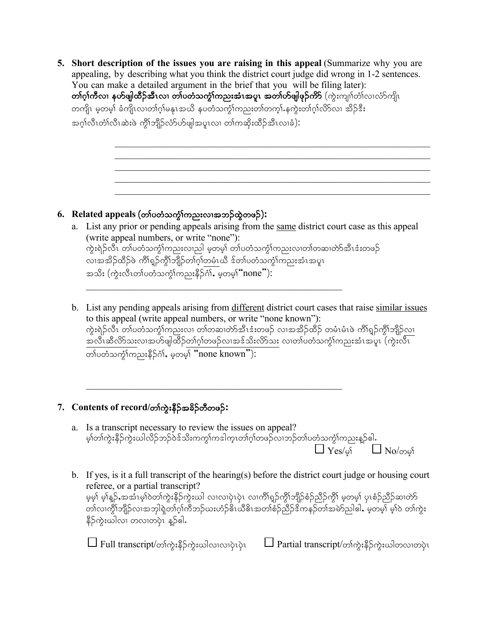**5. Short description of the issues you are raising in this appeal** (Summarize why you are appealing, by describing what you think the district court judge did wrong in 1-2 sentences. You can make a detailed argument in the brief that you will be filing later): တၢ်ဂူၢ်ိဳလ၊ နဟ်ဖျါထီဉ်အီၤလ၊ တၢ်ပတံသကွဲ၊်ကညးအံၤအပူၤ အတၢ်ဟ်ဖျါဖုဉ်ကိ $\mathsf S$  (ကွဲးကျ၊ၢ်တံ၊်လ၊လံာ်ကျိၤ တကျိၤ မ့တမ့်၊ ခံကျိၤလၢတၢ်ဂ့ၢ်မနုၤအယိ နပတံသက္ငၢ်ကညးတၢ်တက္န၊်နက္ခဲးတၢ်ဂ့ၢ်လိ>လၢ အိဉ်ဒီး အဂ္ဂါလီၤတံါလီၤဆဲးဖဲ ကိုါဘျိဉ်လံာ်ဟ်ဖျါအပူၤလ၊ တါကဆိုးထိဉ်အီၤလၢခံ):

## 6. **Related appeals** (တၢ်ပတံသက္ခံကြညးလၢအဘဉ်ထွဲတဖဉ်):

- a. List any prior or pending appeals arising from the same district court case as this appeal (write appeal numbers, or write "none"): ကွဲးရဲဉ်လီၤ တ $\mathfrak h$ ပတံသကွံ $\mathfrak h$ ကညးလၢည $\mathfrak l$  မှတမ့ $\mathfrak h$  တ $\mathfrak h$ ဟင်္ဘာကည $\mathfrak m$ လားလာတ $\mathfrak h$ အီၤ $\mathfrak s$ းတဖ $\mathfrak h$ လ၊အအိဉ်ထိဉ်ဖဲ ကိၢရှဉ်ကွိၢ်ဘျိဉ်တၢ်ဂ္ဂါတမံၤယီ ဒ်တၢ်ပတံသက္ငံ၊ကညးအံၤအပူၤ tod;A(uGJ;vDRw>ywHouGH>un;eD.\*H><Arhwrh>?none"):
- b. List any pending appeals arising from different district court cases that raise similar issues to this appeal (write appeal numbers, or write "none known"): ကွဲးရဲဉ်လီၤ တၢ်ပတံသကွံၤ်ကညးလ၊ တၢ်တဆ၊တဲာ်အီၤဒံးတဖဉ် လ၊အအိဉ်ထိဉ် တမံၤမံၤဖဲ ကိၢ်ရှဉ်ကွိၤ်ဘျိဉ်လ၊ <u>အလီၤဆီလိ>်သ</u>းလၢအဟ်ဖျါထိဉ်<u>တၢ်ဂ့ၢ်တဖဉ်လ၊အဒ်သိးလိ>်သ</u>း လ၊တ၊်ပတသက္ခံၫကညးအံၤအပူ၊ (ကွဲးလိၤ  $\overline{\mathrm{op}}$ တ်ပတံသက္ခ်ါကညးနိ $5$ င်္ဂါ, မှတမွ $\overline{\mathrm{h}}$  "none known"):

# 7. **Contents of record/တၢ်ကွဲးနိ**ဉ်အခိဉ်တီတဖဉ်:

- a. Is a transcript necessary to review the issues on appeal? မ့ါတါကွဲးနိဉ်ကွဲးယါလိဉ်ဘဉ်ဝဲဒ်သိးကကွါကဒါက္ၤတါဂ့ါတဖဉ်လၢဘဉ်တါပတံသက္ငါကညးန္ဉ်ါေါ.  $\mathrm{Yes}/$ မ့် $\hphantom{...}\Box$  No/တမ့် $\hphantom{...}\Box$
- b. If yes, is it a full transcript of the hearing(s) before the district court judge or housing court referee, or a partial transcript? မ့မ့်၊ မ့<sup>ု</sup>န္β်,အအံၤမ့္ပ်ဝတ္ပ်က္မႈနိဉ်ကွဲးယါ လၤလၤပုံၤပုံၤ လၤကိၢရျာ်ကွိၤ်ဘျိဉ်စံဉ်ညီဉ်ကွိၤ် မ့တမ့္ပ် ပုၤစံဉ်ညီဉ်ဆၤတာ တၤ်လ၊ကွိၤ်ဘျိဉ်လၤအဘုါရှဲတၢ်ဂ်ုကိဘဉ်ယးဟံဉ်<sup>ဠိ</sup>ၤယီဓိၤအတၢ်စံဉ်ညီဉ်ဒိကနဉ်တၤ်အမဲာ်ညါဧါ,မဲ့တမှ<sup>ြ</sup>မ့္ပါဝဲ တၢ်ကွဲး နိဉ်ကွဲးဃါလ၊ တလ၊တပုံၤ န္ဉာ်ဓါ.

 $\Box$  Full transcript/တါကွဲးနိ $\beta$ ကွဲးယါလ၊လ၊ပုံပုံ $\Box$  Partial transcript/တါကွဲးနိ $\beta$ ကွဲးယါတလ၊တပုံၤ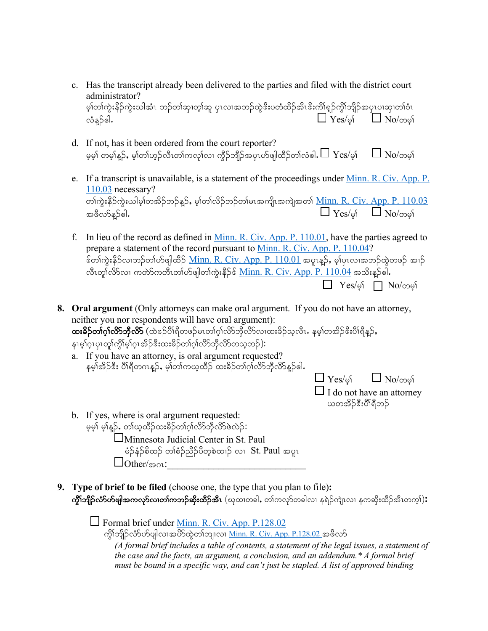- c. Has the transcript already been delivered to the parties and filed with the district court administrator? မ့)်တါကွဲးနိဉ်ကွဲးယါအံၤ ဘဉ်တါဆု၊တ့ါဆူ ပုၤလ၊အဘဉ်ထွဲဒီးပတံထိဉ်အီၤဒီးကိါရှဉ်ကွိါဘျိဉ်အပုၤပ၊ဆု၊တါဝံၤ  $\Box$  Yes/of  $\Box$  No/000
- d. If not, has it been ordered from the court reporter? မ့မှ) တမ့)နူဉ်, မ့)တ၊်ဟုဉ်လီၤတ၊်ကလု၊်လ၊ ကွီဉ်ဘျိဉ်အပှၤဟ်ဖျါထိဉ်တ၊်လံဓါ. $\Box$   $\mathrm{Yes}/$ မ့ $\mathrm{i}$   $\Box$   $\mathrm{No}/$ တမ့ $\mathrm{i}$
- e. If a transcript is unavailable, is a statement of the proceedings under <u>Minn. R. Civ. App. P.</u> 110.03 necessary? တၢ်ကွဲးနိဉ်ကွဲးယါမ့)်တအိဉ်ဘဉ်န္**ဉ်,** မ့)်တၢ်လိဉ်ဘဉ်တၢ်မၤအကျိၤအကျဲအတာ် <u>Minn. R. Civ. App. P. 110.03</u> tzDvmM.{gI Yes/rh> No/wrh>
- f. In lieu of the record as defined in Minn. R. Civ. App. P. 110.01, have the parties agreed to prepare a statement of the record pursuant to Minn. R. Civ. App. P. 110.04? ်ဒ်တၢ်ကွဲးနိဉ်လ၊ဘဉ်တ၊်ဟ်ဖျါထိဉ် <u>Minn. R. Civ. App. P. 110.01</u> အပူးနှဉ်, မ့၊်ပုၤလ၊အဘဉ်ထွဲတဖဉ် အ၊ဉ် လီးတူ၊်လိ $S$ လ၊ ကတ်ာ်ကတီးတၢ်ဟ်ဖျါတ၊်ကွဲးနိဉ်န် <u>Minn. R. Civ. App. P. 110.04</u> အသိးနဉ်ဓါ.  $\Box$  Yes/of  $\Box$  No/တမျ်

**8. Oral argument** (Only attorneys can make oral argument. If you do not have an attorney, neither you nor respondents will have oral argument):  $\alpha$ းခိ**်တၢ်ဂ္၊လိာဘိုလိာ်** (ထဲဒဉ်ပိၢရိတဖဉ်မၤတၢ်ဂ္၊လိာဘိုလိာလ၊ထးခိဉ်သူလီၤ. နမ့္၊်တအိဉ်ဒီးပိၢရိန္ဉ**်**, နၤမ္)ဂၤပုၤတု၊်က္ဂိါမ္)ဂၤအိဉ်ဒီးထးခိဉ်တ္ပါဂါလိုာဘိုလိုာတသ္မွဘ္):

a. If you have an attorney, is oral argument requested? နမ္န်၊အိဉ်ဒီး ပို၊ရီတဂၤန္ဉာ, မွန်တာကယ္နထိဉ် ထးခ်ဉ်တာဂွာလိဘ္မွီလိန္ဉာေါ.

 $\Box$  Yes/of  $\Box$  No/ones

 $\Box$  I do not have an attorney ယတအိဉ်နီးပိါရီဘဉ်

- b. If yes, where is oral argument requested: မှမ့်၊ မ့ါန္ဉာ်, တါယ္နထိုဉ်ထးခိဉ်တါဂ္ဂါလိ႒်ဘိုလိ႒်ဖဲလဲဉ်: Minnesota Judicial Center in St. Paul မံဉ်နံဉ်စိထဉ် တၢ်စံဉ်ညီဉ်ပီတဲ့စဲထၢဉ် လ $\,$  St. Paul အပူ $\,$  $\Box$  Other/ $\infty$ 01:
- **9. Type of brief to be filed** (choose one, the type that you plan to file)**: ကွိၢ်ဘျိဉ်လံာ်ဟ်ဖျါအကလှာ်လၢတၢ်ကဘဉ်ဆိုးထိဉ်အီၤ** (ယုထ၊တခါ, တၢ်ကလှာ်တခါလ၊ နရဲဉ်ကျဲၤလ၊ နကဆိုးထိဉ်အီၤတက္**ါ):**

Formal brief under Minn. R. Civ. App. P.128.02 ကွိၤ်ဘျိဉ်လံာ်ဟ်ဖျါလၢအပိာ်ထွဲတၢ်ဘျ၊လ၊ <u>Minn. R. Civ. App. P.128.02</u> အဖိလာ် *(A formal brief includes a table of contents, a statement of the legal issues, a statement of the case and the facts, an argument, a conclusion, and an addendum.\* A formal brief must be bound in a specific way, and can't just be stapled. A list of approved binding*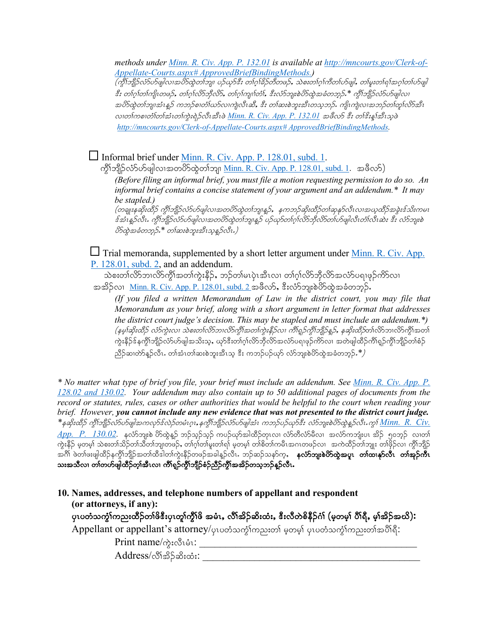*methods under Minn. R. Civ. App. P. 132.01 is available at http://mncourts.gov/Clerk-of-Appellate-Courts.aspx# ApprovedBriefBindingMethods.)*  $(\hat{\mathscr{A}}$ ်ဘူဉိလံ $\hat{\mathscr{A}}$ ဖျါလၢအပိ်ာထွဲတ $\hat{\mathscr{A}}$ ကျ၊ ပဉ်ယှာ်ဒီး တ $\hat{\mathscr{A}}$ က်စီတဖဉ်, သဲစးတ $\hat{\mathscr{A}}$ က်တ $\hat{\mathscr{A}}$ ဖွါ, တ $\hat{\mathscr{A}}$ းတ $\hat{\mathscr{A}}$ ကြော $\hat{\mathscr{A}}$ နီး တၢ်ဂ္[တ၊်ကျိၤတဖဉ်, တၢ်ဂ္[လိာ်ဘိုလိာ်, တၢ်ဂ္[ကျု]်တံ], နီးလံာ်ဘျးစဲပိခ်ထွဲအခံတဘုဉ် \* ကွိၤ်ဘျိဉ်လံခ်ဟ်ဖျါလ၊ အပိာ်ထွဲတၢ်ဘျ၊အံၤန္နဉ် ကဘဉ်စ၊တံၤ်ဃာ်လ၊ကျဲလီးဆီ, ဒီး တၤ်ဆးစဲဘူးအီၤတသ္စ္ဘာဉ်. ကျိၤကျဲလ၊အဘဉ်တၢ်တူၤ်လိာအီၤ လ္ကုလစ္ပါတ္ပါတ္ပါတ္သူတုယ္မႈမွဲဥတူးအိုးစု Minn. R. Civ. App. P. 132.01 အဖွဲ့လွာ *နီး တုန္းနုအသွ*ဖဲ့ *http://mncourts.gov/Clerk-of-Appellate-Courts.aspx# ApprovedBriefBindingMethods.*

□ Informal brief under <u>Minn. R. Civ. App. P. 128.01, subd. 1</u>.

ကွိၤ်ဘျိဉ်လံာ်ပာ်ဖျါလၤအတပိဉ်ထွဲတၤ်ဘျ၊ <u>Minn. R. Civ. App. P. 128.01, subd. 1</u>. အဖီလဉ်)

*(Before filing an informal brief, you must file a motion requesting permission to do so. An informal brief contains a concise statement of your argument and an addendum.\* It may be stapled.)*

(တချူးနဆိုးထိဉ် ကွိၢ်ဘျိဉ်လံ၁ပ်ာဖျါလ၊အတပိာ်ထွဲတၢ်ဘျ၊န္<sub>င</sub>ဉ်, နကဘဉ်ဆိုးထိဉ်တၢ်ဆုနု၁်လီးလ၊အယ့ထိဉ်အခွဲးဒ်သိးကမၤ  $\hat{z}$ အံၤန္Pလီၤ. ကွိၢ်ဘျိုာလံာ်ဟ်ဖျါလၢအတပိာ်ထွဲတၢ်ဘျ၊န္P ပဉ်ယှာ်တၢ်ဂ္ဂါလိာဘိုလိာတ၊်ဟ်ဖျါလီၤတံၤလီးဆဲး ဒီး လံာဘူးစဲ  $\partial$ တ်ထဲ့အခံတဘုဉ်း $^*$  တ $\hbox{1}$ ဆႏစဲဘူးအီၤသ္စနဉ်လီး.)

 $\Box$  Trial memoranda, supplemented by a short letter argument under <u>Minn. R. Civ. App.</u> P. 128.01, subd. 2, and an addendum.

သဲစးတၢ်လိာဘၢလိာ်ကွိၢ်အတၢ်ကွဲးနိဉ်, ဘဉ်တ၊်မၤပုဲၤအီၤလ၊ တၢ်ဂ့ၢ်လိာဘိုလိာ်အလံာ်ပရၢဖုဉ်ကိာ်လ၊ အအိဉ်လ၊ Minn. R. Civ. App. P. 128.01, subd. 2 အဖိလာ်, ဒီးလံာ်ဘူးစဲဟိထွဲအခံတဘွဉ်.

*(If you filed a written Memorandum of Law in the district court, you may file that Memorandum as your brief, along with a short argument in letter format that addresses the district court judge's decision. This may be stapled and must include an addendum.\*)* (နမ္1်ဆိုးထိဉ် *လံာ်ကွဲးလၤ သဲစးတၤ်လိ*ာဘၤ*လိSကွိၤ်အတၤ်ကွဲးနီဉ်လၤ ကိၤ်ရူဉ်ကွိၤ်ဘျိဉ်နူဉ်, နဆိုးထိဉ်*တၤ်လိ5ဘၤလိ5ကွိၤ်အတၤ် ကွဲးနိဉ်ဒ်နကွိၤ်ဘျိဉ်လ်ာဟ်ဖျါအသိးသ့ႇ ယှာ်ဒီးတၢ်ဂ့ၢ်လိာဘိုလိာအလံာပရၢဖုဉ်ကိSလ၊ အတဲဖျါထိဉ်ကိၵ်ရှဉ်ကွိၤ်ဘျိဉ်တၢ်စံဉ  $\beta$ ည်ဆ၊တဲာ်နဉ်လီၤႉ တၢ်အံၤတၢ်ဆးစဲဘူးအီၤသ္ ဒီး ကဘဉ်ပဉ်ယုဉ် လံာ်ဘူးစဲဟိထွဲအခံတဘ္**ဉ်.\*** $\beta$ 

*\* No matter what type of brief you file, your brief must include an addendum. See Minn. R. Civ. App. P. 128.02 and 130.02. Your addendum may also contain up to 50 additional pages of documents from the record or statutes, rules, cases or other authorities that would be helpful to the court when reading your brief. However, you cannot include any new evidence that was not presented to the district court judge.*  $*$ နဆိုးထိဉ် ကွိၢ်ဘျိုာ်လံာ်ဟ်ဖျါအကလှာ်ဒ်လဲဉ်တမံၤဂူး,နကွိၢ်ဘျိုာ်လံာ်ဟ်ဖျါအံၤ ကဘဉ်ပဉ်ယှာ်ဒီး လံာ်ဘျးစဲဟ်တွဲနှဉ်လီၤ.ကွၢ် <u>Minn. R. Civ.</u>  $App.$   $P.$   $130.02$ . နင်္လာဘျးစဲ ဟိထွဲနူဉ် ဘဉ်သူဉ်သူဉ် ကပဉ်ယှာ်အါထိဉ်တုၤလ၊ လံာတိလံာ်မီလ၊ အလံာ်ကဘျံးပၤ အိဉ် ၅၀ဘုဉ် လၢတၤ် ကွဲးနိဉ် မ့တမ့်၊ သဲစးတ၊်သိဉ်တ၊်သိတ၊်ဘျ၊တဖဉ်, တ၊်ဂ့၊်တ၊်မူးတ၊်ရ၊် မ့တမ့၊် တ၊်စိတ၊်ကမီၤအဂၤတဖဉ်လ၊ 'အကဲထိဉ်တ၊်ဘျုး တ၊်ဖိုဉ်လ၊ ကွိၢ်ဘျိဉ် အင်္ဂါ ဖဲတ၊်ဖးဖျါထိဉ်နကွိၢ်ဘျိဉ်အတ၊်ထိဒါတ၊်ကွဲးနိဉ်တဖဉ်အခါနဉ်လီး - ဘဉ်ဆဉ်သန**်က့, နင်္လာဘူးစဲတိထွဲအပူ၊ တ၊်ထ၊နှာ်လီ၊ တ၊အုဉ်ကီ၊** သႏၶသီလ၊ တၢ်တဟ်ဖျါထိဉ်တ့ၢ်အီၤလ၊ ကိၢိရ္မဉ်ကွိၢ်ဘျိဉ်စဉ်ညိဉ်ကွိၢ်အအိဉ်တသူဘဉ်န္ဉာလီၤ

# **10. Names, addresses, and telephone numbers of appellant and respondent**

**(or attorneys, if any):**

ပုၤပတံသကွံ<sup>ရ</sup>ကညးထိဉ်တ1်ဖိဒီးပုၤတူ၊်ကွီ1်ဖိ အမံၤ,လီ1်အိဉ်ဆိးထံး,ဒီးလီတဲစိနိဉ်ဂံ1် (မှတမှ<sup>ု</sup> ပီ1်ရီ,မ္1်အိဉ်အယိ)**:** 

Appellant or appellant's attorney/ပုၤပတံသက္င်္ဂါကညးတ္ပါ မှတမ္ဒါ ပုၤပတံသက္င်္ဂါကညးတါအပိါရိ:

Print name/ $\phi_i$ :လီၤမံၤ $:$ 

 $\operatorname{Address}/\operatorname{\mathfrak{S}}$ အိ်ုဆိုးထံး $:$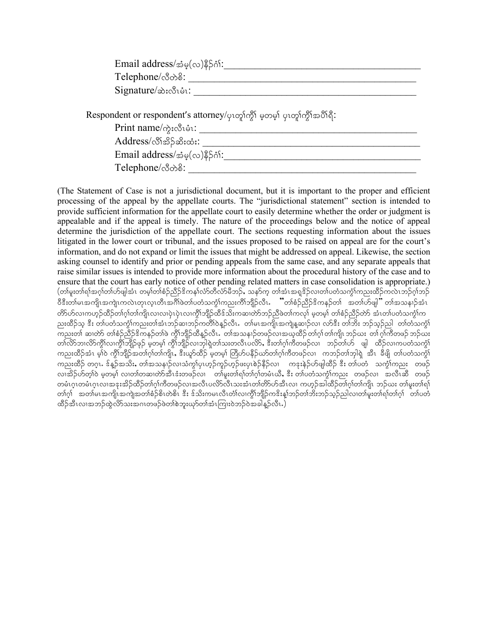| $\text{Email address}/\mathcal{B}_{\varphi}(\infty)$ နိ $\beta$ ဂ်း: |  |
|----------------------------------------------------------------------|--|
| Telephone/လီတဲ <sup>8:</sup>                                         |  |
| $Signature/\n\infty$ :လီးပီး:                                        |  |

Respondent or respondent's attorney/ပုၤတ္ပါက္ပါ် မှတမ္ပါ ပုၤတ္ပါက္ပါံအပီါရိ:

 $\text{Print name} \wedge \text{q:} \text{Set}:\underline{\hspace{1cm}}$ 

Address/vD>td.qd;xH;: \_\_\_\_\_\_\_\_\_\_\_\_\_\_\_\_\_\_\_\_\_\_\_\_\_\_\_\_\_\_\_\_\_\_\_\_\_\_\_\_\_\_

 $\text{Email address}/\text{size}(\infty)$ နိ $\beta$ ဂံ $\colon$ 

 $\rm Telephone/\mathring{\sim} \gg \mathring{\mathbb{S}}$ :

(The Statement of Case is not a jurisdictional document, but it is important to the proper and efficient processing of the appeal by the appellate courts. The "jurisdictional statement" section is intended to provide sufficient information for the appellate court to easily determine whether the order or judgment is appealable and if the appeal is timely. The nature of the proceedings below and the notice of appeal determine the jurisdiction of the appellate court. The sections requesting information about the issues litigated in the lower court or tribunal, and the issues proposed to be raised on appeal are for the court's information, and do not expand or limit the issues that might be addressed on appeal. Likewise, the section asking counsel to identify and prior or pending appeals from the same case, and any separate appeals that raise similar issues is intended to provide more information about the procedural history of the case and to ensure that the court has early notice of other pending related matters in case consolidation is appropriate.) (တါမူးတါရ)်အဂ္ဂါတ်ဟျိုအီး တမ့္ပ်တ္ပါစံဉ်ညီဉ်ဒိကနှုလ်>်တီလံာမီဘဉ်,သနာ်က္ တါအံၤအရူဒိဉ်လ၊တ၊်ပတံသက္ငံ)ကညးထိဉ်ကလဲၤဘဉ်ဂ္ဂါဘဉ် ဝီဒီးတါမၤအကျိၤအကျဲၤကလဲၤတုၤလ္ၤတီၤအဂ်ိါဖဲတါပတံသက္ငါကညးကိါဘျိဉ်လိၤ**. ဗ်ဴ**တါစံဉ်ညိဉ်ဒိကနဉ်တါ အတါဟ်ဖျါ<sup>်</sup>" တါအသနၢဉ်အံၤ တိာ်ဟ်လၢကဟှဉ်ထိဉ်တၢ်ဂ့ါတ၊်ကျိၤလ၊လ၊ပှဲၤပုံၤလ၊ကွိၢ်ဘျိဉ်ထိန်သိႏကဆ၊တာ်ဘဉ်ညီဖဲတ၊်ကလု၊် မဲ့တမ့၊် တၢ်စံဉ်ညီဉ်တာ် အံၤတ၊်ပတံသကွံ၊်က ညးထိဉ်သူ ဒီး တ၊်ပတံသကွံၤ်ကညးတ၊်အံၤဘဉ်ဆ၊ဘဉ်ကတိၢ်ဝဲန္ ဉလီၤ. တ၊်မၤအကျိၤအကျဲန္နဆၤဉ်လ၊ လာဒီး တ၊်ဘိး ဘဉ်သုဉ်ညါ ့တ၊တံသကွံၤ် un;w>AqXwJmAw>pH.nD.'due.w>zJAuGD>bsD.xDM.vDRI Aw>toeX.wz.vXtChxD.w>\*h>w>usdRb.C;Aw> \*h>uDwz.b.C; woldbox) တိုလောက်သည် အသင်းမြှောက် ထိုကြည်း အသင်းသည် အသင်းလည်း အသင်းကို အသင်းပြသည် အသင်းလာထဲသည်။<br>တက်သည် အသင်းကို အသင်းမြှောက်သည် အသင်းကို အသင်းသည် အသင်းကို အသင်းပြသည် အသင်းသည် အသင်း ကညးထိဉ်အံၤ မ့ၢ်ဝဲ ကွိၢ်ဘျိဉ်အတၢ်ဂ့ၢ်တၢ်ကျိၤ, ဒီးယူာ်ထိဉ် မဲ့တမ့ၢ် တြိဟ်ပနိဉ်ယာ်တ၊ဂ့ါကီတဖဉ်လၢ ကဘဉ်တၢ်ဘုါရဲ့ အီၤ ခီဖျိ တ၊်ပတံသကွံၢ် ကညးထိဉ် တဂ့ၤ. ဒ်န္ဉာ်အသိး, တၢ်အသနၢဉ်လ၊သံကွ၊်ပှၤဟ္ဉာ်ကူဉ်ဟ္ဉာ်ဖႈပုၤစဲဉ်နိဉ်လ၊ ကဒုးနဲဉ်ဟ်ဖျါထိဉ် ဒီး တ၊်ပတံ ာသက္ငံ၊်ကညး တဖဉ် လၢအိဉ်ဟ်တု1်ဝ မှတမှ်1 လ၊တ1်တဆ၊တာအီးဒီးတဖဉ်လ၊ ပတ်မူးတါရ1်တါဂုလ်မီးယီ, နီး တ၊်ပတံသကွဲ1်ကညး တဖဉ်လ၊ အလီးဆီ တဖဉ် တမံၤဂူၤတမံၤဂူၤလၢအနးအိဉ်ထိဉ်တၢ်ဂူ၊်ကီတဖဉ်လၢအလီၤပလိ>်လီၤသးအံၤတၢ်တိာ်ဟ်အီၤလ၊ ကဟ္ဥတါထိဉ်တၢ်ဂူ၊်တ၊်ကျိၤ ဘဉ်ဃး တ၊်မူးတ၊ရ၊် တၢ်ဂ့္ အတျမၤအကျိၤအကျဲအတၢ်စံဉ်စိၤတဲစိၤ ဒီး ဒ်သိးကမၤလီၤတံၤ်လ၊ကွိၤ်ဘျိဉ်ကဒိးန္၊်ဘဉ်တၢ်ဘိးဘဉ်သူဉ်ညါလ၊တ၊်မူးတ၊်ရ၊်တၢ်ဂ့<br>-ထိဉ်အီၤလၢအဘဉ်ထွဲလိ $5$ သးအဂၤတဖဉ်ဖဲတၢ်စဲဘူးယှာ်တ၊်အံၤကြ၊းဝဲဘဉ်ဝဲအခါနဲ့ဉ်လီၤ. $\big)$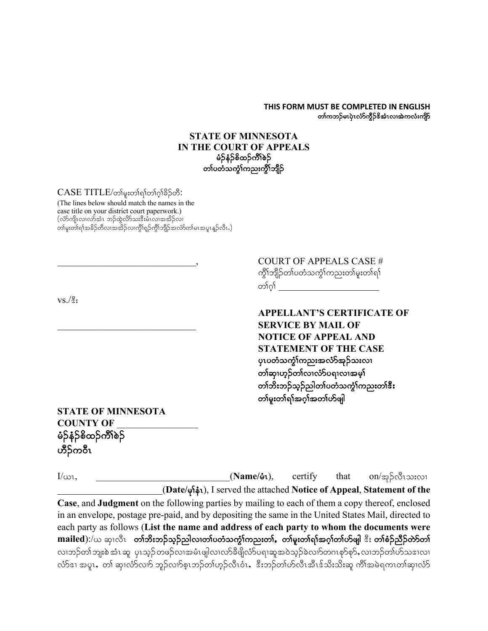#### **THIS FORM MUST BE COMPLETED IN ENGLISH** တၢ်ကဘဉ်မၤပုံၤလံာ်ကွိဉ်ဒိအံၤလ၊အဲကလံးကျိဉ်

### **STATE OF MINNESOTA IN THE COURT OF APPEALS** မံဉ်နံဉ်စိထဉ်ကိၢိစဉ် တၢ်ပတံသက္ခံၤ်ကညးကွိၤ်ဘျိဉ်

#### $CASE\ TITLE/$ တ်မူးတါရ)်တါဂ္ဂါခိဉ်တီ:

(The lines below should match the names in the case title on your district court paperwork.)  $(\hat{\mathfrak{c}}$ တိကျိၤလ $\hat{\mathfrak{c}}$ တံးသားတိုလ်းထွက်လားအတိုက် တ၊်မူးတ၊်ရ၊်အခိဉ်တိလ၊အအိဉ်လ၊ကွိၢ်ရှဉ်ကွိ၊်ဘျိဉ်အလံာ်တ၊်မၤအပူၤန္ဉ**်**လီၤ.)

 $VS.\sqrt{3}$ :

COURT OF APPEALS CASE # ကွိၤ်ဘျိဉ်တၤ်ပတံသကွဲၤ်ကညးတၤ်မူးတၤ်ရၤ် တၤ်ဂၤ်

**APPELLANT'S CERTIFICATE OF** \_\_\_\_\_\_\_\_\_\_\_\_\_\_\_\_\_\_\_\_\_\_\_\_\_\_\_\_\_ **SERVICE BY MAIL OF NOTICE OF APPEAL AND STATEMENT OF THE CASE** ပုၤပတႆသက္ဂဵ္<code>f</code>ကညးအလႆာ်အုဉ်သးလၤ တၢ်ဆု၊ဟူဉ်တၢ်လ၊လံာ်ပရၢလၢအမှါ တၢ်ဘိးဘဉ်သွဉ်ညါတၢ်ပတံသက္ခံၤ်ကညးတၢ်ဒီး တၢ်မူးတၢ်ရာအငှာအတက်ပြု

**STATE OF MINNESOTA COUNTY OF** \_\_\_\_\_\_\_\_\_\_\_\_\_\_\_\_\_ မံဉ်နံဉ်စိထဉ်ကိၢိစဉ် ဟိႆဉ်ကဝီၤ

 $I/\omega$ 1, \_\_\_\_\_\_\_\_\_\_\_\_\_\_\_\_\_\_\_\_\_\_\_\_\_\_\_\_(**Name/å1**), certify that on/ $\varphi$  $\beta$ လီးသးလ1 \_\_\_\_\_\_\_\_\_\_\_\_\_\_\_\_\_\_\_\_\_\_(**Date/** rk>eHR), I served the attached **Notice of Appeal**, **Statement of the Case**, and **Judgment** on the following parties by mailing to each of them a copy thereof, enclosed in an envelope, postage pre-paid, and by depositing the same in the United States Mail, directed to each party as follows (**List the name and address of each party to whom the documents were**  mailed):/ယ ဆု၊လီၤ တ**်ားဘဉ်သူဉ်ညါလ၊တၤ်ပတံသက္ဂၤ်ကညးတၤ်, တၤ်မူးတၤ်ရၤ်အဂ္ဂၤ်တ်ပျါ ဒီး တၤ်စံဉ်ညီဉ်တာ်တၤ်** လၢဘဉ်တၢ်ဘျးစဲ အံၤ ဆူ ပုၤသ္ဉ် တဖဉ်လၢအမံၤဖျါလ၊လာ်ခီဖျိလံာပရၢဆူအဝဲသူဉ်ခဲလၢာ်တဂၤစုာ်စုာ်, လၢဘဉ်တၢ်ဟ်သဒၤလ၊ လ်ာ်ဒ၊ အပူး, တ၊် ဆု၊လံာ်လျာ် ဘူဉ်လျာ်စူးဘဉ်တ၊်ဟွဉ်လီးဝံး, းီးဘဉ်တ၊်ဟ်လီးအီးဒိုသိးသိုးဆူ ကို၊်အမဲရကၤတ၊်ဆု၊လံာ်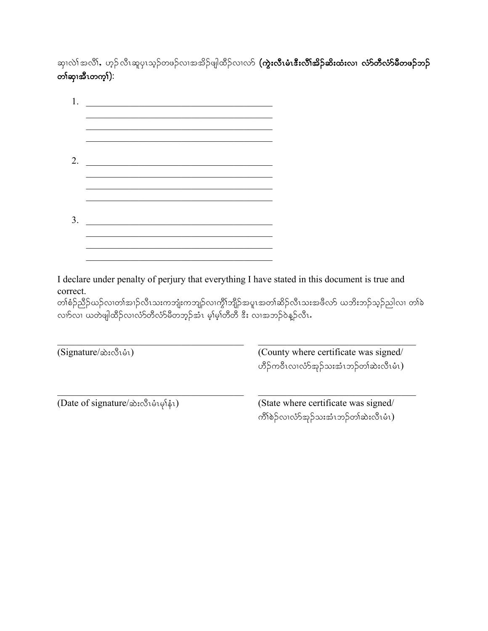ဆု၊လဲ၊် အလိ၊်, ဟ့ဉ်လီၤဆူပုၤသ့ဉ်တဖဉ်လၢအအိဉ်ဖျါထိဉ်လၢလာ် **(ကွဲးလီၤမံးလီၤအိဉ်ဆိးထံးလၢ လံာတီလံာ်မီတဖဉ်ဘဉ်** တ)်ဆု၊အီၤတက္န)):

| $\mathbf{1}$ |  |  |
|--------------|--|--|
|              |  |  |
|              |  |  |
| 2.           |  |  |
|              |  |  |
|              |  |  |
| 3.           |  |  |
|              |  |  |
|              |  |  |

I declare under penalty of perjury that everything I have stated in this document is true and correct.

တၢ်စံဉ်ညိဉ်ယဉ်လ၊တ၊်အ၊ဉ်လီၤသးကဘျံးကဘျဉ်လ၊ကွိၢ်ဘျိဉ်အပူၤအတ၊်ဆိဉ်လီၤသးအဖိလာ် ယဘိးဘဉ်သ့ဉ်ညါလ၊ တ၊်ခဲ လၢာ်လ၊ ယတဲဖျါထိဉ်လ၊လံာတိလံာ်မိတဘ့ဉ်အံၤ မ့္မမ္ါတီတီ ဒီး လ၊အဘဉ်ဝဲန္ဉာ်လီၤႉ

| $(Signature/\n\infty:\n\mathcal{S}_1\n\circ\mathcal{S}_1)$ | (County where certificate was signed/<br>ဟိဉ်ကဝိၤလၢလံာ်အှဉ်သးအံၤဘဉ်တၢ်ဆဲးလိၤမံၤ) |  |
|------------------------------------------------------------|----------------------------------------------------------------------------------|--|
| (Date of signature/ $\hat{\infty}$ :လီးမံုးမှါနံ1)         | (State where certificate was signed/<br>ကိၢိစဲဉ်လ၊လံာ်အုဉ်သးအံၤဘဉ်တ၊်ဆဲးလီၤမံၤ)  |  |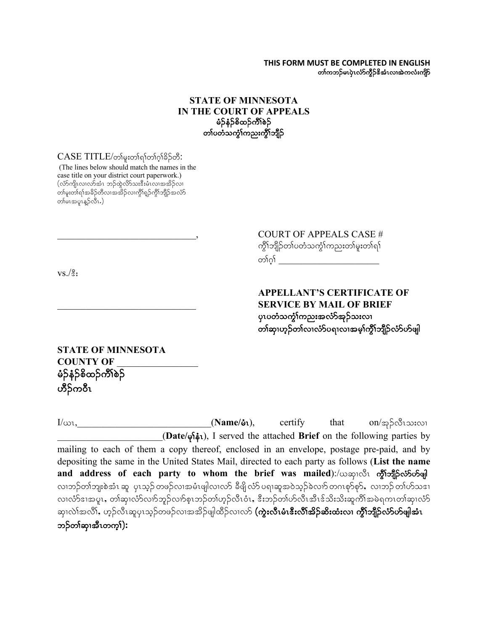#### **THIS FORM MUST BE COMPLETED IN ENGLISH** တၢ်ကဘဉ်မၤပုံၤလံာ်ကွိဉ်ဒိအံၤလ၊အဲကလံးကျိဉ်

### **STATE OF MINNESOTA IN THE COURT OF APPEALS** မံဉ်နံဉ်စိထဉ်ကိၢိစဉ် တၤ်ပတံသက္ခိၤ်ကညးကွိၤ်ဘျိဉ်

#### $CASE\ TITLE/$ တ်မူးတါရာ်တါဂ္ဂါခိဉ်တီ:

(The lines below should match the names in the case title on your district court paperwork.)  $(\hat{\omega}$ ာကျိုးလာလာ်အံၤာာဉ်ထွဲလိ $\hat{\omega}$ းအီးမီၤလာအအိဉ်လာ တ၊်မူးတ၊်ရ၊်အခိဉ်တိလ၊အအိဉ်လ၊ကွိၢ်ရှဉ်ကွိၢ်ဘျိဉ်အလံာ် တစ်ပအပူးနဉ်လီး.)

> \_\_\_\_\_\_\_\_\_\_\_\_\_\_\_\_\_\_\_\_\_\_\_\_\_\_\_\_\_, COURT OF APPEALS CASE # ကွိၤ်ဘျိဉ်တၤ်ပတံသကွဲၤ်ကညးတၤ်မူးတၤ်ရၤ် တ)်ဂ္ဂါ

 $VS.\sqrt{3}$ :

### **APPELLANT'S CERTIFICATE OF** \_\_\_\_\_\_\_\_\_\_\_\_\_\_\_\_\_\_\_\_\_\_\_\_\_\_\_\_\_ **SERVICE BY MAIL OF BRIEF** ပုၤပတံသက္ခံ႞ကညးအလံာ်အုဉ်သးလၢ တၢ်ဆု၊ဟူဉ်တၢ်လ၊လံာ်ပရၢလၢအမှၢ်ကွိၢ်ဘျိဉ်လံာ်ဟ်ဖျါ

**STATE OF MINNESOTA COUNTY OF** \_\_\_\_\_\_\_\_\_\_\_\_\_\_\_\_\_ မံဉ်နံဉ်စိထဉ်ကိ $5$ စ်ဉ် ဟိ်ဉ်ကဝီၤ

 $I/\omega$ 1,  $I/\omega$ 1,  $N$ **ame/** $\dot{\phi}$ **1**), certify that on/x<sub>2</sub> $\dot{\beta}$ လီ1သ $i\omega$ 1 \_\_\_\_\_\_\_\_\_\_\_\_\_\_\_\_\_\_\_\_\_\_(**Date/** rk>eHR), I served the attached **Brief** on the following parties by mailing to each of them a copy thereof, enclosed in an envelope, postage pre-paid, and by depositing the same in the United States Mail, directed to each party as follows (**List the name**  and address of each party to whom the brief was mailed):/ $\infty$ ဆု၊လီ၊ ကွီ်ါဘျီဉ်လ်ာ်ဟ်ဖျါ လၢဘဉ်တၢ်ဘျးစဲအံၤ ဆူ ပုၤသ္ဉ် တဖဉ်လၢအမံၤဖျါလ၊လာ် ခီဖျိုလံာ် ပရၢဆူအဝဲသူဉ်ခဲလၢာ် တဂၤစုာ်စုာ်,လၢဘဉ် တၢ်ဟ်သဒၢ လ၊လံာ်ဒ၊အပူၤ, တါဆု၊လံာ်လ၊ာ်ဘူဉ်လ၊ာ်စူၤဘဉ်တ၊်ဟုဉ်လီၤဝံၤ, ဒီးဘဉ်တ၊်ဟ်လီၤအီၤဒ်သိးသိုးဆူကိၢိအမဲရကၤတါဆု၊လံာ် ဆု၊လဲၢ်အလိၢ်, ဟှဉ်လီးဆူပုၤသ့ဉ်တဖဉ်လၢအအိဉ်ဖျါထိဉ်လၢလာ် **(ကွဲးလီၤမံးလီၤအိဉ်ဆိးထံးလ၊ ကွိၢ်ဘျိဉ်လံာ်ဟ်ဖျါအံၤ** ဘဉ်တ<sup>န</sup>သု၊အီၤတက္<sup>ရ</sup>):